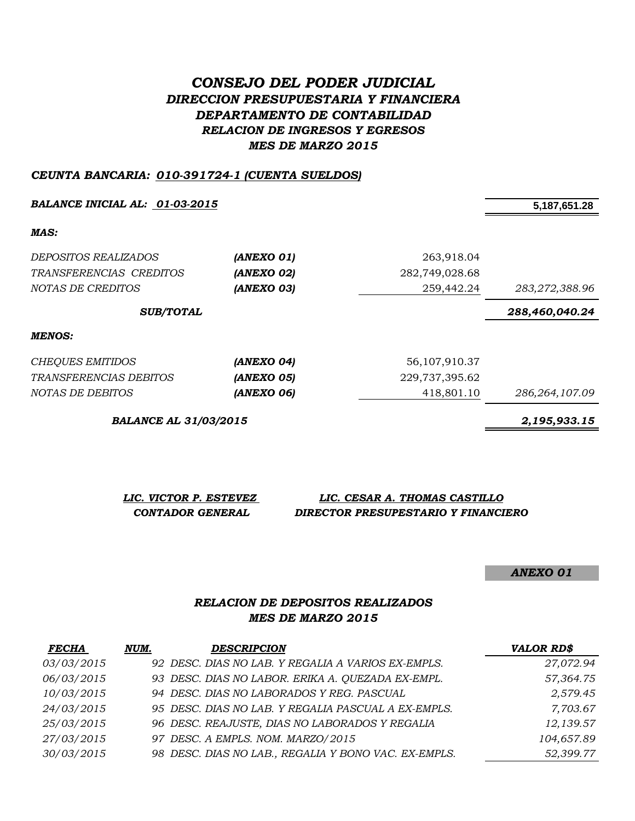# *CONSEJO DEL PODER JUDICIAL DIRECCION PRESUPUESTARIA Y FINANCIERA DEPARTAMENTO DE CONTABILIDAD RELACION DE INGRESOS Y EGRESOS MES DE MARZO 2015*

#### *CEUNTA BANCARIA: 010-391724-1 (CUENTA SUELDOS)*

*BALANCE INICIAL AL: 01-03-2015* **5,187,651.28**

*MAS:*

| <i>DEPOSITOS REALIZADOS</i> | (ANEXO 01)               | 263,918.04       |                |
|-----------------------------|--------------------------|------------------|----------------|
| TRANSFERENCIAS CREDITOS     | (ANEXO 02)               | 282,749,028.68   |                |
| NOTAS DE CREDITOS           | (ANEXO 03)               | 259,442.24       | 283,272,388.96 |
| <b>SUB/TOTAL</b>            |                          |                  | 288,460,040.24 |
| MENOS:                      |                          |                  |                |
| CHEQUES EMITIDOS            | (ANEXO 04)               | 56, 107, 910, 37 |                |
| TRANSFERENCIAS DEBITOS      | <i><b>(ANEXO 05)</b></i> | 229,737,395.62   |                |

|                               |            | --  |
|-------------------------------|------------|-----|
| <i>TRANSFERENCIAS DEBITOS</i> | (ANEXO 05) | 229 |
| <i>NOTAS DE DEBITOS</i>       | (ANEXO 06) |     |

*BALANCE AL 31/03/2015 2,195,933.15*

*NOTAS DE DEBITOS (ANEXO 06)* 418,801.10 *286,264,107.09*

| LIC. VICTOR P. ESTEVEZ | LIC. CESAR A. THOMAS CASTILLO       |
|------------------------|-------------------------------------|
| CONTADOR GENERAL       | DIRECTOR PRESUPESTARIO Y FINANCIERO |

*ANEXO 01*

### *RELACION DE DEPOSITOS REALIZADOS MES DE MARZO 2015*

| <b>FECHA</b> | NUM. | <b>DESCRIPCION</b>                                   | <b>VALOR RD\$</b> |
|--------------|------|------------------------------------------------------|-------------------|
| 03/03/2015   |      | 92 DESC. DIAS NO LAB. Y REGALIA A VARIOS EX-EMPLS.   | 27,072.94         |
| 06/03/2015   |      | 93 DESC. DIAS NO LABOR. ERIKA A. QUEZADA EX-EMPL.    | 57,364.75         |
| 10/03/2015   |      | 94 DESC. DIAS NO LABORADOS Y REG. PASCUAL            | 2,579.45          |
| 24/03/2015   |      | 95 DESC. DIAS NO LAB. Y REGALIA PASCUAL A EX-EMPLS.  | 7,703.67          |
| 25/03/2015   |      | 96 DESC. REAJUSTE, DIAS NO LABORADOS Y REGALIA       | 12,139.57         |
| 27/03/2015   |      | 97 DESC. A EMPLS. NOM. MARZO/2015                    | 104,657.89        |
| 30/03/2015   |      | 98 DESC. DIAS NO LAB., REGALIA Y BONO VAC. EX-EMPLS. | 52,399.77         |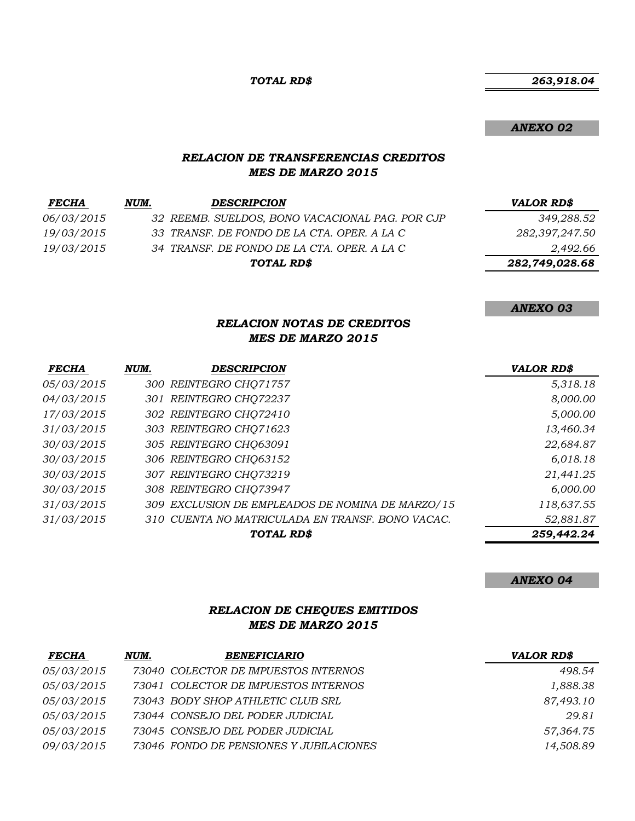*TOTAL RD\$*

*ANEXO 02*

*ANEXO 03*

#### *RELACION DE TRANSFERENCIAS CREDITOS MES DE MARZO 2015*

| <b>FECHA</b>      | NUM. | <b>DESCRIPCION</b>                              | VALOR RD\$     |
|-------------------|------|-------------------------------------------------|----------------|
| <i>06/03/2015</i> |      | 32 REEMB. SUELDOS, BONO VACACIONAL PAG. POR CJP | 349,288.52     |
| 19/03/2015        |      | 33 TRANSF. DE FONDO DE LA CTA. OPER. A LA C     | 282,397,247.50 |
| 19/03/2015        |      | 34 TRANSF. DE FONDO DE LA CTA. OPER. A LA C     | 2,492.66       |
|                   |      | TOTAL RD\$                                      | 282,749,028.68 |

# *RELACION NOTAS DE CREDITOS*

#### *MES DE MARZO 2015*

| <b>FECHA</b> | NUM. | <b>DESCRIPCION</b>                               | <b>VALOR RD\$</b> |
|--------------|------|--------------------------------------------------|-------------------|
| 05/03/2015   |      | 300 REINTEGRO CHQ71757                           | 5,318.18          |
| 04/03/2015   |      | 301 REINTEGRO CHQ72237                           | 8,000.00          |
| 17/03/2015   |      | 302 REINTEGRO CHQ72410                           | 5,000.00          |
| 31/03/2015   |      | 303 REINTEGRO CHQ71623                           | 13,460.34         |
| 30/03/2015   |      | 305 REINTEGRO CHQ63091                           | 22,684.87         |
| 30/03/2015   |      | 306 REINTEGRO CHQ63152                           | 6,018.18          |
| 30/03/2015   |      | 307 REINTEGRO CHQ73219                           | 21,441.25         |
| 30/03/2015   |      | 308 REINTEGRO CHQ73947                           | 6,000.00          |
| 31/03/2015   |      | 309 EXCLUSION DE EMPLEADOS DE NOMINA DE MARZO/15 | 118,637.55        |
| 31/03/2015   |      | 310 CUENTA NO MATRICULADA EN TRANSF. BONO VACAC. | 52,881.87         |
|              |      | TOTAL RD\$                                       | 259,442.24        |

#### *ANEXO 04*

### *RELACION DE CHEQUES EMITIDOS MES DE MARZO 2015*

| <b>FECHA</b>      | NUM. | <b>BENEFICIARIO</b>                     | <b>VALOR RD\$</b> |
|-------------------|------|-----------------------------------------|-------------------|
| <i>05/03/2015</i> |      | 73040 COLECTOR DE IMPUESTOS INTERNOS    | 498.54            |
| <i>05/03/2015</i> |      | 73041 COLECTOR DE IMPUESTOS INTERNOS    | 1,888.38          |
| <i>05/03/2015</i> |      | 73043 BODY SHOP ATHLETIC CLUB SRL       | 87,493.10         |
| <i>05/03/2015</i> |      | 73044 CONSEJO DEL PODER JUDICIAL        | 29.81             |
| <i>05/03/2015</i> |      | 73045 CONSEJO DEL PODER JUDICIAL        | 57,364.75         |
| <i>09/03/2015</i> |      | 73046 FONDO DE PENSIONES Y JUBILACIONES | 14,508.89         |

 *263,918.04*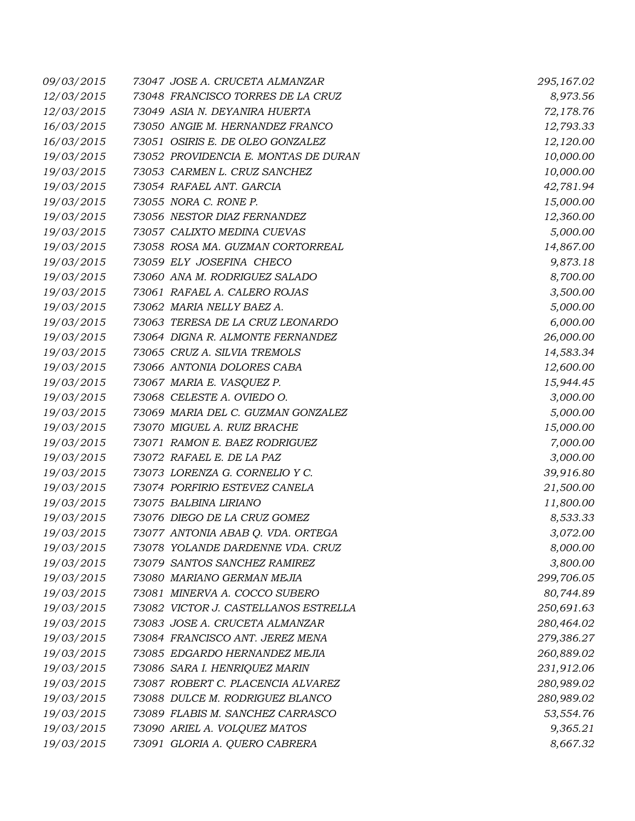| 09/03/2015 | 73047 JOSE A. CRUCETA ALMANZAR       | 295,167.02 |
|------------|--------------------------------------|------------|
| 12/03/2015 | 73048 FRANCISCO TORRES DE LA CRUZ    | 8,973.56   |
| 12/03/2015 | 73049 ASIA N. DEYANIRA HUERTA        | 72,178.76  |
| 16/03/2015 | 73050 ANGIE M. HERNANDEZ FRANCO      | 12,793.33  |
| 16/03/2015 | 73051 OSIRIS E. DE OLEO GONZALEZ     | 12,120.00  |
| 19/03/2015 | 73052 PROVIDENCIA E. MONTAS DE DURAN | 10,000.00  |
| 19/03/2015 | 73053 CARMEN L. CRUZ SANCHEZ         | 10,000.00  |
| 19/03/2015 | 73054 RAFAEL ANT. GARCIA             | 42,781.94  |
| 19/03/2015 | 73055 NORA C. RONE P.                | 15,000.00  |
| 19/03/2015 | 73056 NESTOR DIAZ FERNANDEZ          | 12,360.00  |
| 19/03/2015 | 73057 CALIXTO MEDINA CUEVAS          | 5,000.00   |
| 19/03/2015 | 73058 ROSA MA. GUZMAN CORTORREAL     | 14,867.00  |
| 19/03/2015 | 73059 ELY JOSEFINA CHECO             | 9,873.18   |
| 19/03/2015 | 73060 ANA M. RODRIGUEZ SALADO        | 8,700.00   |
| 19/03/2015 | 73061 RAFAEL A. CALERO ROJAS         | 3,500.00   |
| 19/03/2015 | 73062 MARIA NELLY BAEZ A.            | 5,000.00   |
| 19/03/2015 | 73063 TERESA DE LA CRUZ LEONARDO     | 6,000.00   |
| 19/03/2015 | 73064 DIGNA R. ALMONTE FERNANDEZ     | 26,000.00  |
| 19/03/2015 | 73065 CRUZ A. SILVIA TREMOLS         | 14,583.34  |
| 19/03/2015 | 73066 ANTONIA DOLORES CABA           | 12,600.00  |
| 19/03/2015 | 73067 MARIA E. VASQUEZ P.            | 15,944.45  |
| 19/03/2015 | 73068 CELESTE A. OVIEDO O.           | 3,000.00   |
| 19/03/2015 | 73069 MARIA DEL C. GUZMAN GONZALEZ   | 5,000.00   |
| 19/03/2015 | 73070 MIGUEL A. RUIZ BRACHE          | 15,000.00  |
| 19/03/2015 | 73071 RAMON E. BAEZ RODRIGUEZ        | 7,000.00   |
| 19/03/2015 | 73072 RAFAEL E. DE LA PAZ            | 3,000.00   |
| 19/03/2015 | 73073 LORENZA G. CORNELIO Y C.       | 39,916.80  |
| 19/03/2015 | 73074 PORFIRIO ESTEVEZ CANELA        | 21,500.00  |
| 19/03/2015 | 73075 BALBINA LIRIANO                | 11,800.00  |
| 19/03/2015 | 73076 DIEGO DE LA CRUZ GOMEZ         | 8,533.33   |
| 19/03/2015 | 73077 ANTONIA ABAB Q. VDA. ORTEGA    | 3,072.00   |
| 19/03/2015 | 73078 YOLANDE DARDENNE VDA. CRUZ     | 8,000.00   |
| 19/03/2015 | 73079 SANTOS SANCHEZ RAMIREZ         | 3,800.00   |
| 19/03/2015 | 73080 MARIANO GERMAN MEJIA           | 299,706.05 |
| 19/03/2015 | 73081 MINERVA A. COCCO SUBERO        | 80,744.89  |
| 19/03/2015 | 73082 VICTOR J. CASTELLANOS ESTRELLA | 250,691.63 |
| 19/03/2015 | 73083 JOSE A. CRUCETA ALMANZAR       | 280,464.02 |
| 19/03/2015 | 73084 FRANCISCO ANT. JEREZ MENA      | 279,386.27 |
| 19/03/2015 | 73085 EDGARDO HERNANDEZ MEJIA        | 260,889.02 |
| 19/03/2015 | 73086 SARA I. HENRIQUEZ MARIN        | 231,912.06 |
| 19/03/2015 | 73087 ROBERT C. PLACENCIA ALVAREZ    | 280,989.02 |
| 19/03/2015 | 73088 DULCE M. RODRIGUEZ BLANCO      | 280,989.02 |
| 19/03/2015 | 73089 FLABIS M. SANCHEZ CARRASCO     | 53,554.76  |
| 19/03/2015 | 73090 ARIEL A. VOLQUEZ MATOS         | 9,365.21   |
| 19/03/2015 | 73091 GLORIA A. QUERO CABRERA        | 8,667.32   |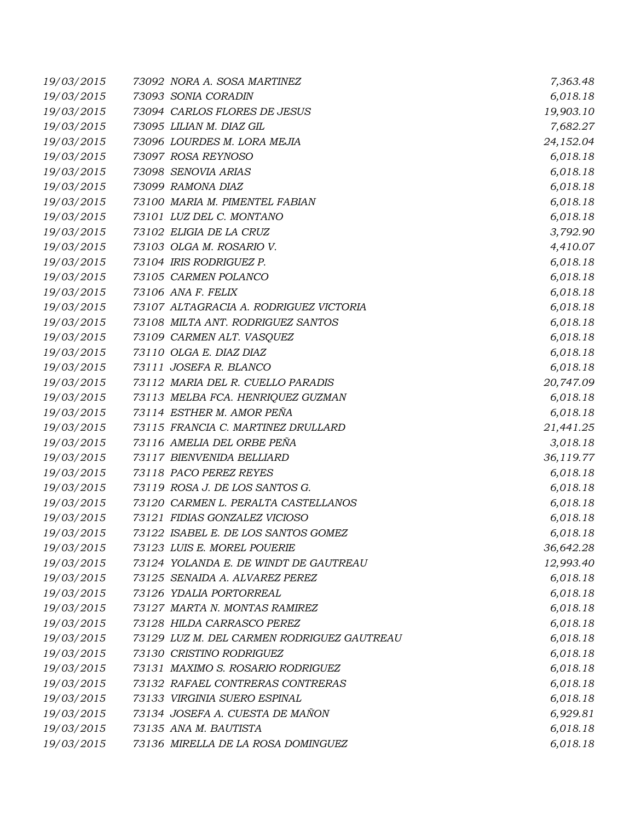| 19/03/2015 | 73092 NORA A. SOSA MARTINEZ                | 7,363.48  |
|------------|--------------------------------------------|-----------|
| 19/03/2015 | 73093 SONIA CORADIN                        | 6,018.18  |
| 19/03/2015 | 73094 CARLOS FLORES DE JESUS               | 19,903.10 |
| 19/03/2015 | 73095 LILIAN M. DIAZ GIL                   | 7,682.27  |
| 19/03/2015 | 73096 LOURDES M. LORA MEJIA                | 24,152.04 |
| 19/03/2015 | 73097 ROSA REYNOSO                         | 6,018.18  |
| 19/03/2015 | 73098 SENOVIA ARIAS                        | 6,018.18  |
| 19/03/2015 | 73099 RAMONA DIAZ                          | 6,018.18  |
| 19/03/2015 | 73100 MARIA M. PIMENTEL FABIAN             | 6,018.18  |
| 19/03/2015 | 73101 LUZ DEL C. MONTANO                   | 6,018.18  |
| 19/03/2015 | 73102 ELIGIA DE LA CRUZ                    | 3,792.90  |
| 19/03/2015 | 73103 OLGA M. ROSARIO V.                   | 4,410.07  |
| 19/03/2015 | 73104 IRIS RODRIGUEZ P.                    | 6,018.18  |
| 19/03/2015 | 73105 CARMEN POLANCO                       | 6,018.18  |
| 19/03/2015 | 73106 ANA F. FELIX                         | 6,018.18  |
| 19/03/2015 | 73107 ALTAGRACIA A. RODRIGUEZ VICTORIA     | 6,018.18  |
| 19/03/2015 | 73108 MILTA ANT. RODRIGUEZ SANTOS          | 6,018.18  |
| 19/03/2015 | 73109 CARMEN ALT. VASQUEZ                  | 6,018.18  |
| 19/03/2015 | 73110 OLGA E. DIAZ DIAZ                    | 6,018.18  |
| 19/03/2015 | 73111 JOSEFA R. BLANCO                     | 6,018.18  |
| 19/03/2015 | 73112 MARIA DEL R. CUELLO PARADIS          | 20,747.09 |
| 19/03/2015 | 73113 MELBA FCA. HENRIQUEZ GUZMAN          | 6,018.18  |
| 19/03/2015 | 73114 ESTHER M. AMOR PEÑA                  | 6,018.18  |
| 19/03/2015 | 73115 FRANCIA C. MARTINEZ DRULLARD         | 21,441.25 |
| 19/03/2015 | 73116 AMELIA DEL ORBE PEÑA                 | 3,018.18  |
| 19/03/2015 | 73117 BIENVENIDA BELLIARD                  | 36,119.77 |
| 19/03/2015 | 73118 PACO PEREZ REYES                     | 6,018.18  |
| 19/03/2015 | 73119 ROSA J. DE LOS SANTOS G.             | 6,018.18  |
| 19/03/2015 | 73120 CARMEN L. PERALTA CASTELLANOS        | 6,018.18  |
| 19/03/2015 | 73121 FIDIAS GONZALEZ VICIOSO              | 6,018.18  |
| 19/03/2015 | 73122 ISABEL E. DE LOS SANTOS GOMEZ        | 6,018.18  |
| 19/03/2015 | 73123 LUIS E. MOREL POUERIE                | 36,642.28 |
| 19/03/2015 | 73124 YOLANDA E. DE WINDT DE GAUTREAU      | 12,993.40 |
| 19/03/2015 | 73125 SENAIDA A. ALVAREZ PEREZ             | 6,018.18  |
| 19/03/2015 | 73126 YDALIA PORTORREAL                    | 6,018.18  |
| 19/03/2015 | 73127 MARTA N. MONTAS RAMIREZ              | 6,018.18  |
| 19/03/2015 | 73128 HILDA CARRASCO PEREZ                 | 6,018.18  |
| 19/03/2015 | 73129 LUZ M. DEL CARMEN RODRIGUEZ GAUTREAU | 6,018.18  |
| 19/03/2015 | 73130 CRISTINO RODRIGUEZ                   | 6,018.18  |
| 19/03/2015 | 73131 MAXIMO S. ROSARIO RODRIGUEZ          | 6,018.18  |
| 19/03/2015 | 73132 RAFAEL CONTRERAS CONTRERAS           | 6,018.18  |
| 19/03/2015 | 73133 VIRGINIA SUERO ESPINAL               | 6,018.18  |
| 19/03/2015 | 73134 JOSEFA A. CUESTA DE MAÑON            | 6,929.81  |
| 19/03/2015 | 73135 ANA M. BAUTISTA                      | 6,018.18  |
| 19/03/2015 | 73136 MIRELLA DE LA ROSA DOMINGUEZ         | 6,018.18  |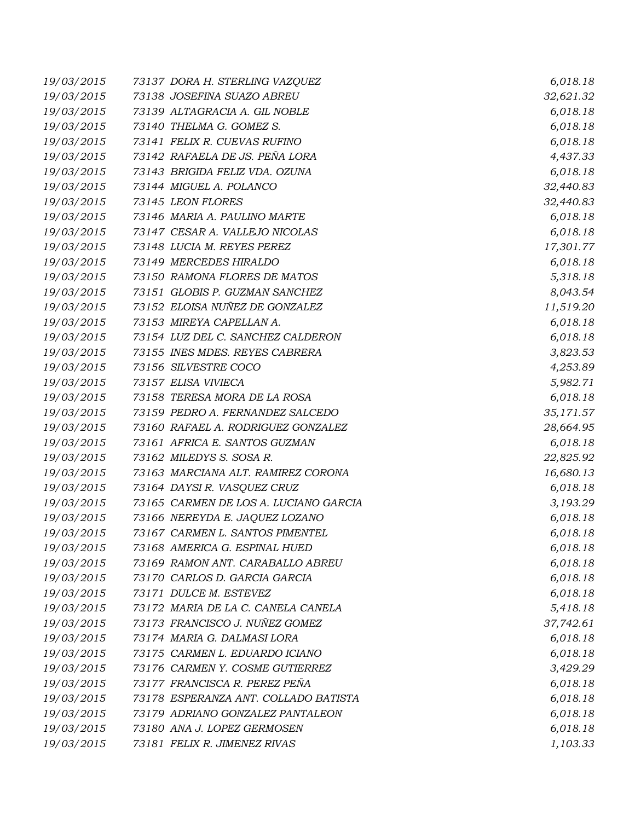| 19/03/2015 | 73137 DORA H. STERLING VAZQUEZ        | 6,018.18  |
|------------|---------------------------------------|-----------|
| 19/03/2015 | 73138 JOSEFINA SUAZO ABREU            | 32,621.32 |
| 19/03/2015 | 73139 ALTAGRACIA A. GIL NOBLE         | 6,018.18  |
| 19/03/2015 | 73140 THELMA G. GOMEZ S.              | 6,018.18  |
| 19/03/2015 | 73141 FELIX R. CUEVAS RUFINO          | 6,018.18  |
| 19/03/2015 | 73142 RAFAELA DE JS. PEÑA LORA        | 4,437.33  |
| 19/03/2015 | 73143 BRIGIDA FELIZ VDA. OZUNA        | 6,018.18  |
| 19/03/2015 | 73144 MIGUEL A. POLANCO               | 32,440.83 |
| 19/03/2015 | 73145 LEON FLORES                     | 32,440.83 |
| 19/03/2015 | 73146 MARIA A. PAULINO MARTE          | 6,018.18  |
| 19/03/2015 | 73147 CESAR A. VALLEJO NICOLAS        | 6,018.18  |
| 19/03/2015 | 73148 LUCIA M. REYES PEREZ            | 17,301.77 |
| 19/03/2015 | 73149 MERCEDES HIRALDO                | 6,018.18  |
| 19/03/2015 | 73150 RAMONA FLORES DE MATOS          | 5,318.18  |
| 19/03/2015 | 73151 GLOBIS P. GUZMAN SANCHEZ        | 8,043.54  |
| 19/03/2015 | 73152 ELOISA NUÑEZ DE GONZALEZ        | 11,519.20 |
| 19/03/2015 | 73153 MIREYA CAPELLAN A.              | 6,018.18  |
| 19/03/2015 | 73154 LUZ DEL C. SANCHEZ CALDERON     | 6,018.18  |
| 19/03/2015 | 73155 INES MDES. REYES CABRERA        | 3,823.53  |
| 19/03/2015 | 73156 SILVESTRE COCO                  | 4,253.89  |
| 19/03/2015 | 73157 ELISA VIVIECA                   | 5,982.71  |
| 19/03/2015 | 73158 TERESA MORA DE LA ROSA          | 6,018.18  |
| 19/03/2015 | 73159 PEDRO A. FERNANDEZ SALCEDO      | 35,171.57 |
| 19/03/2015 | 73160 RAFAEL A. RODRIGUEZ GONZALEZ    | 28,664.95 |
| 19/03/2015 | 73161 AFRICA E. SANTOS GUZMAN         | 6,018.18  |
| 19/03/2015 | 73162 MILEDYS S. SOSA R.              | 22,825.92 |
| 19/03/2015 | 73163 MARCIANA ALT. RAMIREZ CORONA    | 16,680.13 |
| 19/03/2015 | 73164 DAYSI R. VASQUEZ CRUZ           | 6,018.18  |
| 19/03/2015 | 73165 CARMEN DE LOS A. LUCIANO GARCIA | 3,193.29  |
| 19/03/2015 | 73166 NEREYDA E. JAQUEZ LOZANO        | 6,018.18  |
| 19/03/2015 | 73167 CARMEN L. SANTOS PIMENTEL       | 6,018.18  |
| 19/03/2015 | 73168 AMERICA G. ESPINAL HUED         | 6,018.18  |
| 19/03/2015 | 73169 RAMON ANT. CARABALLO ABREU      | 6,018.18  |
| 19/03/2015 | 73170 CARLOS D. GARCIA GARCIA         | 6,018.18  |
| 19/03/2015 | 73171 DULCE M. ESTEVEZ                | 6,018.18  |
| 19/03/2015 | 73172 MARIA DE LA C. CANELA CANELA    | 5,418.18  |
| 19/03/2015 | 73173 FRANCISCO J. NUÑEZ GOMEZ        | 37,742.61 |
| 19/03/2015 | 73174 MARIA G. DALMASI LORA           | 6,018.18  |
| 19/03/2015 | 73175 CARMEN L. EDUARDO ICIANO        | 6,018.18  |
| 19/03/2015 | 73176 CARMEN Y. COSME GUTIERREZ       | 3,429.29  |
| 19/03/2015 | 73177 FRANCISCA R. PEREZ PEÑA         | 6,018.18  |
| 19/03/2015 | 73178 ESPERANZA ANT. COLLADO BATISTA  | 6,018.18  |
| 19/03/2015 | 73179 ADRIANO GONZALEZ PANTALEON      | 6,018.18  |
| 19/03/2015 | 73180 ANA J. LOPEZ GERMOSEN           | 6,018.18  |
| 19/03/2015 | 73181 FELIX R. JIMENEZ RIVAS          | 1,103.33  |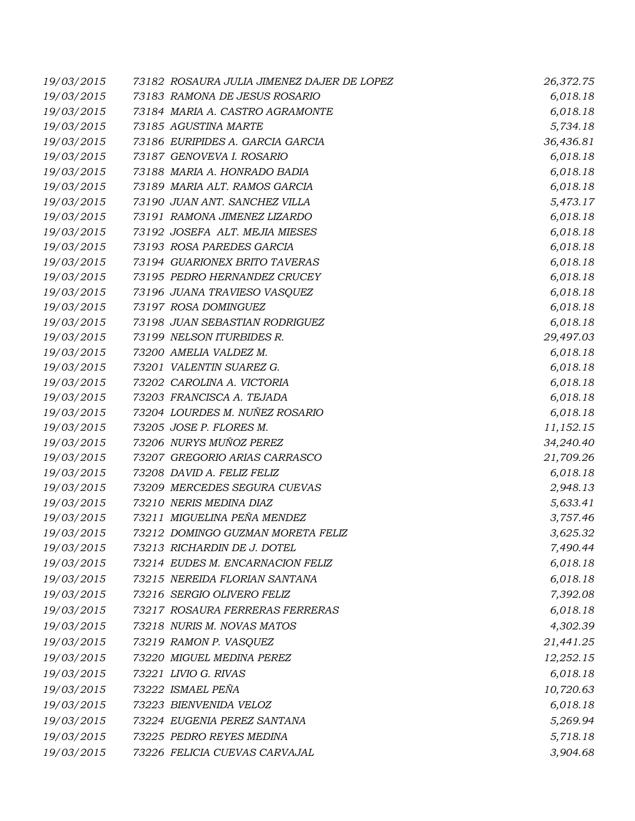| 19/03/2015 | 73182 ROSAURA JULIA JIMENEZ DAJER DE LOPEZ | 26,372.75 |
|------------|--------------------------------------------|-----------|
| 19/03/2015 | 73183 RAMONA DE JESUS ROSARIO              | 6,018.18  |
| 19/03/2015 | 73184 MARIA A. CASTRO AGRAMONTE            | 6,018.18  |
| 19/03/2015 | 73185 AGUSTINA MARTE                       | 5,734.18  |
| 19/03/2015 | 73186 EURIPIDES A. GARCIA GARCIA           | 36,436.81 |
| 19/03/2015 | 73187 GENOVEVA I. ROSARIO                  | 6,018.18  |
| 19/03/2015 | 73188 MARIA A. HONRADO BADIA               | 6,018.18  |
| 19/03/2015 | 73189 MARIA ALT. RAMOS GARCIA              | 6,018.18  |
| 19/03/2015 | 73190 JUAN ANT. SANCHEZ VILLA              | 5,473.17  |
| 19/03/2015 | 73191 RAMONA JIMENEZ LIZARDO               | 6,018.18  |
| 19/03/2015 | 73192 JOSEFA ALT. MEJIA MIESES             | 6,018.18  |
| 19/03/2015 | 73193 ROSA PAREDES GARCIA                  | 6,018.18  |
| 19/03/2015 | 73194 GUARIONEX BRITO TAVERAS              | 6,018.18  |
| 19/03/2015 | 73195 PEDRO HERNANDEZ CRUCEY               | 6,018.18  |
| 19/03/2015 | 73196 JUANA TRAVIESO VASQUEZ               | 6,018.18  |
| 19/03/2015 | 73197 ROSA DOMINGUEZ                       | 6,018.18  |
| 19/03/2015 | 73198 JUAN SEBASTIAN RODRIGUEZ             | 6,018.18  |
| 19/03/2015 | 73199 NELSON ITURBIDES R.                  | 29,497.03 |
| 19/03/2015 | 73200 AMELIA VALDEZ M.                     | 6,018.18  |
| 19/03/2015 | 73201 VALENTIN SUAREZ G.                   | 6,018.18  |
| 19/03/2015 | 73202 CAROLINA A. VICTORIA                 | 6,018.18  |
| 19/03/2015 | 73203 FRANCISCA A. TEJADA                  | 6,018.18  |
| 19/03/2015 | 73204 LOURDES M. NUÑEZ ROSARIO             | 6,018.18  |
| 19/03/2015 | 73205 JOSE P. FLORES M.                    | 11,152.15 |
| 19/03/2015 | 73206 NURYS MUÑOZ PEREZ                    | 34,240.40 |
| 19/03/2015 | 73207 GREGORIO ARIAS CARRASCO              | 21,709.26 |
| 19/03/2015 | 73208 DAVID A. FELIZ FELIZ                 | 6,018.18  |
| 19/03/2015 | 73209 MERCEDES SEGURA CUEVAS               | 2,948.13  |
| 19/03/2015 | 73210 NERIS MEDINA DIAZ                    | 5,633.41  |
| 19/03/2015 | 73211 MIGUELINA PEÑA MENDEZ                | 3,757.46  |
| 19/03/2015 | 73212 DOMINGO GUZMAN MORETA FELIZ          | 3,625.32  |
| 19/03/2015 | 73213 RICHARDIN DE J. DOTEL                | 7,490.44  |
| 19/03/2015 | 73214 EUDES M. ENCARNACION FELIZ           | 6,018.18  |
| 19/03/2015 | 73215 NEREIDA FLORIAN SANTANA              | 6,018.18  |
| 19/03/2015 | 73216 SERGIO OLIVERO FELIZ                 | 7,392.08  |
| 19/03/2015 | 73217 ROSAURA FERRERAS FERRERAS            | 6,018.18  |
| 19/03/2015 | 73218 NURIS M. NOVAS MATOS                 | 4,302.39  |
| 19/03/2015 | 73219 RAMON P. VASQUEZ                     | 21,441.25 |
| 19/03/2015 | 73220 MIGUEL MEDINA PEREZ                  | 12,252.15 |
| 19/03/2015 | 73221 LIVIO G. RIVAS                       | 6,018.18  |
| 19/03/2015 | 73222 ISMAEL PEÑA                          | 10,720.63 |
| 19/03/2015 | 73223 BIENVENIDA VELOZ                     | 6,018.18  |
| 19/03/2015 | 73224 EUGENIA PEREZ SANTANA                | 5,269.94  |
| 19/03/2015 | 73225 PEDRO REYES MEDINA                   | 5,718.18  |
| 19/03/2015 | 73226 FELICIA CUEVAS CARVAJAL              | 3,904.68  |
|            |                                            |           |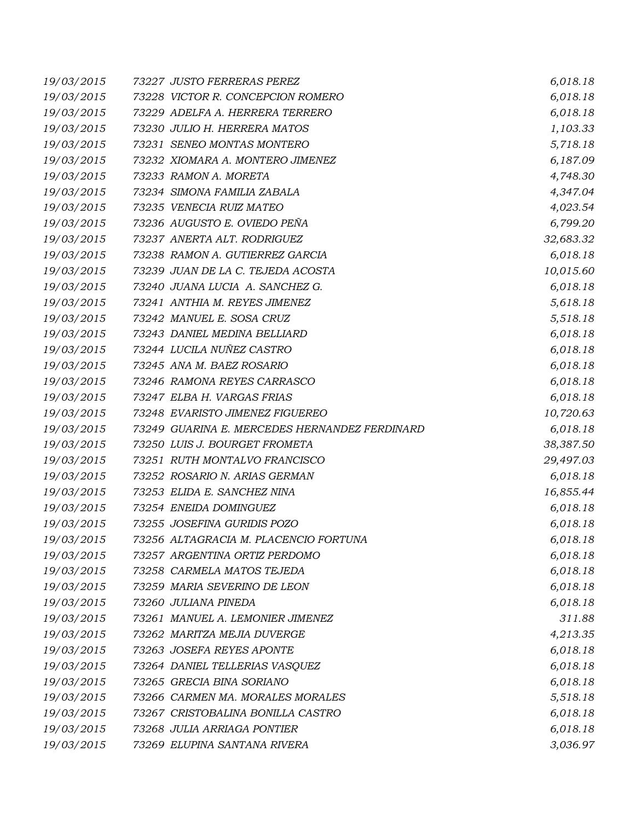| 19/03/2015 | 73227 JUSTO FERRERAS PEREZ                    | 6,018.18  |
|------------|-----------------------------------------------|-----------|
| 19/03/2015 | 73228 VICTOR R. CONCEPCION ROMERO             | 6,018.18  |
| 19/03/2015 | 73229 ADELFA A. HERRERA TERRERO               | 6,018.18  |
| 19/03/2015 | 73230 JULIO H. HERRERA MATOS                  | 1,103.33  |
| 19/03/2015 | 73231 SENEO MONTAS MONTERO                    | 5,718.18  |
| 19/03/2015 | 73232 XIOMARA A. MONTERO JIMENEZ              | 6,187.09  |
| 19/03/2015 | 73233 RAMON A. MORETA                         | 4,748.30  |
| 19/03/2015 | 73234 SIMONA FAMILIA ZABALA                   | 4,347.04  |
| 19/03/2015 | 73235 VENECIA RUIZ MATEO                      | 4,023.54  |
| 19/03/2015 | 73236 AUGUSTO E. OVIEDO PEÑA                  | 6,799.20  |
| 19/03/2015 | 73237 ANERTA ALT. RODRIGUEZ                   | 32,683.32 |
| 19/03/2015 | 73238 RAMON A. GUTIERREZ GARCIA               | 6,018.18  |
| 19/03/2015 | 73239 JUAN DE LA C. TEJEDA ACOSTA             | 10,015.60 |
| 19/03/2015 | 73240 JUANA LUCIA A. SANCHEZ G.               | 6,018.18  |
| 19/03/2015 | 73241 ANTHIA M. REYES JIMENEZ                 | 5,618.18  |
| 19/03/2015 | 73242 MANUEL E. SOSA CRUZ                     | 5,518.18  |
| 19/03/2015 | 73243 DANIEL MEDINA BELLIARD                  | 6,018.18  |
| 19/03/2015 | 73244 LUCILA NUÑEZ CASTRO                     | 6,018.18  |
| 19/03/2015 | 73245 ANA M. BAEZ ROSARIO                     | 6,018.18  |
| 19/03/2015 | 73246 RAMONA REYES CARRASCO                   | 6,018.18  |
| 19/03/2015 | 73247 ELBA H. VARGAS FRIAS                    | 6,018.18  |
| 19/03/2015 | 73248 EVARISTO JIMENEZ FIGUEREO               | 10,720.63 |
| 19/03/2015 | 73249 GUARINA E. MERCEDES HERNANDEZ FERDINARD | 6,018.18  |
| 19/03/2015 | 73250 LUIS J. BOURGET FROMETA                 | 38,387.50 |
| 19/03/2015 | 73251 RUTH MONTALVO FRANCISCO                 | 29,497.03 |
| 19/03/2015 | 73252 ROSARIO N. ARIAS GERMAN                 | 6,018.18  |
| 19/03/2015 | 73253 ELIDA E. SANCHEZ NINA                   | 16,855.44 |
| 19/03/2015 | 73254 ENEIDA DOMINGUEZ                        | 6,018.18  |
| 19/03/2015 | 73255 JOSEFINA GURIDIS POZO                   | 6,018.18  |
| 19/03/2015 | 73256 ALTAGRACIA M. PLACENCIO FORTUNA         | 6,018.18  |
| 19/03/2015 | 73257 ARGENTINA ORTIZ PERDOMO                 | 6,018.18  |
| 19/03/2015 | 73258 CARMELA MATOS TEJEDA                    | 6,018.18  |
| 19/03/2015 | 73259 MARIA SEVERINO DE LEON                  | 6,018.18  |
| 19/03/2015 | 73260 JULIANA PINEDA                          | 6,018.18  |
| 19/03/2015 | 73261 MANUEL A. LEMONIER JIMENEZ              | 311.88    |
| 19/03/2015 | 73262 MARITZA MEJIA DUVERGE                   | 4,213.35  |
| 19/03/2015 | 73263 JOSEFA REYES APONTE                     | 6,018.18  |
| 19/03/2015 | 73264 DANIEL TELLERIAS VASQUEZ                | 6,018.18  |
| 19/03/2015 | 73265 GRECIA BINA SORIANO                     | 6,018.18  |
| 19/03/2015 | 73266 CARMEN MA. MORALES MORALES              | 5,518.18  |
| 19/03/2015 | 73267 CRISTOBALINA BONILLA CASTRO             | 6,018.18  |
| 19/03/2015 | 73268 JULIA ARRIAGA PONTIER                   | 6,018.18  |
| 19/03/2015 | 73269 ELUPINA SANTANA RIVERA                  | 3,036.97  |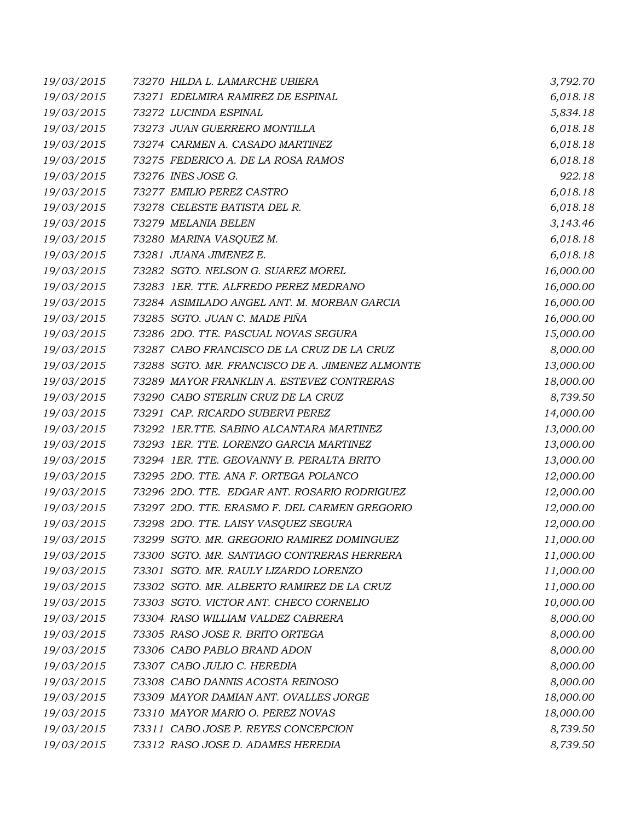| 19/03/2015 | 73270 HILDA L. LAMARCHE UBIERA                  | 3,792.70  |
|------------|-------------------------------------------------|-----------|
| 19/03/2015 | 73271 EDELMIRA RAMIREZ DE ESPINAL               | 6,018.18  |
| 19/03/2015 | 73272 LUCINDA ESPINAL                           | 5,834.18  |
| 19/03/2015 | 73273 JUAN GUERRERO MONTILLA                    | 6,018.18  |
| 19/03/2015 | 73274 CARMEN A. CASADO MARTINEZ                 | 6,018.18  |
| 19/03/2015 | 73275 FEDERICO A. DE LA ROSA RAMOS              | 6,018.18  |
| 19/03/2015 | 73276 INES JOSE G.                              | 922.18    |
| 19/03/2015 | 73277 EMILIO PEREZ CASTRO                       | 6,018.18  |
| 19/03/2015 | 73278 CELESTE BATISTA DEL R.                    | 6,018.18  |
| 19/03/2015 | 73279 MELANIA BELEN                             | 3,143.46  |
| 19/03/2015 | 73280 MARINA VASQUEZ M.                         | 6,018.18  |
| 19/03/2015 | 73281 JUANA JIMENEZ E.                          | 6,018.18  |
| 19/03/2015 | 73282 SGTO. NELSON G. SUAREZ MOREL              | 16,000.00 |
| 19/03/2015 | 73283 1ER. TTE. ALFREDO PEREZ MEDRANO           | 16,000.00 |
| 19/03/2015 | 73284 ASIMILADO ANGEL ANT. M. MORBAN GARCIA     | 16,000.00 |
| 19/03/2015 | 73285 SGTO. JUAN C. MADE PIÑA                   | 16,000.00 |
| 19/03/2015 | 73286 2DO. TTE. PASCUAL NOVAS SEGURA            | 15,000.00 |
| 19/03/2015 | 73287 CABO FRANCISCO DE LA CRUZ DE LA CRUZ      | 8,000.00  |
| 19/03/2015 | 73288 SGTO. MR. FRANCISCO DE A. JIMENEZ ALMONTE | 13,000.00 |
| 19/03/2015 | 73289 MAYOR FRANKLIN A. ESTEVEZ CONTRERAS       | 18,000.00 |
| 19/03/2015 | 73290 CABO STERLIN CRUZ DE LA CRUZ              | 8,739.50  |
| 19/03/2015 | 73291 CAP. RICARDO SUBERVI PEREZ                | 14,000.00 |
| 19/03/2015 | 73292 IER.TTE. SABINO ALCANTARA MARTINEZ        | 13,000.00 |
| 19/03/2015 | 73293 1ER. TTE. LORENZO GARCIA MARTINEZ         | 13,000.00 |
| 19/03/2015 | 73294 IER. TTE. GEOVANNY B. PERALTA BRITO       | 13,000.00 |
| 19/03/2015 | 73295 2DO. TTE. ANA F. ORTEGA POLANCO           | 12,000.00 |
| 19/03/2015 | 73296 2DO. TTE. EDGAR ANT. ROSARIO RODRIGUEZ    | 12,000.00 |
| 19/03/2015 | 73297 2DO. TTE. ERASMO F. DEL CARMEN GREGORIO   | 12,000.00 |
| 19/03/2015 | 73298 2DO. TTE. LAISY VASQUEZ SEGURA            | 12,000.00 |
| 19/03/2015 | 73299 SGTO. MR. GREGORIO RAMIREZ DOMINGUEZ      | 11,000.00 |
| 19/03/2015 | 73300 SGTO. MR. SANTIAGO CONTRERAS HERRERA      | 11,000.00 |
| 19/03/2015 | 73301 SGTO. MR. RAULY LIZARDO LORENZO           | 11,000.00 |
| 19/03/2015 | 73302 SGTO. MR. ALBERTO RAMIREZ DE LA CRUZ      | 11,000.00 |
| 19/03/2015 | 73303 SGTO. VICTOR ANT. CHECO CORNELIO          | 10,000.00 |
| 19/03/2015 | 73304 RASO WILLIAM VALDEZ CABRERA               | 8,000.00  |
| 19/03/2015 | 73305 RASO JOSE R. BRITO ORTEGA                 | 8,000.00  |
| 19/03/2015 | 73306 CABO PABLO BRAND ADON                     | 8,000.00  |
| 19/03/2015 | 73307 CABO JULIO C. HEREDIA                     | 8,000.00  |
| 19/03/2015 | 73308 CABO DANNIS ACOSTA REINOSO                | 8,000.00  |
| 19/03/2015 | 73309 MAYOR DAMIAN ANT. OVALLES JORGE           | 18,000.00 |
| 19/03/2015 | 73310 MAYOR MARIO O. PEREZ NOVAS                | 18,000.00 |
| 19/03/2015 | 73311 CABO JOSE P. REYES CONCEPCION             | 8,739.50  |
| 19/03/2015 | 73312 RASO JOSE D. ADAMES HEREDIA               | 8,739.50  |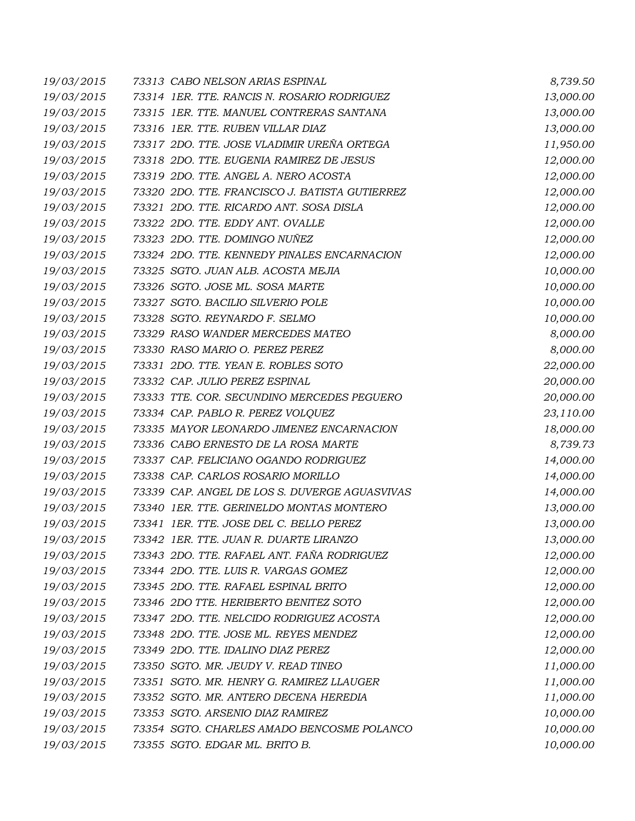| 19/03/2015 | 73313 CABO NELSON ARIAS ESPINAL                | 8,739.50  |
|------------|------------------------------------------------|-----------|
| 19/03/2015 | 73314 1ER. TTE. RANCIS N. ROSARIO RODRIGUEZ    | 13,000.00 |
| 19/03/2015 | 73315 1ER. TTE. MANUEL CONTRERAS SANTANA       | 13,000.00 |
| 19/03/2015 | 73316 1ER. TTE. RUBEN VILLAR DIAZ              | 13,000.00 |
| 19/03/2015 | 73317 2DO. TTE. JOSE VLADIMIR UREÑA ORTEGA     | 11,950.00 |
| 19/03/2015 | 73318 2DO. TTE. EUGENIA RAMIREZ DE JESUS       | 12,000.00 |
| 19/03/2015 | 73319 2DO. TTE. ANGEL A. NERO ACOSTA           | 12,000.00 |
| 19/03/2015 | 73320 2DO. TTE. FRANCISCO J. BATISTA GUTIERREZ | 12,000.00 |
| 19/03/2015 | 73321 2DO. TTE. RICARDO ANT. SOSA DISLA        | 12,000.00 |
| 19/03/2015 | 73322 2DO. TTE. EDDY ANT. OVALLE               | 12,000.00 |
| 19/03/2015 | 73323 2DO. TTE. DOMINGO NUÑEZ                  | 12,000.00 |
| 19/03/2015 | 73324 2DO. TTE. KENNEDY PINALES ENCARNACION    | 12,000.00 |
| 19/03/2015 | 73325 SGTO. JUAN ALB. ACOSTA MEJIA             | 10,000.00 |
| 19/03/2015 | 73326 SGTO. JOSE ML. SOSA MARTE                | 10,000.00 |
| 19/03/2015 | 73327 SGTO. BACILIO SILVERIO POLE              | 10,000.00 |
| 19/03/2015 | 73328 SGTO. REYNARDO F. SELMO                  | 10,000.00 |
| 19/03/2015 | 73329 RASO WANDER MERCEDES MATEO               | 8,000.00  |
| 19/03/2015 | 73330 RASO MARIO O. PEREZ PEREZ                | 8,000.00  |
| 19/03/2015 | 73331 2DO. TTE. YEAN E. ROBLES SOTO            | 22,000.00 |
| 19/03/2015 | 73332 CAP. JULIO PEREZ ESPINAL                 | 20,000.00 |
| 19/03/2015 | 73333 TTE. COR. SECUNDINO MERCEDES PEGUERO     | 20,000.00 |
| 19/03/2015 | 73334 CAP. PABLO R. PEREZ VOLQUEZ              | 23,110.00 |
| 19/03/2015 | 73335 MAYOR LEONARDO JIMENEZ ENCARNACION       | 18,000.00 |
| 19/03/2015 | 73336 CABO ERNESTO DE LA ROSA MARTE            | 8,739.73  |
| 19/03/2015 | 73337 CAP. FELICIANO OGANDO RODRIGUEZ          | 14,000.00 |
| 19/03/2015 | 73338 CAP. CARLOS ROSARIO MORILLO              | 14,000.00 |
| 19/03/2015 | 73339 CAP. ANGEL DE LOS S. DUVERGE AGUASVIVAS  | 14,000.00 |
| 19/03/2015 | 73340 1ER. TTE. GERINELDO MONTAS MONTERO       | 13,000.00 |
| 19/03/2015 | 73341 IER. TTE. JOSE DEL C. BELLO PEREZ        | 13,000.00 |
| 19/03/2015 | 73342 IER. TTE. JUAN R. DUARTE LIRANZO         | 13,000.00 |
| 19/03/2015 | 73343 2DO. TTE. RAFAEL ANT. FAÑA RODRIGUEZ     | 12,000.00 |
| 19/03/2015 | 73344 2DO. TTE. LUIS R. VARGAS GOMEZ           | 12,000.00 |
| 19/03/2015 | 73345 2DO. TTE. RAFAEL ESPINAL BRITO           | 12,000.00 |
| 19/03/2015 | 73346 2DO TTE. HERIBERTO BENITEZ SOTO          | 12,000.00 |
| 19/03/2015 | 73347 2DO. TTE. NELCIDO RODRIGUEZ ACOSTA       | 12,000.00 |
| 19/03/2015 | 73348 2DO. TTE. JOSE ML. REYES MENDEZ          | 12,000.00 |
| 19/03/2015 | 73349 2DO. TTE. IDALINO DIAZ PEREZ             | 12,000.00 |
| 19/03/2015 | 73350 SGTO. MR. JEUDY V. READ TINEO            | 11,000.00 |
| 19/03/2015 | 73351 SGTO. MR. HENRY G. RAMIREZ LLAUGER       | 11,000.00 |
| 19/03/2015 | 73352 SGTO. MR. ANTERO DECENA HEREDIA          | 11,000.00 |
| 19/03/2015 | 73353 SGTO. ARSENIO DIAZ RAMIREZ               | 10,000.00 |
| 19/03/2015 | 73354 SGTO. CHARLES AMADO BENCOSME POLANCO     | 10,000.00 |
| 19/03/2015 | 73355 SGTO. EDGAR ML. BRITO B.                 | 10,000.00 |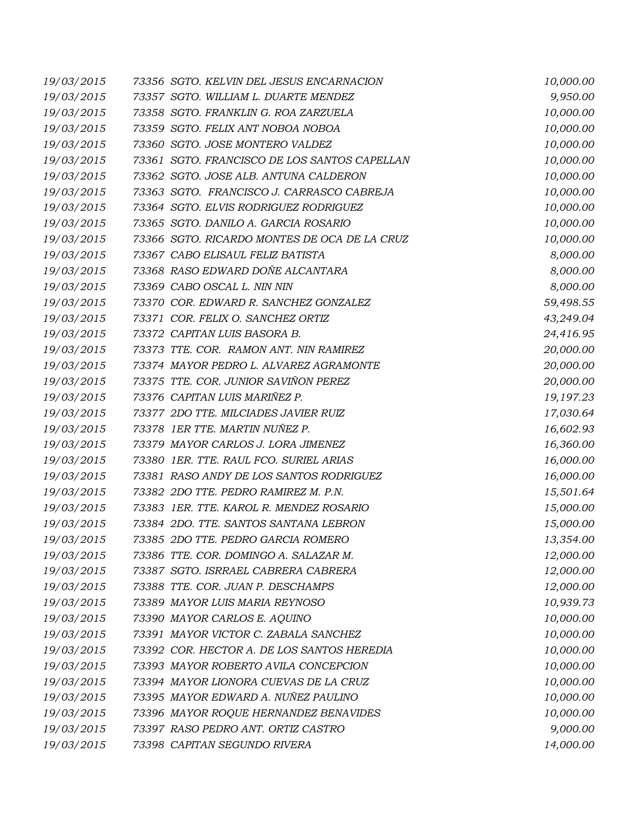| 19/03/2015 | 73356 SGTO. KELVIN DEL JESUS ENCARNACION     | 10,000.00 |
|------------|----------------------------------------------|-----------|
| 19/03/2015 | 73357 SGTO. WILLIAM L. DUARTE MENDEZ         | 9,950.00  |
| 19/03/2015 | 73358 SGTO. FRANKLIN G. ROA ZARZUELA         | 10,000.00 |
| 19/03/2015 | 73359 SGTO. FELIX ANT NOBOA NOBOA            | 10,000.00 |
| 19/03/2015 | 73360 SGTO. JOSE MONTERO VALDEZ              | 10,000.00 |
| 19/03/2015 | 73361 SGTO. FRANCISCO DE LOS SANTOS CAPELLAN | 10,000.00 |
| 19/03/2015 | 73362 SGTO. JOSE ALB. ANTUNA CALDERON        | 10,000.00 |
| 19/03/2015 | 73363 SGTO. FRANCISCO J. CARRASCO CABREJA    | 10,000.00 |
| 19/03/2015 | 73364 SGTO. ELVIS RODRIGUEZ RODRIGUEZ        | 10,000.00 |
| 19/03/2015 | 73365 SGTO. DANILO A. GARCIA ROSARIO         | 10,000.00 |
| 19/03/2015 | 73366 SGTO. RICARDO MONTES DE OCA DE LA CRUZ | 10,000.00 |
| 19/03/2015 | 73367 CABO ELISAUL FELIZ BATISTA             | 8,000.00  |
| 19/03/2015 | 73368 RASO EDWARD DOÑE ALCANTARA             | 8,000.00  |
| 19/03/2015 | 73369 CABO OSCAL L. NIN NIN                  | 8,000.00  |
| 19/03/2015 | 73370 COR. EDWARD R. SANCHEZ GONZALEZ        | 59,498.55 |
| 19/03/2015 | 73371 COR. FELIX O. SANCHEZ ORTIZ            | 43,249.04 |
| 19/03/2015 | 73372 CAPITAN LUIS BASORA B.                 | 24,416.95 |
| 19/03/2015 | 73373 TTE. COR. RAMON ANT. NIN RAMIREZ       | 20,000.00 |
| 19/03/2015 | 73374 MAYOR PEDRO L. ALVAREZ AGRAMONTE       | 20,000.00 |
| 19/03/2015 | 73375 TTE. COR. JUNIOR SAVIÑON PEREZ         | 20,000.00 |
| 19/03/2015 | 73376 CAPITAN LUIS MARIÑEZ P.                | 19,197.23 |
| 19/03/2015 | 73377 2DO TTE. MILCIADES JAVIER RUIZ         | 17,030.64 |
| 19/03/2015 | 73378 1ER TTE. MARTIN NUÑEZ P.               | 16,602.93 |
| 19/03/2015 | 73379 MAYOR CARLOS J. LORA JIMENEZ           | 16,360.00 |
| 19/03/2015 | 73380 1ER. TTE. RAUL FCO. SURIEL ARIAS       | 16,000.00 |
| 19/03/2015 | 73381 RASO ANDY DE LOS SANTOS RODRIGUEZ      | 16,000.00 |
| 19/03/2015 | 73382 2DO TTE. PEDRO RAMIREZ M. P.N.         | 15,501.64 |
| 19/03/2015 | 73383 1ER. TTE. KAROL R. MENDEZ ROSARIO      | 15,000.00 |
| 19/03/2015 | 73384 2DO. TTE. SANTOS SANTANA LEBRON        | 15,000.00 |
| 19/03/2015 | 73385 2DO TTE. PEDRO GARCIA ROMERO           | 13,354.00 |
| 19/03/2015 | 73386 TTE. COR. DOMINGO A. SALAZAR M.        | 12,000.00 |
| 19/03/2015 | 73387 SGTO. ISRRAEL CABRERA CABRERA          | 12,000.00 |
| 19/03/2015 | 73388 TTE. COR. JUAN P. DESCHAMPS            | 12,000.00 |
| 19/03/2015 | 73389 MAYOR LUIS MARIA REYNOSO               | 10,939.73 |
| 19/03/2015 | 73390 MAYOR CARLOS E. AQUINO                 | 10,000.00 |
| 19/03/2015 | 73391 MAYOR VICTOR C. ZABALA SANCHEZ         | 10,000.00 |
| 19/03/2015 | 73392 COR. HECTOR A. DE LOS SANTOS HEREDIA   | 10,000.00 |
| 19/03/2015 | 73393 MAYOR ROBERTO AVILA CONCEPCION         | 10,000.00 |
| 19/03/2015 | 73394 MAYOR LIONORA CUEVAS DE LA CRUZ        | 10,000.00 |
| 19/03/2015 | 73395 MAYOR EDWARD A. NUÑEZ PAULINO          | 10,000.00 |
| 19/03/2015 | 73396 MAYOR ROQUE HERNANDEZ BENAVIDES        | 10,000.00 |
| 19/03/2015 | 73397 RASO PEDRO ANT. ORTIZ CASTRO           | 9,000.00  |
| 19/03/2015 | 73398 CAPITAN SEGUNDO RIVERA                 | 14,000.00 |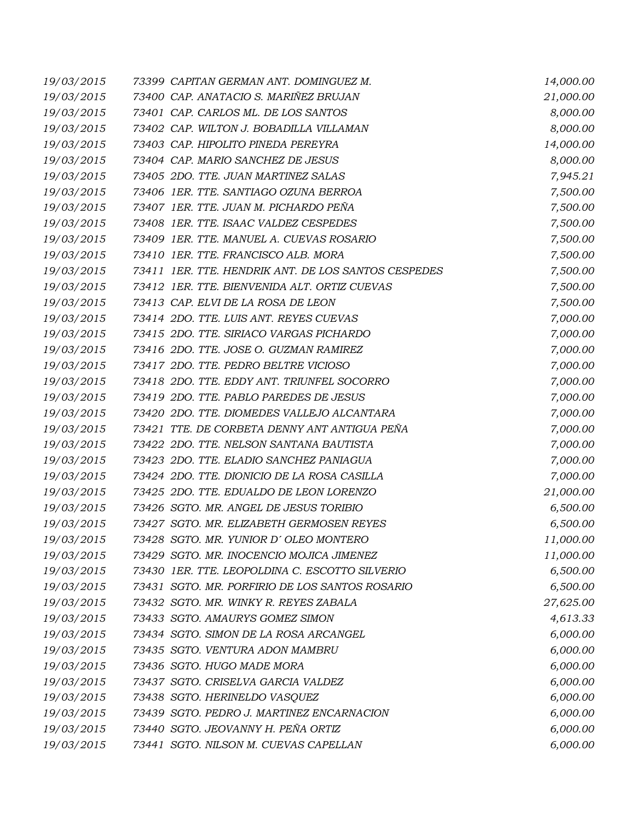| 19/03/2015 | 73399 CAPITAN GERMAN ANT. DOMINGUEZ M.              | 14,000.00 |
|------------|-----------------------------------------------------|-----------|
| 19/03/2015 | 73400 CAP. ANATACIO S. MARIÑEZ BRUJAN               | 21,000.00 |
| 19/03/2015 | 73401 CAP. CARLOS ML. DE LOS SANTOS                 | 8,000.00  |
| 19/03/2015 | 73402 CAP. WILTON J. BOBADILLA VILLAMAN             | 8,000.00  |
| 19/03/2015 | 73403 CAP. HIPOLITO PINEDA PEREYRA                  | 14,000.00 |
| 19/03/2015 | 73404 CAP. MARIO SANCHEZ DE JESUS                   | 8,000.00  |
| 19/03/2015 | 73405 2DO. TTE. JUAN MARTINEZ SALAS                 | 7,945.21  |
| 19/03/2015 | 73406 1ER. TTE. SANTIAGO OZUNA BERROA               | 7,500.00  |
| 19/03/2015 | 73407 IER. TTE. JUAN M. PICHARDO PEÑA               | 7,500.00  |
| 19/03/2015 | 73408 1ER. TTE. ISAAC VALDEZ CESPEDES               | 7,500.00  |
| 19/03/2015 | 73409 1ER. TTE. MANUEL A. CUEVAS ROSARIO            | 7,500.00  |
| 19/03/2015 | 73410 1ER. TTE. FRANCISCO ALB. MORA                 | 7,500.00  |
| 19/03/2015 | 73411 IER. TTE. HENDRIK ANT. DE LOS SANTOS CESPEDES | 7,500.00  |
| 19/03/2015 | 73412 IER. TTE. BIENVENIDA ALT. ORTIZ CUEVAS        | 7,500.00  |
| 19/03/2015 | 73413 CAP. ELVI DE LA ROSA DE LEON                  | 7,500.00  |
| 19/03/2015 | 73414 2DO. TTE. LUIS ANT. REYES CUEVAS              | 7,000.00  |
| 19/03/2015 | 73415 2DO. TTE. SIRIACO VARGAS PICHARDO             | 7,000.00  |
| 19/03/2015 | 73416 2DO. TTE. JOSE O. GUZMAN RAMIREZ              | 7,000.00  |
| 19/03/2015 | 73417 2DO. TTE. PEDRO BELTRE VICIOSO                | 7,000.00  |
| 19/03/2015 | 73418 2DO. TTE. EDDY ANT. TRIUNFEL SOCORRO          | 7,000.00  |
| 19/03/2015 | 73419 2DO. TTE. PABLO PAREDES DE JESUS              | 7,000.00  |
| 19/03/2015 | 73420 2DO. TTE. DIOMEDES VALLEJO ALCANTARA          | 7,000.00  |
| 19/03/2015 | 73421 TTE. DE CORBETA DENNY ANT ANTIGUA PEÑA        | 7,000.00  |
| 19/03/2015 | 73422 2DO. TTE. NELSON SANTANA BAUTISTA             | 7,000.00  |
| 19/03/2015 | 73423 2DO. TTE. ELADIO SANCHEZ PANIAGUA             | 7,000.00  |
| 19/03/2015 | 73424 2DO. TTE. DIONICIO DE LA ROSA CASILLA         | 7,000.00  |
| 19/03/2015 | 73425 2DO. TTE. EDUALDO DE LEON LORENZO             | 21,000.00 |
| 19/03/2015 | 73426 SGTO. MR. ANGEL DE JESUS TORIBIO              | 6,500.00  |
| 19/03/2015 | 73427 SGTO. MR. ELIZABETH GERMOSEN REYES            | 6,500.00  |
| 19/03/2015 | 73428 SGTO. MR. YUNIOR D'OLEO MONTERO               | 11,000.00 |
| 19/03/2015 | 73429 SGTO. MR. INOCENCIO MOJICA JIMENEZ            | 11,000.00 |
| 19/03/2015 | 73430 1ER. TTE. LEOPOLDINA C. ESCOTTO SILVERIO      | 6,500.00  |
| 19/03/2015 | 73431 SGTO. MR. PORFIRIO DE LOS SANTOS ROSARIO      | 6,500.00  |
| 19/03/2015 | 73432 SGTO. MR. WINKY R. REYES ZABALA               | 27,625.00 |
| 19/03/2015 | 73433 SGTO. AMAURYS GOMEZ SIMON                     | 4,613.33  |
| 19/03/2015 | 73434 SGTO. SIMON DE LA ROSA ARCANGEL               | 6,000.00  |
| 19/03/2015 | 73435 SGTO. VENTURA ADON MAMBRU                     | 6,000.00  |
| 19/03/2015 | 73436 SGTO. HUGO MADE MORA                          | 6,000.00  |
| 19/03/2015 | 73437 SGTO. CRISELVA GARCIA VALDEZ                  | 6,000.00  |
| 19/03/2015 | 73438 SGTO. HERINELDO VASQUEZ                       | 6,000.00  |
| 19/03/2015 | 73439 SGTO. PEDRO J. MARTINEZ ENCARNACION           | 6,000.00  |
| 19/03/2015 | 73440 SGTO. JEOVANNY H. PEÑA ORTIZ                  | 6,000.00  |
| 19/03/2015 | 73441 SGTO. NILSON M. CUEVAS CAPELLAN               | 6,000.00  |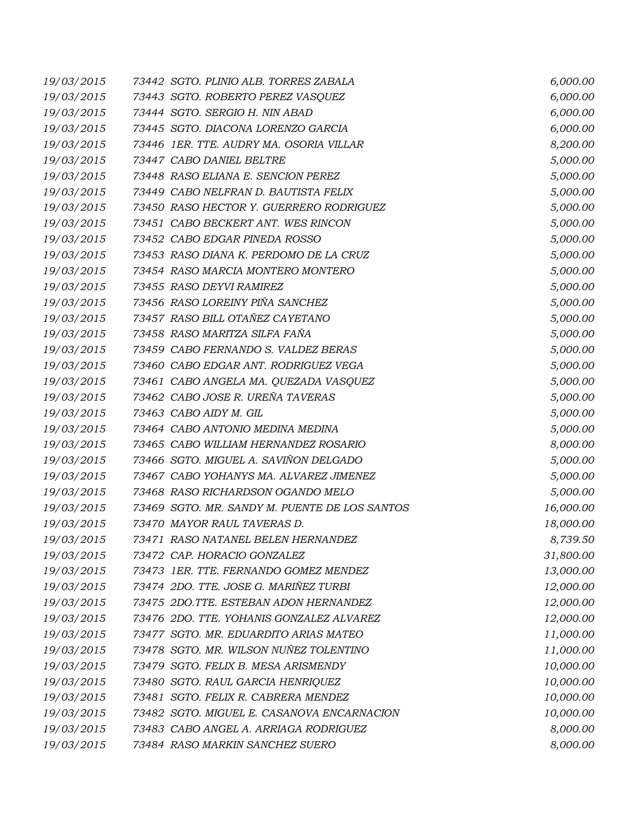| 19/03/2015 | 73442 SGTO. PLINIO ALB. TORRES ZABALA         | 6,000.00  |
|------------|-----------------------------------------------|-----------|
| 19/03/2015 | 73443 SGTO. ROBERTO PEREZ VASQUEZ             | 6,000.00  |
| 19/03/2015 | 73444 SGTO. SERGIO H. NIN ABAD                | 6,000.00  |
| 19/03/2015 | 73445 SGTO. DIACONA LORENZO GARCIA            | 6,000.00  |
| 19/03/2015 | 73446 1ER. TTE. AUDRY MA. OSORIA VILLAR       | 8,200.00  |
| 19/03/2015 | 73447 CABO DANIEL BELTRE                      | 5,000.00  |
| 19/03/2015 | 73448 RASO ELIANA E. SENCION PEREZ            | 5,000.00  |
| 19/03/2015 | 73449 CABO NELFRAN D. BAUTISTA FELIX          | 5,000.00  |
| 19/03/2015 | 73450 RASO HECTOR Y. GUERRERO RODRIGUEZ       | 5,000.00  |
| 19/03/2015 | 73451 CABO BECKERT ANT. WES RINCON            | 5,000.00  |
| 19/03/2015 | 73452 CABO EDGAR PINEDA ROSSO                 | 5,000.00  |
| 19/03/2015 | 73453 RASO DIANA K. PERDOMO DE LA CRUZ        | 5,000.00  |
| 19/03/2015 | 73454 RASO MARCIA MONTERO MONTERO             | 5,000.00  |
| 19/03/2015 | 73455 RASO DEYVI RAMIREZ                      | 5,000.00  |
| 19/03/2015 | 73456 RASO LOREINY PIÑA SANCHEZ               | 5,000.00  |
| 19/03/2015 | 73457 RASO BILL OTAÑEZ CAYETANO               | 5,000.00  |
| 19/03/2015 | 73458 RASO MARITZA SILFA FAÑA                 | 5,000.00  |
| 19/03/2015 | 73459 CABO FERNANDO S. VALDEZ BERAS           | 5,000.00  |
| 19/03/2015 | 73460 CABO EDGAR ANT. RODRIGUEZ VEGA          | 5,000.00  |
| 19/03/2015 | 73461 CABO ANGELA MA. QUEZADA VASQUEZ         | 5,000.00  |
| 19/03/2015 | 73462 CABO JOSE R. UREÑA TAVERAS              | 5,000.00  |
| 19/03/2015 | 73463 CABO AIDY M. GIL                        | 5,000.00  |
| 19/03/2015 | 73464 CABO ANTONIO MEDINA MEDINA              | 5,000.00  |
| 19/03/2015 | 73465 CABO WILLIAM HERNANDEZ ROSARIO          | 8,000.00  |
| 19/03/2015 | 73466 SGTO. MIGUEL A. SAVIÑON DELGADO         | 5,000.00  |
| 19/03/2015 | 73467 CABO YOHANYS MA. ALVAREZ JIMENEZ        | 5,000.00  |
| 19/03/2015 | 73468 RASO RICHARDSON OGANDO MELO             | 5,000.00  |
| 19/03/2015 | 73469 SGTO. MR. SANDY M. PUENTE DE LOS SANTOS | 16,000.00 |
| 19/03/2015 | 73470 MAYOR RAUL TAVERAS D.                   | 18,000.00 |
| 19/03/2015 | 73471 RASO NATANEL BELEN HERNANDEZ            | 8,739.50  |
| 19/03/2015 | 73472 CAP. HORACIO GONZALEZ                   | 31,800.00 |
| 19/03/2015 | 73473 IER. TTE. FERNANDO GOMEZ MENDEZ         | 13,000.00 |
| 19/03/2015 | 73474 2DO. TTE. JOSE G. MARIÑEZ TURBI         | 12,000.00 |
| 19/03/2015 | 73475 2DO.TTE. ESTEBAN ADON HERNANDEZ         | 12,000.00 |
| 19/03/2015 | 73476 2DO. TTE. YOHANIS GONZALEZ ALVAREZ      | 12,000.00 |
| 19/03/2015 | 73477 SGTO. MR. EDUARDITO ARIAS MATEO         | 11,000.00 |
| 19/03/2015 | 73478 SGTO. MR. WILSON NUÑEZ TOLENTINO        | 11,000.00 |
| 19/03/2015 | 73479 SGTO. FELIX B. MESA ARISMENDY           | 10,000.00 |
| 19/03/2015 | 73480 SGTO. RAUL GARCIA HENRIQUEZ             | 10,000.00 |
| 19/03/2015 | 73481 SGTO. FELIX R. CABRERA MENDEZ           | 10,000.00 |
| 19/03/2015 | 73482 SGTO. MIGUEL E. CASANOVA ENCARNACION    | 10,000.00 |
| 19/03/2015 | 73483 CABO ANGEL A. ARRIAGA RODRIGUEZ         | 8,000.00  |
| 19/03/2015 | 73484 RASO MARKIN SANCHEZ SUERO               | 8,000.00  |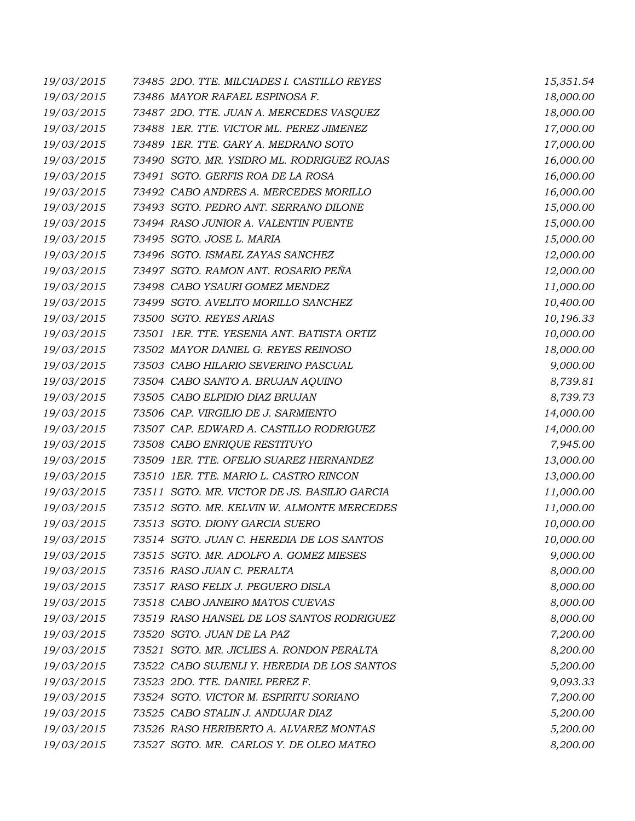| 19/03/2015 | 73485 2DO. TTE. MILCIADES I. CASTILLO REYES  | 15,351.54 |
|------------|----------------------------------------------|-----------|
| 19/03/2015 | 73486 MAYOR RAFAEL ESPINOSA F.               | 18,000.00 |
| 19/03/2015 | 73487 2DO. TTE. JUAN A. MERCEDES VASQUEZ     | 18,000.00 |
| 19/03/2015 | 73488 1ER. TTE. VICTOR ML. PEREZ JIMENEZ     | 17,000.00 |
| 19/03/2015 | 73489 IER. TTE. GARY A. MEDRANO SOTO         | 17,000.00 |
| 19/03/2015 | 73490 SGTO. MR. YSIDRO ML. RODRIGUEZ ROJAS   | 16,000.00 |
| 19/03/2015 | 73491 SGTO. GERFIS ROA DE LA ROSA            | 16,000.00 |
| 19/03/2015 | 73492 CABO ANDRES A. MERCEDES MORILLO        | 16,000.00 |
| 19/03/2015 | 73493 SGTO. PEDRO ANT. SERRANO DILONE        | 15,000.00 |
| 19/03/2015 | 73494 RASO JUNIOR A. VALENTIN PUENTE         | 15,000.00 |
| 19/03/2015 | 73495 SGTO. JOSE L. MARIA                    | 15,000.00 |
| 19/03/2015 | 73496 SGTO. ISMAEL ZAYAS SANCHEZ             | 12,000.00 |
| 19/03/2015 | 73497 SGTO. RAMON ANT. ROSARIO PEÑA          | 12,000.00 |
| 19/03/2015 | 73498 CABO YSAURI GOMEZ MENDEZ               | 11,000.00 |
| 19/03/2015 | 73499 SGTO. AVELITO MORILLO SANCHEZ          | 10,400.00 |
| 19/03/2015 | 73500 SGTO. REYES ARIAS                      | 10,196.33 |
| 19/03/2015 | 73501 IER. TTE. YESENIA ANT. BATISTA ORTIZ   | 10,000.00 |
| 19/03/2015 | 73502 MAYOR DANIEL G. REYES REINOSO          | 18,000.00 |
| 19/03/2015 | 73503 CABO HILARIO SEVERINO PASCUAL          | 9,000.00  |
| 19/03/2015 | 73504 CABO SANTO A. BRUJAN AQUINO            | 8,739.81  |
| 19/03/2015 | 73505 CABO ELPIDIO DIAZ BRUJAN               | 8,739.73  |
| 19/03/2015 | 73506 CAP. VIRGILIO DE J. SARMIENTO          | 14,000.00 |
| 19/03/2015 | 73507 CAP. EDWARD A. CASTILLO RODRIGUEZ      | 14,000.00 |
| 19/03/2015 | 73508 CABO ENRIQUE RESTITUYO                 | 7,945.00  |
| 19/03/2015 | 73509 1ER. TTE. OFELIO SUAREZ HERNANDEZ      | 13,000.00 |
| 19/03/2015 | 73510 1ER. TTE. MARIO L. CASTRO RINCON       | 13,000.00 |
| 19/03/2015 | 73511 SGTO. MR. VICTOR DE JS. BASILIO GARCIA | 11,000.00 |
| 19/03/2015 | 73512 SGTO. MR. KELVIN W. ALMONTE MERCEDES   | 11,000.00 |
| 19/03/2015 | 73513 SGTO. DIONY GARCIA SUERO               | 10,000.00 |
| 19/03/2015 | 73514 SGTO. JUAN C. HEREDIA DE LOS SANTOS    | 10,000.00 |
| 19/03/2015 | 73515 SGTO. MR. ADOLFO A. GOMEZ MIESES       | 9,000.00  |
| 19/03/2015 | 73516 RASO JUAN C. PERALTA                   | 8,000.00  |
| 19/03/2015 | 73517 RASO FELIX J. PEGUERO DISLA            | 8,000.00  |
| 19/03/2015 | 73518 CABO JANEIRO MATOS CUEVAS              | 8,000.00  |
| 19/03/2015 | 73519 RASO HANSEL DE LOS SANTOS RODRIGUEZ    | 8,000.00  |
| 19/03/2015 | 73520 SGTO. JUAN DE LA PAZ                   | 7,200.00  |
| 19/03/2015 | 73521 SGTO. MR. JICLIES A. RONDON PERALTA    | 8,200.00  |
| 19/03/2015 | 73522 CABO SUJENLI Y. HEREDIA DE LOS SANTOS  | 5,200.00  |
| 19/03/2015 | 73523 2DO. TTE. DANIEL PEREZ F.              | 9,093.33  |
| 19/03/2015 | 73524 SGTO. VICTOR M. ESPIRITU SORIANO       | 7,200.00  |
| 19/03/2015 | 73525 CABO STALIN J. ANDUJAR DIAZ            | 5,200.00  |
| 19/03/2015 | 73526 RASO HERIBERTO A. ALVAREZ MONTAS       | 5,200.00  |
| 19/03/2015 | 73527 SGTO. MR. CARLOS Y. DE OLEO MATEO      | 8,200.00  |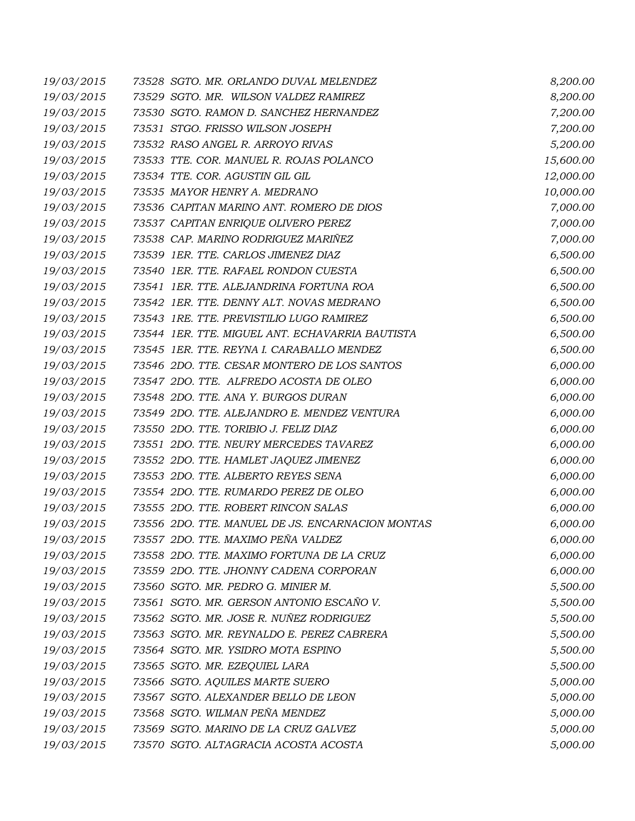| 19/03/2015 | 73528 SGTO. MR. ORLANDO DUVAL MELENDEZ           | 8,200.00  |
|------------|--------------------------------------------------|-----------|
| 19/03/2015 | 73529 SGTO. MR. WILSON VALDEZ RAMIREZ            | 8,200.00  |
| 19/03/2015 | 73530 SGTO. RAMON D. SANCHEZ HERNANDEZ           | 7,200.00  |
| 19/03/2015 | 73531 STGO. FRISSO WILSON JOSEPH                 | 7,200.00  |
| 19/03/2015 | 73532 RASO ANGEL R. ARROYO RIVAS                 | 5,200.00  |
| 19/03/2015 | 73533 TTE. COR. MANUEL R. ROJAS POLANCO          | 15,600.00 |
| 19/03/2015 | 73534 TTE. COR. AGUSTIN GIL GIL                  | 12,000.00 |
| 19/03/2015 | 73535 MAYOR HENRY A. MEDRANO                     | 10,000.00 |
| 19/03/2015 | 73536 CAPITAN MARINO ANT. ROMERO DE DIOS         | 7,000.00  |
| 19/03/2015 | 73537 CAPITAN ENRIQUE OLIVERO PEREZ              | 7,000.00  |
| 19/03/2015 | 73538 CAP. MARINO RODRIGUEZ MARIÑEZ              | 7,000.00  |
| 19/03/2015 | 73539 1ER. TTE. CARLOS JIMENEZ DIAZ              | 6,500.00  |
| 19/03/2015 | 73540 1ER. TTE. RAFAEL RONDON CUESTA             | 6,500.00  |
| 19/03/2015 | 73541 IER. TTE. ALEJANDRINA FORTUNA ROA          | 6,500.00  |
| 19/03/2015 | 73542 1ER. TTE. DENNY ALT. NOVAS MEDRANO         | 6,500.00  |
| 19/03/2015 | 73543 1RE. TTE. PREVISTILIO LUGO RAMIREZ         | 6,500.00  |
| 19/03/2015 | 73544 1ER. TTE. MIGUEL ANT. ECHAVARRIA BAUTISTA  | 6,500.00  |
| 19/03/2015 | 73545 1ER. TTE. REYNA I. CARABALLO MENDEZ        | 6,500.00  |
| 19/03/2015 | 73546 2DO. TTE. CESAR MONTERO DE LOS SANTOS      | 6,000.00  |
| 19/03/2015 | 73547 2DO. TTE. ALFREDO ACOSTA DE OLEO           | 6,000.00  |
| 19/03/2015 | 73548 2DO. TTE. ANA Y. BURGOS DURAN              | 6,000.00  |
| 19/03/2015 | 73549 2DO. TTE. ALEJANDRO E. MENDEZ VENTURA      | 6,000.00  |
| 19/03/2015 | 73550 2DO. TTE. TORIBIO J. FELIZ DIAZ            | 6,000.00  |
| 19/03/2015 | 73551 2DO. TTE. NEURY MERCEDES TAVAREZ           | 6,000.00  |
| 19/03/2015 | 73552 2DO. TTE. HAMLET JAQUEZ JIMENEZ            | 6,000.00  |
| 19/03/2015 | 73553 2DO. TTE. ALBERTO REYES SENA               | 6,000.00  |
| 19/03/2015 | 73554 2DO. TTE. RUMARDO PEREZ DE OLEO            | 6,000.00  |
| 19/03/2015 | 73555 2DO. TTE. ROBERT RINCON SALAS              | 6,000.00  |
| 19/03/2015 | 73556 2DO. TTE. MANUEL DE JS. ENCARNACION MONTAS | 6,000.00  |
| 19/03/2015 | 73557 2DO. TTE. MAXIMO PEÑA VALDEZ               | 6,000.00  |
| 19/03/2015 | 73558 2DO. TTE. MAXIMO FORTUNA DE LA CRUZ        | 6,000.00  |
| 19/03/2015 | 73559 2DO. TTE. JHONNY CADENA CORPORAN           | 6,000.00  |
| 19/03/2015 | 73560 SGTO. MR. PEDRO G. MINIER M.               | 5,500.00  |
| 19/03/2015 | 73561 SGTO. MR. GERSON ANTONIO ESCAÑO V.         | 5,500.00  |
| 19/03/2015 | 73562 SGTO. MR. JOSE R. NUÑEZ RODRIGUEZ          | 5,500.00  |
| 19/03/2015 | 73563 SGTO. MR. REYNALDO E. PEREZ CABRERA        | 5,500.00  |
| 19/03/2015 | 73564 SGTO. MR. YSIDRO MOTA ESPINO               | 5,500.00  |
| 19/03/2015 | 73565 SGTO. MR. EZEQUIEL LARA                    | 5,500.00  |
| 19/03/2015 | 73566 SGTO. AQUILES MARTE SUERO                  | 5,000.00  |
| 19/03/2015 | 73567 SGTO. ALEXANDER BELLO DE LEON              | 5,000.00  |
| 19/03/2015 | 73568 SGTO. WILMAN PEÑA MENDEZ                   | 5,000.00  |
| 19/03/2015 | 73569 SGTO. MARINO DE LA CRUZ GALVEZ             | 5,000.00  |
| 19/03/2015 | 73570 SGTO. ALTAGRACIA ACOSTA ACOSTA             | 5,000.00  |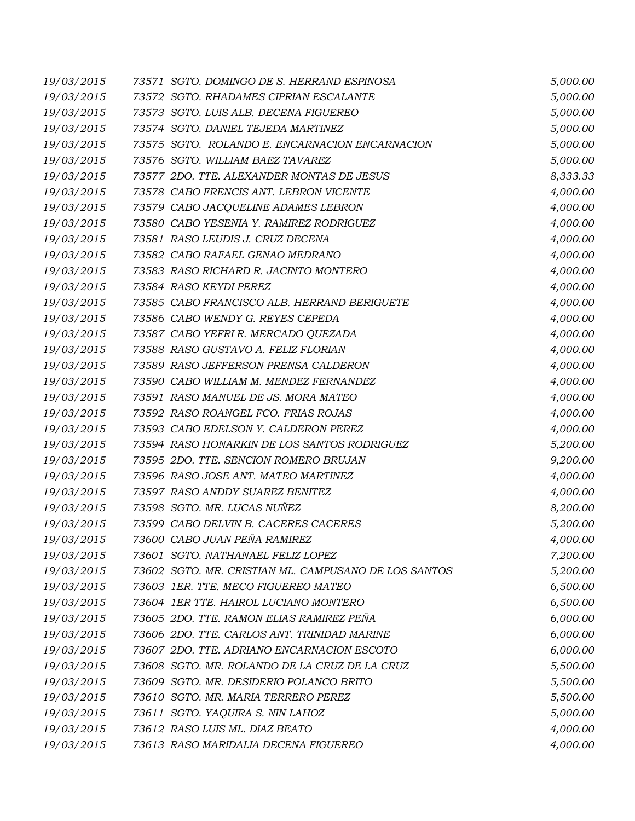| 19/03/2015 | 73571 SGTO. DOMINGO DE S. HERRAND ESPINOSA           | 5,000.00 |
|------------|------------------------------------------------------|----------|
| 19/03/2015 | 73572 SGTO. RHADAMES CIPRIAN ESCALANTE               | 5,000.00 |
| 19/03/2015 | 73573 SGTO. LUIS ALB. DECENA FIGUEREO                | 5,000.00 |
| 19/03/2015 | 73574 SGTO. DANIEL TEJEDA MARTINEZ                   | 5,000.00 |
| 19/03/2015 | 73575 SGTO. ROLANDO E. ENCARNACION ENCARNACION       | 5,000.00 |
| 19/03/2015 | 73576 SGTO. WILLIAM BAEZ TAVAREZ                     | 5,000.00 |
| 19/03/2015 | 73577 2DO. TTE. ALEXANDER MONTAS DE JESUS            | 8,333.33 |
| 19/03/2015 | 73578 CABO FRENCIS ANT. LEBRON VICENTE               | 4,000.00 |
| 19/03/2015 | 73579 CABO JACQUELINE ADAMES LEBRON                  | 4,000.00 |
| 19/03/2015 | 73580 CABO YESENIA Y. RAMIREZ RODRIGUEZ              | 4,000.00 |
| 19/03/2015 | 73581 RASO LEUDIS J. CRUZ DECENA                     | 4,000.00 |
| 19/03/2015 | 73582 CABO RAFAEL GENAO MEDRANO                      | 4,000.00 |
| 19/03/2015 | 73583 RASO RICHARD R. JACINTO MONTERO                | 4,000.00 |
| 19/03/2015 | 73584 RASO KEYDI PEREZ                               | 4,000.00 |
| 19/03/2015 | 73585 CABO FRANCISCO ALB. HERRAND BERIGUETE          | 4,000.00 |
| 19/03/2015 | 73586 CABO WENDY G. REYES CEPEDA                     | 4,000.00 |
| 19/03/2015 | 73587 CABO YEFRI R. MERCADO QUEZADA                  | 4,000.00 |
| 19/03/2015 | 73588 RASO GUSTAVO A. FELIZ FLORIAN                  | 4,000.00 |
| 19/03/2015 | 73589 RASO JEFFERSON PRENSA CALDERON                 | 4,000.00 |
| 19/03/2015 | 73590 CABO WILLIAM M. MENDEZ FERNANDEZ               | 4,000.00 |
| 19/03/2015 | 73591 RASO MANUEL DE JS. MORA MATEO                  | 4,000.00 |
| 19/03/2015 | 73592 RASO ROANGEL FCO. FRIAS ROJAS                  | 4,000.00 |
| 19/03/2015 | 73593 CABO EDELSON Y. CALDERON PEREZ                 | 4,000.00 |
| 19/03/2015 | 73594 RASO HONARKIN DE LOS SANTOS RODRIGUEZ          | 5,200.00 |
| 19/03/2015 | 73595 2DO. TTE. SENCION ROMERO BRUJAN                | 9,200.00 |
| 19/03/2015 | 73596 RASO JOSE ANT. MATEO MARTINEZ                  | 4,000.00 |
| 19/03/2015 | 73597 RASO ANDDY SUAREZ BENITEZ                      | 4,000.00 |
| 19/03/2015 | 73598 SGTO. MR. LUCAS NUÑEZ                          | 8,200.00 |
| 19/03/2015 | 73599 CABO DELVIN B. CACERES CACERES                 | 5,200.00 |
| 19/03/2015 | 73600 CABO JUAN PEÑA RAMIREZ                         | 4,000.00 |
| 19/03/2015 | 73601 SGTO, NATHANAEL FELIZ LOPEZ                    | 7,200.00 |
| 19/03/2015 | 73602 SGTO. MR. CRISTIAN ML. CAMPUSANO DE LOS SANTOS | 5,200.00 |
| 19/03/2015 | 73603 1ER. TTE. MECO FIGUEREO MATEO                  | 6,500.00 |
| 19/03/2015 | 73604 1ER TTE. HAIROL LUCIANO MONTERO                | 6,500.00 |
| 19/03/2015 | 73605 2DO. TTE. RAMON ELIAS RAMIREZ PEÑA             | 6,000.00 |
| 19/03/2015 | 73606 2DO. TTE. CARLOS ANT. TRINIDAD MARINE          | 6,000.00 |
| 19/03/2015 | 73607 2DO. TTE. ADRIANO ENCARNACION ESCOTO           | 6,000.00 |
| 19/03/2015 | 73608 SGTO. MR. ROLANDO DE LA CRUZ DE LA CRUZ        | 5,500.00 |
| 19/03/2015 | 73609 SGTO. MR. DESIDERIO POLANCO BRITO              | 5,500.00 |
| 19/03/2015 | 73610 SGTO. MR. MARIA TERRERO PEREZ                  | 5,500.00 |
| 19/03/2015 | 73611 SGTO. YAQUIRA S. NIN LAHOZ                     | 5,000.00 |
| 19/03/2015 | 73612 RASO LUIS ML. DIAZ BEATO                       | 4,000.00 |
| 19/03/2015 | 73613 RASO MARIDALIA DECENA FIGUEREO                 | 4,000.00 |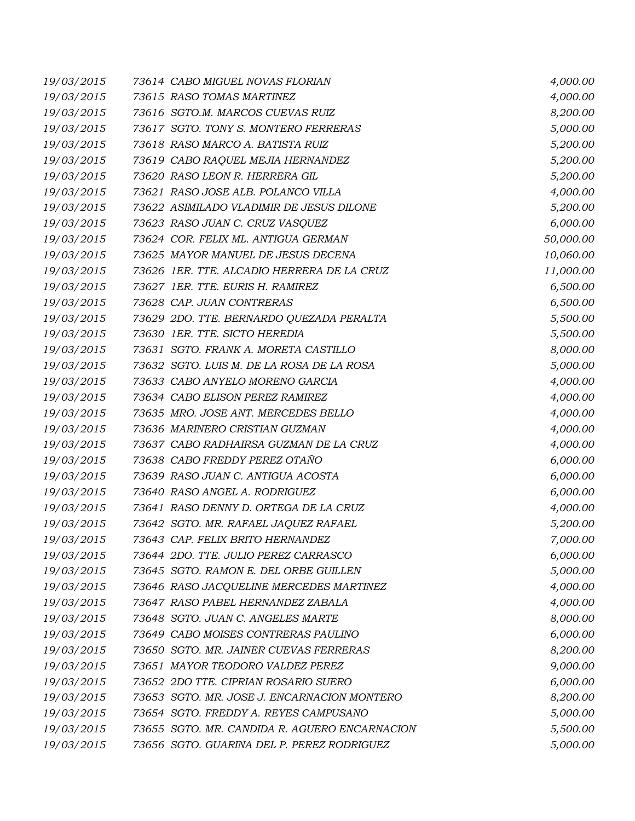| 19/03/2015 | 73614 CABO MIGUEL NOVAS FLORIAN               | 4,000.00  |
|------------|-----------------------------------------------|-----------|
| 19/03/2015 | 73615 RASO TOMAS MARTINEZ                     | 4,000.00  |
| 19/03/2015 | 73616 SGTO.M. MARCOS CUEVAS RUIZ              | 8,200.00  |
| 19/03/2015 | 73617 SGTO. TONY S. MONTERO FERRERAS          | 5,000.00  |
| 19/03/2015 | 73618 RASO MARCO A. BATISTA RUIZ              | 5,200.00  |
| 19/03/2015 | 73619 CABO RAQUEL MEJIA HERNANDEZ             | 5,200.00  |
| 19/03/2015 | 73620 RASO LEON R. HERRERA GIL                | 5,200.00  |
| 19/03/2015 | 73621 RASO JOSE ALB. POLANCO VILLA            | 4,000.00  |
| 19/03/2015 | 73622 ASIMILADO VLADIMIR DE JESUS DILONE      | 5,200.00  |
| 19/03/2015 | 73623 RASO JUAN C. CRUZ VASQUEZ               | 6,000.00  |
| 19/03/2015 | 73624 COR. FELIX ML. ANTIGUA GERMAN           | 50,000.00 |
| 19/03/2015 | 73625 MAYOR MANUEL DE JESUS DECENA            | 10,060.00 |
| 19/03/2015 | 73626 1ER. TTE. ALCADIO HERRERA DE LA CRUZ    | 11,000.00 |
| 19/03/2015 | 73627 1ER. TTE. EURIS H. RAMIREZ              | 6,500.00  |
| 19/03/2015 | 73628 CAP. JUAN CONTRERAS                     | 6,500.00  |
| 19/03/2015 | 73629 2DO. TTE. BERNARDO QUEZADA PERALTA      | 5,500.00  |
| 19/03/2015 | 73630 1ER. TTE. SICTO HEREDIA                 | 5,500.00  |
| 19/03/2015 | 73631 SGTO. FRANK A. MORETA CASTILLO          | 8,000.00  |
| 19/03/2015 | 73632 SGTO. LUIS M. DE LA ROSA DE LA ROSA     | 5,000.00  |
| 19/03/2015 | 73633 CABO ANYELO MORENO GARCIA               | 4,000.00  |
| 19/03/2015 | 73634 CABO ELISON PEREZ RAMIREZ               | 4,000.00  |
| 19/03/2015 | 73635 MRO. JOSE ANT. MERCEDES BELLO           | 4,000.00  |
| 19/03/2015 | 73636 MARINERO CRISTIAN GUZMAN                | 4,000.00  |
| 19/03/2015 | 73637 CABO RADHAIRSA GUZMAN DE LA CRUZ        | 4,000.00  |
| 19/03/2015 | 73638 CABO FREDDY PEREZ OTAÑO                 | 6,000.00  |
| 19/03/2015 | 73639 RASO JUAN C. ANTIGUA ACOSTA             | 6,000.00  |
| 19/03/2015 | 73640 RASO ANGEL A. RODRIGUEZ                 | 6,000.00  |
| 19/03/2015 | 73641 RASO DENNY D. ORTEGA DE LA CRUZ         | 4,000.00  |
| 19/03/2015 | 73642 SGTO. MR. RAFAEL JAQUEZ RAFAEL          | 5,200.00  |
| 19/03/2015 | 73643 CAP. FELIX BRITO HERNANDEZ              | 7,000.00  |
| 19/03/2015 | 73644 2DO. TTE. JULIO PEREZ CARRASCO          | 6,000.00  |
| 19/03/2015 | 73645 SGTO. RAMON E. DEL ORBE GUILLEN         | 5,000.00  |
| 19/03/2015 | 73646 RASO JACQUELINE MERCEDES MARTINEZ       | 4,000.00  |
| 19/03/2015 | 73647 RASO PABEL HERNANDEZ ZABALA             | 4,000.00  |
| 19/03/2015 | 73648 SGTO. JUAN C. ANGELES MARTE             | 8,000.00  |
| 19/03/2015 | 73649 CABO MOISES CONTRERAS PAULINO           | 6,000.00  |
| 19/03/2015 | 73650 SGTO. MR. JAINER CUEVAS FERRERAS        | 8,200.00  |
| 19/03/2015 | 73651 MAYOR TEODORO VALDEZ PEREZ              | 9,000.00  |
| 19/03/2015 | 73652 2DO TTE. CIPRIAN ROSARIO SUERO          | 6,000.00  |
| 19/03/2015 | 73653 SGTO. MR. JOSE J. ENCARNACION MONTERO   | 8,200.00  |
| 19/03/2015 | 73654 SGTO. FREDDY A. REYES CAMPUSANO         | 5,000.00  |
| 19/03/2015 | 73655 SGTO. MR. CANDIDA R. AGUERO ENCARNACION | 5,500.00  |
| 19/03/2015 | 73656 SGTO. GUARINA DEL P. PEREZ RODRIGUEZ    | 5,000.00  |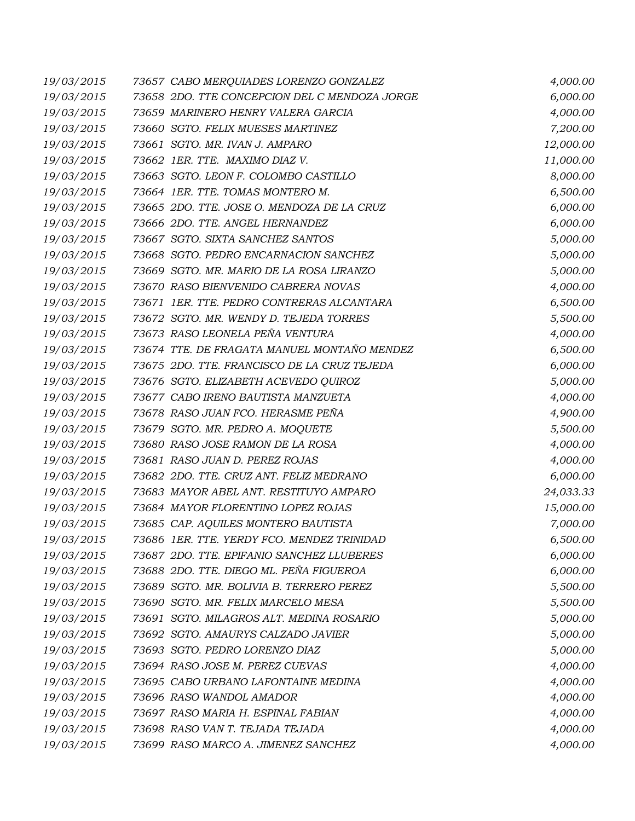| 19/03/2015 | 73657 CABO MERQUIADES LORENZO GONZALEZ        | 4,000.00  |
|------------|-----------------------------------------------|-----------|
| 19/03/2015 | 73658 2DO. TTE CONCEPCION DEL C MENDOZA JORGE | 6,000.00  |
| 19/03/2015 | 73659 MARINERO HENRY VALERA GARCIA            | 4,000.00  |
| 19/03/2015 | 73660 SGTO. FELIX MUESES MARTINEZ             | 7,200.00  |
| 19/03/2015 | 73661 SGTO. MR. IVAN J. AMPARO                | 12,000.00 |
| 19/03/2015 | 73662 1ER. TTE. MAXIMO DIAZ V.                | 11,000.00 |
| 19/03/2015 | 73663 SGTO. LEON F. COLOMBO CASTILLO          | 8,000.00  |
| 19/03/2015 | 73664 1ER. TTE. TOMAS MONTERO M.              | 6,500.00  |
| 19/03/2015 | 73665 2DO. TTE. JOSE O. MENDOZA DE LA CRUZ    | 6,000.00  |
| 19/03/2015 | 73666 2DO. TTE. ANGEL HERNANDEZ               | 6,000.00  |
| 19/03/2015 | 73667 SGTO. SIXTA SANCHEZ SANTOS              | 5,000.00  |
| 19/03/2015 | 73668 SGTO. PEDRO ENCARNACION SANCHEZ         | 5,000.00  |
| 19/03/2015 | 73669 SGTO. MR. MARIO DE LA ROSA LIRANZO      | 5,000.00  |
| 19/03/2015 | 73670 RASO BIENVENIDO CABRERA NOVAS           | 4,000.00  |
| 19/03/2015 | 73671 IER. TTE. PEDRO CONTRERAS ALCANTARA     | 6,500.00  |
| 19/03/2015 | 73672 SGTO. MR. WENDY D. TEJEDA TORRES        | 5,500.00  |
| 19/03/2015 | 73673 RASO LEONELA PEÑA VENTURA               | 4,000.00  |
| 19/03/2015 | 73674 TTE. DE FRAGATA MANUEL MONTAÑO MENDEZ   | 6,500.00  |
| 19/03/2015 | 73675 2DO. TTE. FRANCISCO DE LA CRUZ TEJEDA   | 6,000.00  |
| 19/03/2015 | 73676 SGTO. ELIZABETH ACEVEDO QUIROZ          | 5,000.00  |
| 19/03/2015 | 73677 CABO IRENO BAUTISTA MANZUETA            | 4,000.00  |
| 19/03/2015 | 73678 RASO JUAN FCO. HERASME PEÑA             | 4,900.00  |
| 19/03/2015 | 73679 SGTO. MR. PEDRO A. MOQUETE              | 5,500.00  |
| 19/03/2015 | 73680 RASO JOSE RAMON DE LA ROSA              | 4,000.00  |
| 19/03/2015 | 73681 RASO JUAN D. PEREZ ROJAS                | 4,000.00  |
| 19/03/2015 | 73682 2DO. TTE. CRUZ ANT. FELIZ MEDRANO       | 6,000.00  |
| 19/03/2015 | 73683 MAYOR ABEL ANT. RESTITUYO AMPARO        | 24,033.33 |
| 19/03/2015 | 73684 MAYOR FLORENTINO LOPEZ ROJAS            | 15,000.00 |
| 19/03/2015 | 73685 CAP. AQUILES MONTERO BAUTISTA           | 7,000.00  |
| 19/03/2015 | 73686 1ER. TTE. YERDY FCO. MENDEZ TRINIDAD    | 6,500.00  |
| 19/03/2015 | 73687 2DO. TTE. EPIFANIO SANCHEZ LLUBERES     | 6,000.00  |
| 19/03/2015 | 73688 2DO. TTE. DIEGO ML. PEÑA FIGUEROA       | 6,000.00  |
| 19/03/2015 | 73689 SGTO. MR. BOLIVIA B. TERRERO PEREZ      | 5,500.00  |
| 19/03/2015 | 73690 SGTO. MR. FELIX MARCELO MESA            | 5,500.00  |
| 19/03/2015 | 73691 SGTO. MILAGROS ALT. MEDINA ROSARIO      | 5,000.00  |
| 19/03/2015 | 73692 SGTO. AMAURYS CALZADO JAVIER            | 5,000.00  |
| 19/03/2015 | 73693 SGTO. PEDRO LORENZO DIAZ                | 5,000.00  |
| 19/03/2015 | 73694 RASO JOSE M. PEREZ CUEVAS               | 4,000.00  |
| 19/03/2015 | 73695 CABO URBANO LAFONTAINE MEDINA           | 4,000.00  |
| 19/03/2015 | 73696 RASO WANDOL AMADOR                      | 4,000.00  |
| 19/03/2015 | 73697 RASO MARIA H. ESPINAL FABIAN            | 4,000.00  |
| 19/03/2015 | 73698 RASO VAN T. TEJADA TEJADA               | 4,000.00  |
| 19/03/2015 | 73699 RASO MARCO A. JIMENEZ SANCHEZ           | 4,000.00  |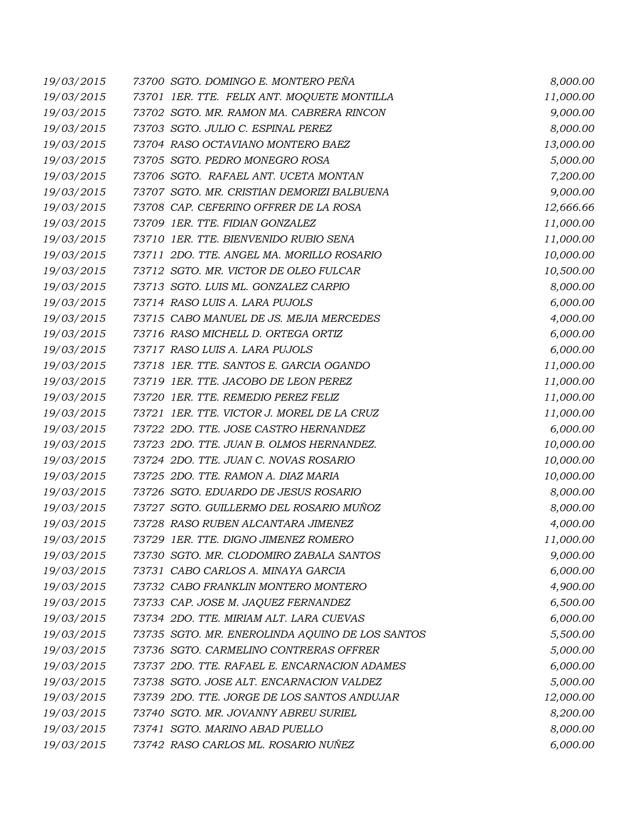| 19/03/2015 | 73700 SGTO. DOMINGO E. MONTERO PEÑA             | 8,000.00  |
|------------|-------------------------------------------------|-----------|
| 19/03/2015 | 73701 IER. TTE. FELIX ANT. MOQUETE MONTILLA     | 11,000.00 |
| 19/03/2015 | 73702 SGTO. MR. RAMON MA. CABRERA RINCON        | 9,000.00  |
| 19/03/2015 | 73703 SGTO. JULIO C. ESPINAL PEREZ              | 8,000.00  |
| 19/03/2015 | 73704 RASO OCTAVIANO MONTERO BAEZ               | 13,000.00 |
| 19/03/2015 | 73705 SGTO. PEDRO MONEGRO ROSA                  | 5,000.00  |
| 19/03/2015 | 73706 SGTO. RAFAEL ANT. UCETA MONTAN            | 7,200.00  |
| 19/03/2015 | 73707 SGTO. MR. CRISTIAN DEMORIZI BALBUENA      | 9,000.00  |
| 19/03/2015 | 73708 CAP. CEFERINO OFFRER DE LA ROSA           | 12,666.66 |
| 19/03/2015 | 73709 1ER. TTE. FIDIAN GONZALEZ                 | 11,000.00 |
| 19/03/2015 | 73710 1ER. TTE. BIENVENIDO RUBIO SENA           | 11,000.00 |
| 19/03/2015 | 73711 2DO. TTE. ANGEL MA. MORILLO ROSARIO       | 10,000.00 |
| 19/03/2015 | 73712 SGTO. MR. VICTOR DE OLEO FULCAR           | 10,500.00 |
| 19/03/2015 | 73713 SGTO. LUIS ML. GONZALEZ CARPIO            | 8,000.00  |
| 19/03/2015 | 73714 RASO LUIS A. LARA PUJOLS                  | 6,000.00  |
| 19/03/2015 | 73715 CABO MANUEL DE JS. MEJIA MERCEDES         | 4,000.00  |
| 19/03/2015 | 73716 RASO MICHELL D. ORTEGA ORTIZ              | 6,000.00  |
| 19/03/2015 | 73717 RASO LUIS A. LARA PUJOLS                  | 6,000.00  |
| 19/03/2015 | 73718 1ER. TTE. SANTOS E. GARCIA OGANDO         | 11,000.00 |
| 19/03/2015 | 73719 1ER. TTE. JACOBO DE LEON PEREZ            | 11,000.00 |
| 19/03/2015 | 73720 1ER. TTE. REMEDIO PEREZ FELIZ             | 11,000.00 |
| 19/03/2015 | 73721 IER. TTE. VICTOR J. MOREL DE LA CRUZ      | 11,000.00 |
| 19/03/2015 | 73722 2DO. TTE. JOSE CASTRO HERNANDEZ           | 6,000.00  |
| 19/03/2015 | 73723 2DO. TTE. JUAN B. OLMOS HERNANDEZ.        | 10,000.00 |
| 19/03/2015 | 73724 2DO. TTE. JUAN C. NOVAS ROSARIO           | 10,000.00 |
| 19/03/2015 | 73725 2DO. TTE. RAMON A. DIAZ MARIA             | 10,000.00 |
| 19/03/2015 | 73726 SGTO. EDUARDO DE JESUS ROSARIO            | 8,000.00  |
| 19/03/2015 | 73727 SGTO. GUILLERMO DEL ROSARIO MUÑOZ         | 8,000.00  |
| 19/03/2015 | 73728 RASO RUBEN ALCANTARA JIMENEZ              | 4,000.00  |
| 19/03/2015 | 73729 1ER. TTE. DIGNO JIMENEZ ROMERO            | 11,000.00 |
| 19/03/2015 | 73730 SGTO. MR. CLODOMIRO ZABALA SANTOS         | 9,000.00  |
| 19/03/2015 | 73731 CABO CARLOS A. MINAYA GARCIA              | 6,000.00  |
| 19/03/2015 | 73732 CABO FRANKLIN MONTERO MONTERO             | 4,900.00  |
| 19/03/2015 | 73733 CAP. JOSE M. JAQUEZ FERNANDEZ             | 6,500.00  |
| 19/03/2015 | 73734 2DO. TTE. MIRIAM ALT. LARA CUEVAS         | 6,000.00  |
| 19/03/2015 | 73735 SGTO. MR. ENEROLINDA AQUINO DE LOS SANTOS | 5,500.00  |
| 19/03/2015 | 73736 SGTO. CARMELINO CONTRERAS OFFRER          | 5,000.00  |
| 19/03/2015 | 73737 2DO. TTE. RAFAEL E. ENCARNACION ADAMES    | 6,000.00  |
| 19/03/2015 | 73738 SGTO. JOSE ALT. ENCARNACION VALDEZ        | 5,000.00  |
| 19/03/2015 | 73739 2DO. TTE. JORGE DE LOS SANTOS ANDUJAR     | 12,000.00 |
| 19/03/2015 | 73740 SGTO. MR. JOVANNY ABREU SURIEL            | 8,200.00  |
| 19/03/2015 | 73741 SGTO. MARINO ABAD PUELLO                  | 8,000.00  |
| 19/03/2015 | 73742 RASO CARLOS ML. ROSARIO NUÑEZ             | 6,000.00  |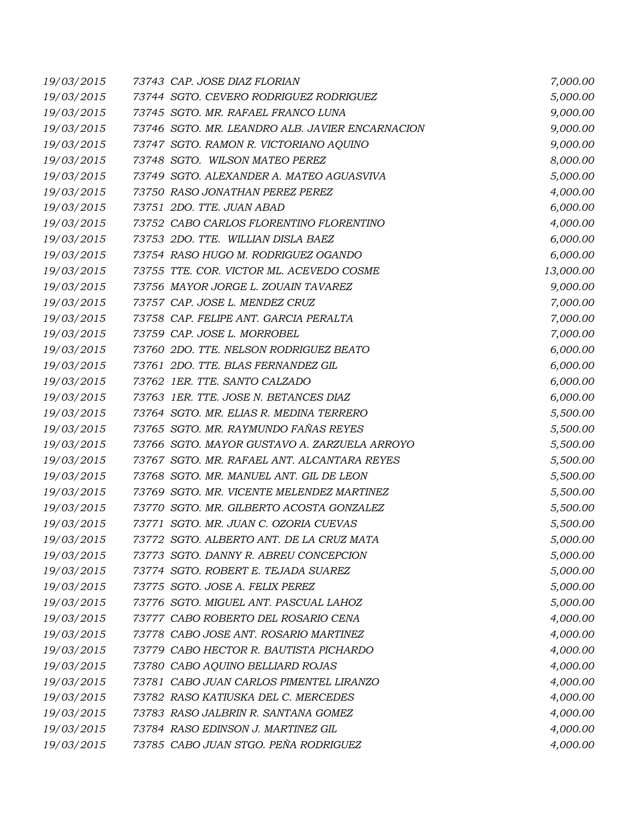| 19/03/2015 | 73743 CAP. JOSE DIAZ FLORIAN                    | 7,000.00  |
|------------|-------------------------------------------------|-----------|
| 19/03/2015 | 73744 SGTO. CEVERO RODRIGUEZ RODRIGUEZ          | 5,000.00  |
| 19/03/2015 | 73745 SGTO. MR. RAFAEL FRANCO LUNA              | 9,000.00  |
| 19/03/2015 | 73746 SGTO. MR. LEANDRO ALB. JAVIER ENCARNACION | 9,000.00  |
| 19/03/2015 | 73747 SGTO. RAMON R. VICTORIANO AQUINO          | 9,000.00  |
| 19/03/2015 | 73748 SGTO. WILSON MATEO PEREZ                  | 8,000.00  |
| 19/03/2015 | 73749 SGTO. ALEXANDER A. MATEO AGUASVIVA        | 5,000.00  |
| 19/03/2015 | 73750 RASO JONATHAN PEREZ PEREZ                 | 4,000.00  |
| 19/03/2015 | 73751 2DO. TTE. JUAN ABAD                       | 6,000.00  |
| 19/03/2015 | 73752 CABO CARLOS FLORENTINO FLORENTINO         | 4,000.00  |
| 19/03/2015 | 73753 2DO. TTE. WILLIAN DISLA BAEZ              | 6,000.00  |
| 19/03/2015 | 73754 RASO HUGO M. RODRIGUEZ OGANDO             | 6,000.00  |
| 19/03/2015 | 73755 TTE. COR. VICTOR ML. ACEVEDO COSME        | 13,000.00 |
| 19/03/2015 | 73756 MAYOR JORGE L. ZOUAIN TAVAREZ             | 9,000.00  |
| 19/03/2015 | 73757 CAP. JOSE L. MENDEZ CRUZ                  | 7,000.00  |
| 19/03/2015 | 73758 CAP. FELIPE ANT. GARCIA PERALTA           | 7,000.00  |
| 19/03/2015 | 73759 CAP. JOSE L. MORROBEL                     | 7,000.00  |
| 19/03/2015 | 73760 2DO. TTE. NELSON RODRIGUEZ BEATO          | 6,000.00  |
| 19/03/2015 | 73761 2DO. TTE. BLAS FERNANDEZ GIL              | 6,000.00  |
| 19/03/2015 | 73762 IER. TTE. SANTO CALZADO                   | 6,000.00  |
| 19/03/2015 | 73763 IER. TTE. JOSE N. BETANCES DIAZ           | 6,000.00  |
| 19/03/2015 | 73764 SGTO. MR. ELIAS R. MEDINA TERRERO         | 5,500.00  |
| 19/03/2015 | 73765 SGTO. MR. RAYMUNDO FAÑAS REYES            | 5,500.00  |
| 19/03/2015 | 73766 SGTO. MAYOR GUSTAVO A. ZARZUELA ARROYO    | 5,500.00  |
| 19/03/2015 | 73767 SGTO. MR. RAFAEL ANT. ALCANTARA REYES     | 5,500.00  |
| 19/03/2015 | 73768 SGTO. MR. MANUEL ANT. GIL DE LEON         | 5,500.00  |
| 19/03/2015 | 73769 SGTO. MR. VICENTE MELENDEZ MARTINEZ       | 5,500.00  |
| 19/03/2015 | 73770 SGTO. MR. GILBERTO ACOSTA GONZALEZ        | 5,500.00  |
| 19/03/2015 | 73771 SGTO. MR. JUAN C. OZORIA CUEVAS           | 5,500.00  |
| 19/03/2015 | 73772 SGTO. ALBERTO ANT. DE LA CRUZ MATA        | 5,000.00  |
| 19/03/2015 | 73773 SGTO. DANNY R. ABREU CONCEPCION           | 5,000.00  |
| 19/03/2015 | 73774 SGTO. ROBERT E. TEJADA SUAREZ             | 5,000.00  |
| 19/03/2015 | 73775 SGTO. JOSE A. FELIX PEREZ                 | 5,000.00  |
| 19/03/2015 | 73776 SGTO. MIGUEL ANT. PASCUAL LAHOZ           | 5,000.00  |
| 19/03/2015 | 73777 CABO ROBERTO DEL ROSARIO CENA             | 4,000.00  |
| 19/03/2015 | 73778 CABO JOSE ANT. ROSARIO MARTINEZ           | 4,000.00  |
| 19/03/2015 | 73779 CABO HECTOR R. BAUTISTA PICHARDO          | 4,000.00  |
| 19/03/2015 | 73780 CABO AQUINO BELLIARD ROJAS                | 4,000.00  |
| 19/03/2015 | 73781 CABO JUAN CARLOS PIMENTEL LIRANZO         | 4,000.00  |
| 19/03/2015 | 73782 RASO KATIUSKA DEL C. MERCEDES             | 4,000.00  |
| 19/03/2015 | 73783 RASO JALBRIN R. SANTANA GOMEZ             | 4,000.00  |
| 19/03/2015 | 73784 RASO EDINSON J. MARTINEZ GIL              | 4,000.00  |
| 19/03/2015 | 73785 CABO JUAN STGO. PEÑA RODRIGUEZ            | 4,000.00  |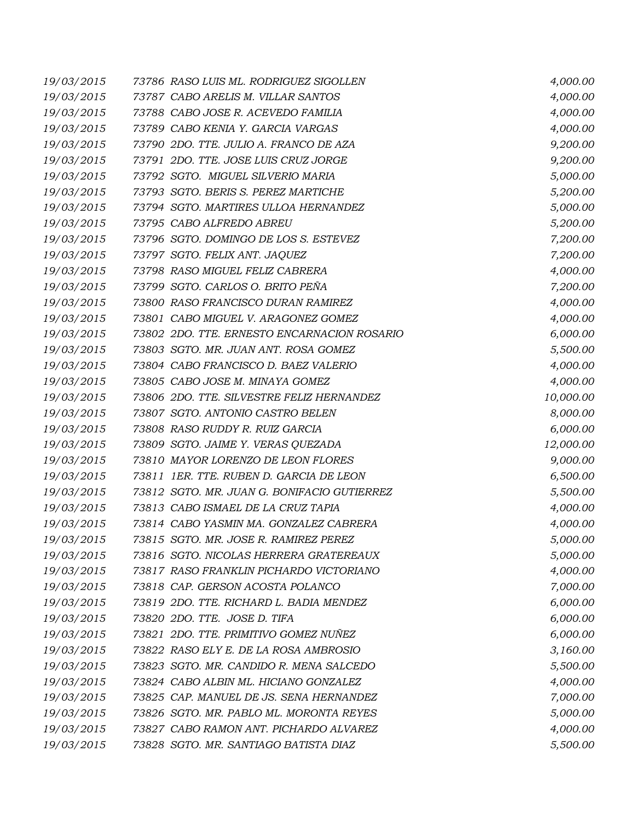| 19/03/2015 | 73786 RASO LUIS ML. RODRIGUEZ SIGOLLEN      | 4,000.00  |
|------------|---------------------------------------------|-----------|
| 19/03/2015 | 73787 CABO ARELIS M. VILLAR SANTOS          | 4,000.00  |
| 19/03/2015 | 73788 CABO JOSE R. ACEVEDO FAMILIA          | 4,000.00  |
| 19/03/2015 | 73789 CABO KENIA Y. GARCIA VARGAS           | 4,000.00  |
| 19/03/2015 | 73790 2DO. TTE. JULIO A. FRANCO DE AZA      | 9,200.00  |
| 19/03/2015 | 73791 2DO. TTE. JOSE LUIS CRUZ JORGE        | 9,200.00  |
| 19/03/2015 | 73792 SGTO. MIGUEL SILVERIO MARIA           | 5,000.00  |
| 19/03/2015 | 73793 SGTO. BERIS S. PEREZ MARTICHE         | 5,200.00  |
| 19/03/2015 | 73794 SGTO. MARTIRES ULLOA HERNANDEZ        | 5,000.00  |
| 19/03/2015 | 73795 CABO ALFREDO ABREU                    | 5,200.00  |
| 19/03/2015 | 73796 SGTO. DOMINGO DE LOS S. ESTEVEZ       | 7,200.00  |
| 19/03/2015 | 73797 SGTO. FELIX ANT. JAQUEZ               | 7,200.00  |
| 19/03/2015 | 73798 RASO MIGUEL FELIZ CABRERA             | 4,000.00  |
| 19/03/2015 | 73799 SGTO. CARLOS O. BRITO PEÑA            | 7,200.00  |
| 19/03/2015 | 73800 RASO FRANCISCO DURAN RAMIREZ          | 4,000.00  |
| 19/03/2015 | 73801 CABO MIGUEL V. ARAGONEZ GOMEZ         | 4,000.00  |
| 19/03/2015 | 73802 2DO. TTE. ERNESTO ENCARNACION ROSARIO | 6,000.00  |
| 19/03/2015 | 73803 SGTO. MR. JUAN ANT. ROSA GOMEZ        | 5,500.00  |
| 19/03/2015 | 73804 CABO FRANCISCO D. BAEZ VALERIO        | 4,000.00  |
| 19/03/2015 | 73805 CABO JOSE M. MINAYA GOMEZ             | 4,000.00  |
| 19/03/2015 | 73806 2DO. TTE. SILVESTRE FELIZ HERNANDEZ   | 10,000.00 |
| 19/03/2015 | 73807 SGTO. ANTONIO CASTRO BELEN            | 8,000.00  |
| 19/03/2015 | 73808 RASO RUDDY R. RUIZ GARCIA             | 6,000.00  |
| 19/03/2015 | 73809 SGTO. JAIME Y. VERAS QUEZADA          | 12,000.00 |
| 19/03/2015 | 73810 MAYOR LORENZO DE LEON FLORES          | 9,000.00  |
| 19/03/2015 | 73811 IER. TTE. RUBEN D. GARCIA DE LEON     | 6,500.00  |
| 19/03/2015 | 73812 SGTO. MR. JUAN G. BONIFACIO GUTIERREZ | 5,500.00  |
| 19/03/2015 | 73813 CABO ISMAEL DE LA CRUZ TAPIA          | 4,000.00  |
| 19/03/2015 | 73814 CABO YASMIN MA. GONZALEZ CABRERA      | 4,000.00  |
| 19/03/2015 | 73815 SGTO. MR. JOSE R. RAMIREZ PEREZ       | 5,000.00  |
| 19/03/2015 | 73816 SGTO. NICOLAS HERRERA GRATEREAUX      | 5,000.00  |
| 19/03/2015 | 73817 RASO FRANKLIN PICHARDO VICTORIANO     | 4,000.00  |
| 19/03/2015 | 73818 CAP. GERSON ACOSTA POLANCO            | 7,000.00  |
| 19/03/2015 | 73819 2DO. TTE. RICHARD L. BADIA MENDEZ     | 6,000.00  |
| 19/03/2015 | 73820 2DO. TTE. JOSE D. TIFA                | 6,000.00  |
| 19/03/2015 | 73821 2DO. TTE. PRIMITIVO GOMEZ NUÑEZ       | 6,000.00  |
| 19/03/2015 | 73822 RASO ELY E. DE LA ROSA AMBROSIO       | 3,160.00  |
| 19/03/2015 | 73823 SGTO. MR. CANDIDO R. MENA SALCEDO     | 5,500.00  |
| 19/03/2015 | 73824 CABO ALBIN ML. HICIANO GONZALEZ       | 4,000.00  |
| 19/03/2015 | 73825 CAP. MANUEL DE JS. SENA HERNANDEZ     | 7,000.00  |
| 19/03/2015 | 73826 SGTO. MR. PABLO ML. MORONTA REYES     | 5,000.00  |
| 19/03/2015 | 73827 CABO RAMON ANT. PICHARDO ALVAREZ      | 4,000.00  |
| 19/03/2015 | 73828 SGTO. MR. SANTIAGO BATISTA DIAZ       | 5,500.00  |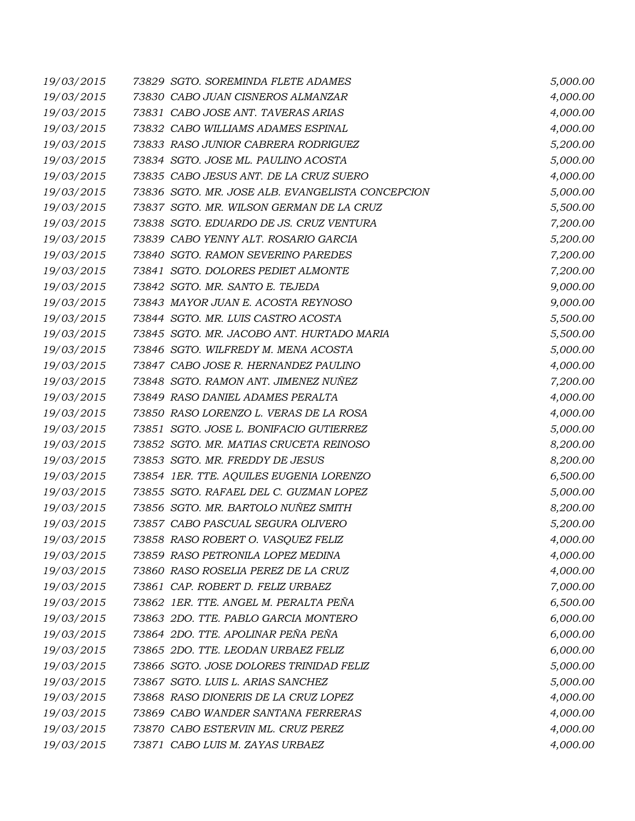| 19/03/2015 | 73829 SGTO. SOREMINDA FLETE ADAMES               | 5,000.00 |
|------------|--------------------------------------------------|----------|
| 19/03/2015 | 73830 CABO JUAN CISNEROS ALMANZAR                | 4,000.00 |
| 19/03/2015 | 73831 CABO JOSE ANT. TAVERAS ARIAS               | 4,000.00 |
| 19/03/2015 | 73832 CABO WILLIAMS ADAMES ESPINAL               | 4,000.00 |
| 19/03/2015 | 73833 RASO JUNIOR CABRERA RODRIGUEZ              | 5,200.00 |
| 19/03/2015 | 73834 SGTO. JOSE ML. PAULINO ACOSTA              | 5,000.00 |
| 19/03/2015 | 73835 CABO JESUS ANT. DE LA CRUZ SUERO           | 4,000.00 |
| 19/03/2015 | 73836 SGTO. MR. JOSE ALB. EVANGELISTA CONCEPCION | 5,000.00 |
| 19/03/2015 | 73837 SGTO. MR. WILSON GERMAN DE LA CRUZ         | 5,500.00 |
| 19/03/2015 | 73838 SGTO. EDUARDO DE JS. CRUZ VENTURA          | 7,200.00 |
| 19/03/2015 | 73839 CABO YENNY ALT. ROSARIO GARCIA             | 5,200.00 |
| 19/03/2015 | 73840 SGTO. RAMON SEVERINO PAREDES               | 7,200.00 |
| 19/03/2015 | 73841 SGTO. DOLORES PEDIET ALMONTE               | 7,200.00 |
| 19/03/2015 | 73842 SGTO. MR. SANTO E. TEJEDA                  | 9,000.00 |
| 19/03/2015 | 73843 MAYOR JUAN E. ACOSTA REYNOSO               | 9,000.00 |
| 19/03/2015 | 73844 SGTO. MR. LUIS CASTRO ACOSTA               | 5,500.00 |
| 19/03/2015 | 73845 SGTO. MR. JACOBO ANT. HURTADO MARIA        | 5,500.00 |
| 19/03/2015 | 73846 SGTO. WILFREDY M. MENA ACOSTA              | 5,000.00 |
| 19/03/2015 | 73847 CABO JOSE R. HERNANDEZ PAULINO             | 4,000.00 |
| 19/03/2015 | 73848 SGTO. RAMON ANT. JIMENEZ NUÑEZ             | 7,200.00 |
| 19/03/2015 | 73849 RASO DANIEL ADAMES PERALTA                 | 4,000.00 |
| 19/03/2015 | 73850 RASO LORENZO L. VERAS DE LA ROSA           | 4,000.00 |
| 19/03/2015 | 73851 SGTO. JOSE L. BONIFACIO GUTIERREZ          | 5,000.00 |
| 19/03/2015 | 73852 SGTO. MR. MATIAS CRUCETA REINOSO           | 8,200.00 |
| 19/03/2015 | 73853 SGTO. MR. FREDDY DE JESUS                  | 8,200.00 |
| 19/03/2015 | 73854 1ER. TTE. AQUILES EUGENIA LORENZO          | 6,500.00 |
| 19/03/2015 | 73855 SGTO. RAFAEL DEL C. GUZMAN LOPEZ           | 5,000.00 |
| 19/03/2015 | 73856 SGTO. MR. BARTOLO NUÑEZ SMITH              | 8,200.00 |
| 19/03/2015 | 73857 CABO PASCUAL SEGURA OLIVERO                | 5,200.00 |
| 19/03/2015 | 73858 RASO ROBERT O. VASQUEZ FELIZ               | 4,000.00 |
| 19/03/2015 | 73859 RASO PETRONILA LOPEZ MEDINA                | 4,000.00 |
| 19/03/2015 | 73860 RASO ROSELIA PEREZ DE LA CRUZ              | 4,000.00 |
| 19/03/2015 | 73861 CAP. ROBERT D. FELIZ URBAEZ                | 7,000.00 |
| 19/03/2015 | 73862 IER. TTE. ANGEL M. PERALTA PEÑA            | 6,500.00 |
| 19/03/2015 | 73863 2DO. TTE. PABLO GARCIA MONTERO             | 6,000.00 |
| 19/03/2015 | 73864 2DO. TTE. APOLINAR PEÑA PEÑA               | 6,000.00 |
| 19/03/2015 | 73865 2DO. TTE. LEODAN URBAEZ FELIZ              | 6,000.00 |
| 19/03/2015 | 73866 SGTO. JOSE DOLORES TRINIDAD FELIZ          | 5,000.00 |
| 19/03/2015 | 73867 SGTO. LUIS L. ARIAS SANCHEZ                | 5,000.00 |
| 19/03/2015 | 73868 RASO DIONERIS DE LA CRUZ LOPEZ             | 4,000.00 |
| 19/03/2015 | 73869 CABO WANDER SANTANA FERRERAS               | 4,000.00 |
| 19/03/2015 | 73870 CABO ESTERVIN ML. CRUZ PEREZ               | 4,000.00 |
| 19/03/2015 | 73871 CABO LUIS M. ZAYAS URBAEZ                  | 4,000.00 |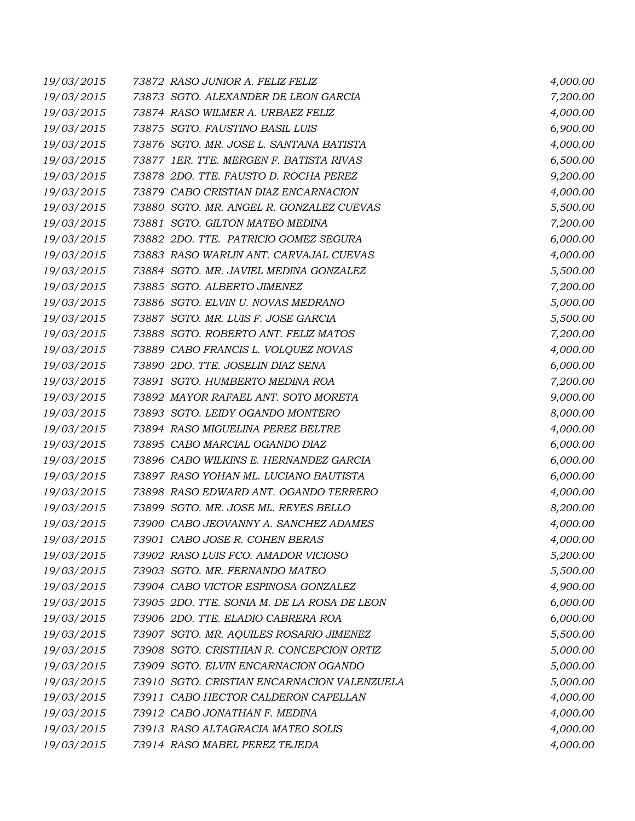| 19/03/2015 | 73872 RASO JUNIOR A. FELIZ FELIZ            | 4,000.00 |
|------------|---------------------------------------------|----------|
| 19/03/2015 | 73873 SGTO. ALEXANDER DE LEON GARCIA        | 7,200.00 |
| 19/03/2015 | 73874 RASO WILMER A. URBAEZ FELIZ           | 4,000.00 |
| 19/03/2015 | 73875 SGTO. FAUSTINO BASIL LUIS             | 6,900.00 |
| 19/03/2015 | 73876 SGTO. MR. JOSE L. SANTANA BATISTA     | 4,000.00 |
| 19/03/2015 | 73877 IER. TTE. MERGEN F. BATISTA RIVAS     | 6,500.00 |
| 19/03/2015 | 73878 2DO. TTE. FAUSTO D. ROCHA PEREZ       | 9,200.00 |
| 19/03/2015 | 73879 CABO CRISTIAN DIAZ ENCARNACION        | 4,000.00 |
| 19/03/2015 | 73880 SGTO. MR. ANGEL R. GONZALEZ CUEVAS    | 5,500.00 |
| 19/03/2015 | 73881 SGTO. GILTON MATEO MEDINA             | 7,200.00 |
| 19/03/2015 | 73882 2DO. TTE. PATRICIO GOMEZ SEGURA       | 6,000.00 |
| 19/03/2015 | 73883 RASO WARLIN ANT. CARVAJAL CUEVAS      | 4,000.00 |
| 19/03/2015 | 73884 SGTO. MR. JAVIEL MEDINA GONZALEZ      | 5,500.00 |
| 19/03/2015 | 73885 SGTO. ALBERTO JIMENEZ                 | 7,200.00 |
| 19/03/2015 | 73886 SGTO. ELVIN U. NOVAS MEDRANO          | 5,000.00 |
| 19/03/2015 | 73887 SGTO. MR. LUIS F. JOSE GARCIA         | 5,500.00 |
| 19/03/2015 | 73888 SGTO. ROBERTO ANT. FELIZ MATOS        | 7,200.00 |
| 19/03/2015 | 73889 CABO FRANCIS L. VOLQUEZ NOVAS         | 4,000.00 |
| 19/03/2015 | 73890 2DO. TTE. JOSELIN DIAZ SENA           | 6,000.00 |
| 19/03/2015 | 73891 SGTO. HUMBERTO MEDINA ROA             | 7,200.00 |
| 19/03/2015 | 73892 MAYOR RAFAEL ANT. SOTO MORETA         | 9,000.00 |
| 19/03/2015 | 73893 SGTO. LEIDY OGANDO MONTERO            | 8,000.00 |
| 19/03/2015 | 73894 RASO MIGUELINA PEREZ BELTRE           | 4,000.00 |
| 19/03/2015 | 73895 CABO MARCIAL OGANDO DIAZ              | 6,000.00 |
| 19/03/2015 | 73896 CABO WILKINS E. HERNANDEZ GARCIA      | 6,000.00 |
| 19/03/2015 | 73897 RASO YOHAN ML. LUCIANO BAUTISTA       | 6,000.00 |
| 19/03/2015 | 73898 RASO EDWARD ANT. OGANDO TERRERO       | 4,000.00 |
| 19/03/2015 | 73899 SGTO. MR. JOSE ML. REYES BELLO        | 8,200.00 |
| 19/03/2015 | 73900 CABO JEOVANNY A. SANCHEZ ADAMES       | 4,000.00 |
| 19/03/2015 | 73901 CABO JOSE R. COHEN BERAS              | 4,000.00 |
| 19/03/2015 | 73902 RASO LUIS FCO. AMADOR VICIOSO         | 5,200.00 |
| 19/03/2015 | 73903 SGTO. MR. FERNANDO MATEO              | 5,500.00 |
| 19/03/2015 | 73904 CABO VICTOR ESPINOSA GONZALEZ         | 4,900.00 |
| 19/03/2015 | 73905 2DO. TTE. SONIA M. DE LA ROSA DE LEON | 6,000.00 |
| 19/03/2015 | 73906 2DO. TTE. ELADIO CABRERA ROA          | 6,000.00 |
| 19/03/2015 | 73907 SGTO. MR. AQUILES ROSARIO JIMENEZ     | 5,500.00 |
| 19/03/2015 | 73908 SGTO. CRISTHIAN R. CONCEPCION ORTIZ   | 5,000.00 |
| 19/03/2015 | 73909 SGTO. ELVIN ENCARNACION OGANDO        | 5,000.00 |
| 19/03/2015 | 73910 SGTO. CRISTIAN ENCARNACION VALENZUELA | 5,000.00 |
| 19/03/2015 | 73911 CABO HECTOR CALDERON CAPELLAN         | 4,000.00 |
| 19/03/2015 | 73912 CABO JONATHAN F. MEDINA               | 4,000.00 |
| 19/03/2015 | 73913 RASO ALTAGRACIA MATEO SOLIS           | 4,000.00 |
| 19/03/2015 | 73914 RASO MABEL PEREZ TEJEDA               | 4,000.00 |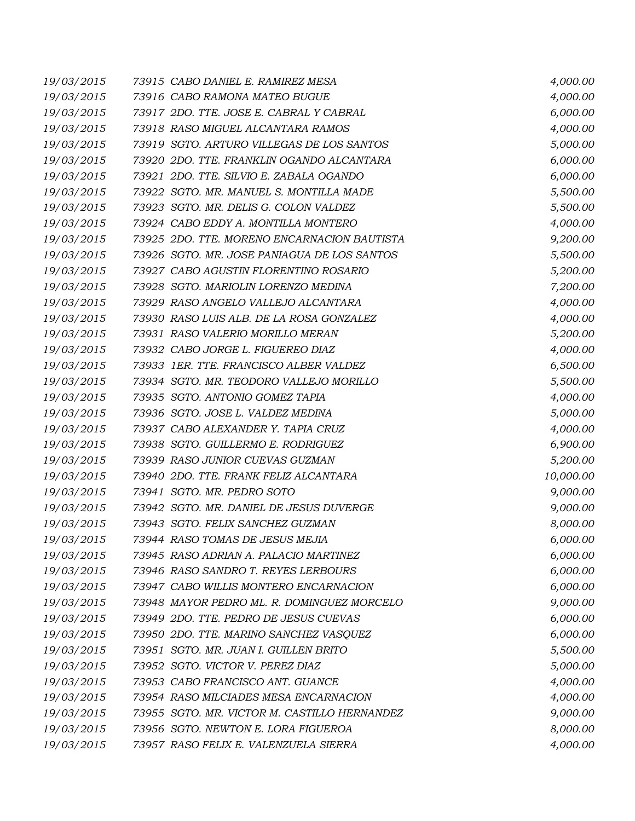| 19/03/2015 | 73915 CABO DANIEL E. RAMIREZ MESA            | 4,000.00  |
|------------|----------------------------------------------|-----------|
| 19/03/2015 | 73916 CABO RAMONA MATEO BUGUE                | 4,000.00  |
| 19/03/2015 | 73917 2DO. TTE. JOSE E. CABRAL Y CABRAL      | 6,000.00  |
| 19/03/2015 | 73918 RASO MIGUEL ALCANTARA RAMOS            | 4,000.00  |
| 19/03/2015 | 73919 SGTO. ARTURO VILLEGAS DE LOS SANTOS    | 5,000.00  |
| 19/03/2015 | 73920 2DO. TTE. FRANKLIN OGANDO ALCANTARA    | 6,000.00  |
| 19/03/2015 | 73921 2DO. TTE. SILVIO E. ZABALA OGANDO      | 6,000.00  |
| 19/03/2015 | 73922 SGTO. MR. MANUEL S. MONTILLA MADE      | 5,500.00  |
| 19/03/2015 | 73923 SGTO. MR. DELIS G. COLON VALDEZ        | 5,500.00  |
| 19/03/2015 | 73924 CABO EDDY A. MONTILLA MONTERO          | 4,000.00  |
| 19/03/2015 | 73925 2DO. TTE. MORENO ENCARNACION BAUTISTA  | 9,200.00  |
| 19/03/2015 | 73926 SGTO. MR. JOSE PANIAGUA DE LOS SANTOS  | 5,500.00  |
| 19/03/2015 | 73927 CABO AGUSTIN FLORENTINO ROSARIO        | 5,200.00  |
| 19/03/2015 | 73928 SGTO. MARIOLIN LORENZO MEDINA          | 7,200.00  |
| 19/03/2015 | 73929 RASO ANGELO VALLEJO ALCANTARA          | 4,000.00  |
| 19/03/2015 | 73930 RASO LUIS ALB. DE LA ROSA GONZALEZ     | 4,000.00  |
| 19/03/2015 | 73931 RASO VALERIO MORILLO MERAN             | 5,200.00  |
| 19/03/2015 | 73932 CABO JORGE L. FIGUEREO DIAZ            | 4,000.00  |
| 19/03/2015 | 73933 1ER. TTE. FRANCISCO ALBER VALDEZ       | 6,500.00  |
| 19/03/2015 | 73934 SGTO. MR. TEODORO VALLEJO MORILLO      | 5,500.00  |
| 19/03/2015 | 73935 SGTO. ANTONIO GOMEZ TAPIA              | 4,000.00  |
| 19/03/2015 | 73936 SGTO. JOSE L. VALDEZ MEDINA            | 5,000.00  |
| 19/03/2015 | 73937 CABO ALEXANDER Y. TAPIA CRUZ           | 4,000.00  |
| 19/03/2015 | 73938 SGTO. GUILLERMO E. RODRIGUEZ           | 6,900.00  |
| 19/03/2015 | 73939 RASO JUNIOR CUEVAS GUZMAN              | 5,200.00  |
| 19/03/2015 | 73940 2DO. TTE. FRANK FELIZ ALCANTARA        | 10,000.00 |
| 19/03/2015 | 73941 SGTO. MR. PEDRO SOTO                   | 9,000.00  |
| 19/03/2015 | 73942 SGTO. MR. DANIEL DE JESUS DUVERGE      | 9,000.00  |
| 19/03/2015 | 73943 SGTO. FELIX SANCHEZ GUZMAN             | 8,000.00  |
| 19/03/2015 | 73944 RASO TOMAS DE JESUS MEJIA              | 6,000.00  |
| 19/03/2015 | 73945 RASO ADRIAN A. PALACIO MARTINEZ        | 6,000.00  |
| 19/03/2015 | 73946 RASO SANDRO T. REYES LERBOURS          | 6,000.00  |
| 19/03/2015 | 73947 CABO WILLIS MONTERO ENCARNACION        | 6,000.00  |
| 19/03/2015 | 73948 MAYOR PEDRO ML. R. DOMINGUEZ MORCELO   | 9,000.00  |
| 19/03/2015 | 73949 2DO. TTE. PEDRO DE JESUS CUEVAS        | 6,000.00  |
| 19/03/2015 | 73950 2DO. TTE. MARINO SANCHEZ VASQUEZ       | 6,000.00  |
| 19/03/2015 | 73951 SGTO. MR. JUAN I. GUILLEN BRITO        | 5,500.00  |
| 19/03/2015 | 73952 SGTO. VICTOR V. PEREZ DIAZ             | 5,000.00  |
| 19/03/2015 | 73953 CABO FRANCISCO ANT. GUANCE             | 4,000.00  |
| 19/03/2015 | 73954 RASO MILCIADES MESA ENCARNACION        | 4,000.00  |
| 19/03/2015 | 73955 SGTO. MR. VICTOR M. CASTILLO HERNANDEZ | 9,000.00  |
| 19/03/2015 | 73956 SGTO. NEWTON E. LORA FIGUEROA          | 8,000.00  |
| 19/03/2015 | 73957 RASO FELIX E. VALENZUELA SIERRA        | 4,000.00  |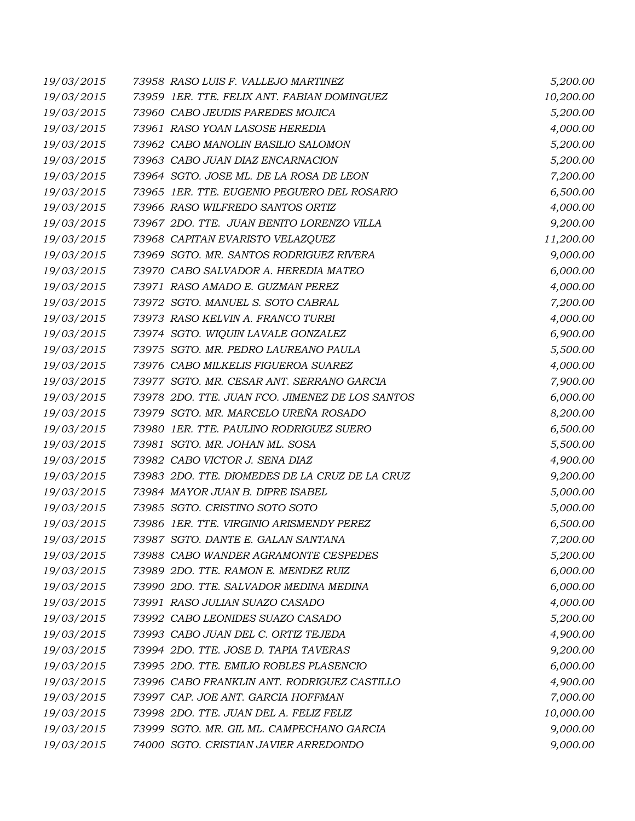| 19/03/2015 | 73958 RASO LUIS F. VALLEJO MARTINEZ             | 5,200.00  |
|------------|-------------------------------------------------|-----------|
| 19/03/2015 | 73959 1ER. TTE. FELIX ANT. FABIAN DOMINGUEZ     | 10,200.00 |
| 19/03/2015 | 73960 CABO JEUDIS PAREDES MOJICA                | 5,200.00  |
| 19/03/2015 | 73961 RASO YOAN LASOSE HEREDIA                  | 4,000.00  |
| 19/03/2015 | 73962 CABO MANOLIN BASILIO SALOMON              | 5,200.00  |
| 19/03/2015 | 73963 CABO JUAN DIAZ ENCARNACION                | 5,200.00  |
| 19/03/2015 | 73964 SGTO. JOSE ML. DE LA ROSA DE LEON         | 7,200.00  |
| 19/03/2015 | 73965 1ER. TTE. EUGENIO PEGUERO DEL ROSARIO     | 6,500.00  |
| 19/03/2015 | 73966 RASO WILFREDO SANTOS ORTIZ                | 4,000.00  |
| 19/03/2015 | 73967 2DO. TTE. JUAN BENITO LORENZO VILLA       | 9,200.00  |
| 19/03/2015 | 73968 CAPITAN EVARISTO VELAZQUEZ                | 11,200.00 |
| 19/03/2015 | 73969 SGTO. MR. SANTOS RODRIGUEZ RIVERA         | 9,000.00  |
| 19/03/2015 | 73970 CABO SALVADOR A. HEREDIA MATEO            | 6,000.00  |
| 19/03/2015 | 73971 RASO AMADO E. GUZMAN PEREZ                | 4,000.00  |
| 19/03/2015 | 73972 SGTO. MANUEL S. SOTO CABRAL               | 7,200.00  |
| 19/03/2015 | 73973 RASO KELVIN A. FRANCO TURBI               | 4,000.00  |
| 19/03/2015 | 73974 SGTO. WIQUIN LAVALE GONZALEZ              | 6,900.00  |
| 19/03/2015 | 73975 SGTO. MR. PEDRO LAUREANO PAULA            | 5,500.00  |
| 19/03/2015 | 73976 CABO MILKELIS FIGUEROA SUAREZ             | 4,000.00  |
| 19/03/2015 | 73977 SGTO. MR. CESAR ANT. SERRANO GARCIA       | 7,900.00  |
| 19/03/2015 | 73978 2DO. TTE. JUAN FCO. JIMENEZ DE LOS SANTOS | 6,000.00  |
| 19/03/2015 | 73979 SGTO. MR. MARCELO UREÑA ROSADO            | 8,200.00  |
| 19/03/2015 | 73980 1ER. TTE. PAULINO RODRIGUEZ SUERO         | 6,500.00  |
| 19/03/2015 | 73981 SGTO. MR. JOHAN ML. SOSA                  | 5,500.00  |
| 19/03/2015 | 73982 CABO VICTOR J. SENA DIAZ                  | 4,900.00  |
| 19/03/2015 | 73983 2DO. TTE. DIOMEDES DE LA CRUZ DE LA CRUZ  | 9,200.00  |
| 19/03/2015 | 73984 MAYOR JUAN B. DIPRE ISABEL                | 5,000.00  |
| 19/03/2015 | 73985 SGTO. CRISTINO SOTO SOTO                  | 5,000.00  |
| 19/03/2015 | 73986 1ER. TTE. VIRGINIO ARISMENDY PEREZ        | 6,500.00  |
| 19/03/2015 | 73987 SGTO. DANTE E. GALAN SANTANA              | 7,200.00  |
| 19/03/2015 | 73988 CABO WANDER AGRAMONTE CESPEDES            | 5,200.00  |
| 19/03/2015 | 73989 2DO. TTE. RAMON E. MENDEZ RUIZ            | 6,000.00  |
| 19/03/2015 | 73990 2DO. TTE. SALVADOR MEDINA MEDINA          | 6,000.00  |
| 19/03/2015 | 73991 RASO JULIAN SUAZO CASADO                  | 4,000.00  |
| 19/03/2015 | 73992 CABO LEONIDES SUAZO CASADO                | 5,200.00  |
| 19/03/2015 | 73993 CABO JUAN DEL C. ORTIZ TEJEDA             | 4,900.00  |
| 19/03/2015 | 73994 2DO. TTE. JOSE D. TAPIA TAVERAS           | 9,200.00  |
| 19/03/2015 | 73995 2DO. TTE. EMILIO ROBLES PLASENCIO         | 6,000.00  |
| 19/03/2015 | 73996 CABO FRANKLIN ANT. RODRIGUEZ CASTILLO     | 4,900.00  |
| 19/03/2015 | 73997 CAP. JOE ANT. GARCIA HOFFMAN              | 7,000.00  |
| 19/03/2015 | 73998 2DO. TTE. JUAN DEL A. FELIZ FELIZ         | 10,000.00 |
| 19/03/2015 | 73999 SGTO. MR. GIL ML. CAMPECHANO GARCIA       | 9,000.00  |
| 19/03/2015 | 74000 SGTO. CRISTIAN JAVIER ARREDONDO           | 9,000.00  |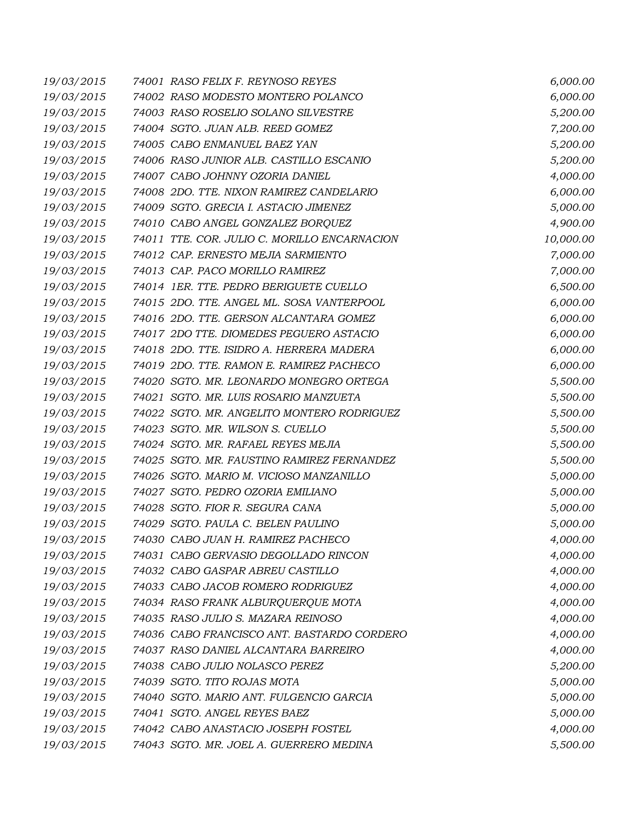| 19/03/2015 | 74001 RASO FELIX F. REYNOSO REYES            | 6,000.00  |
|------------|----------------------------------------------|-----------|
| 19/03/2015 | 74002 RASO MODESTO MONTERO POLANCO           | 6,000.00  |
| 19/03/2015 | 74003 RASO ROSELIO SOLANO SILVESTRE          | 5,200.00  |
| 19/03/2015 | 74004 SGTO. JUAN ALB. REED GOMEZ             | 7,200.00  |
| 19/03/2015 | 74005 CABO ENMANUEL BAEZ YAN                 | 5,200.00  |
| 19/03/2015 | 74006 RASO JUNIOR ALB. CASTILLO ESCANIO      | 5,200.00  |
| 19/03/2015 | 74007 CABO JOHNNY OZORIA DANIEL              | 4,000.00  |
| 19/03/2015 | 74008 2DO. TTE. NIXON RAMIREZ CANDELARIO     | 6,000.00  |
| 19/03/2015 | 74009 SGTO. GRECIA I. ASTACIO JIMENEZ        | 5,000.00  |
| 19/03/2015 | 74010 CABO ANGEL GONZALEZ BORQUEZ            | 4,900.00  |
| 19/03/2015 | 74011 TTE. COR. JULIO C. MORILLO ENCARNACION | 10,000.00 |
| 19/03/2015 | 74012 CAP. ERNESTO MEJIA SARMIENTO           | 7,000.00  |
| 19/03/2015 | 74013 CAP. PACO MORILLO RAMIREZ              | 7,000.00  |
| 19/03/2015 | 74014 1ER. TTE. PEDRO BERIGUETE CUELLO       | 6,500.00  |
| 19/03/2015 | 74015 2DO. TTE. ANGEL ML. SOSA VANTERPOOL    | 6,000.00  |
| 19/03/2015 | 74016 2DO. TTE. GERSON ALCANTARA GOMEZ       | 6,000.00  |
| 19/03/2015 | 74017 2DO TTE. DIOMEDES PEGUERO ASTACIO      | 6,000.00  |
| 19/03/2015 | 74018 2DO. TTE. ISIDRO A. HERRERA MADERA     | 6,000.00  |
| 19/03/2015 | 74019 2DO. TTE. RAMON E. RAMIREZ PACHECO     | 6,000.00  |
| 19/03/2015 | 74020 SGTO. MR. LEONARDO MONEGRO ORTEGA      | 5,500.00  |
| 19/03/2015 | 74021 SGTO. MR. LUIS ROSARIO MANZUETA        | 5,500.00  |
| 19/03/2015 | 74022 SGTO. MR. ANGELITO MONTERO RODRIGUEZ   | 5,500.00  |
| 19/03/2015 | 74023 SGTO. MR. WILSON S. CUELLO             | 5,500.00  |
| 19/03/2015 | 74024 SGTO. MR. RAFAEL REYES MEJIA           | 5,500.00  |
| 19/03/2015 | 74025 SGTO. MR. FAUSTINO RAMIREZ FERNANDEZ   | 5,500.00  |
| 19/03/2015 | 74026 SGTO. MARIO M. VICIOSO MANZANILLO      | 5,000.00  |
| 19/03/2015 | 74027 SGTO. PEDRO OZORIA EMILIANO            | 5,000.00  |
| 19/03/2015 | 74028 SGTO. FIOR R. SEGURA CANA              | 5,000.00  |
| 19/03/2015 | 74029 SGTO. PAULA C. BELEN PAULINO           | 5,000.00  |
| 19/03/2015 | 74030 CABO JUAN H. RAMIREZ PACHECO           | 4,000.00  |
| 19/03/2015 | 74031 CABO GERVASIO DEGOLLADO RINCON         | 4,000.00  |
| 19/03/2015 | 74032 CABO GASPAR ABREU CASTILLO             | 4,000.00  |
| 19/03/2015 | 74033 CABO JACOB ROMERO RODRIGUEZ            | 4,000.00  |
| 19/03/2015 | 74034 RASO FRANK ALBURQUERQUE MOTA           | 4,000.00  |
| 19/03/2015 | 74035 RASO JULIO S. MAZARA REINOSO           | 4,000.00  |
| 19/03/2015 | 74036 CABO FRANCISCO ANT. BASTARDO CORDERO   | 4,000.00  |
| 19/03/2015 | 74037 RASO DANIEL ALCANTARA BARREIRO         | 4,000.00  |
| 19/03/2015 | 74038 CABO JULIO NOLASCO PEREZ               | 5,200.00  |
| 19/03/2015 | 74039 SGTO. TITO ROJAS MOTA                  | 5,000.00  |
| 19/03/2015 | 74040 SGTO. MARIO ANT. FULGENCIO GARCIA      | 5,000.00  |
| 19/03/2015 | 74041 SGTO. ANGEL REYES BAEZ                 | 5,000.00  |
| 19/03/2015 | 74042 CABO ANASTACIO JOSEPH FOSTEL           | 4,000.00  |
| 19/03/2015 | 74043 SGTO. MR. JOEL A. GUERRERO MEDINA      | 5,500.00  |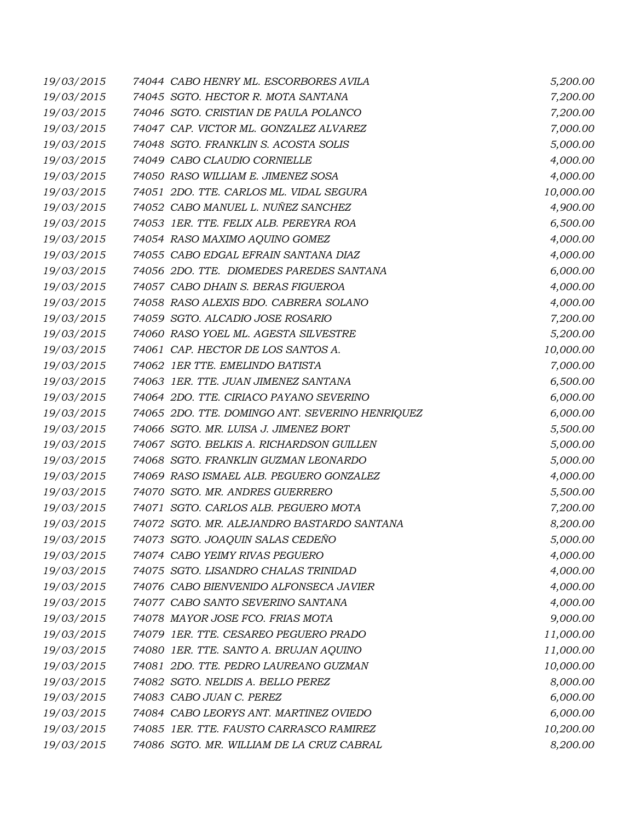| 19/03/2015 | 74044 CABO HENRY ML. ESCORBORES AVILA           | 5,200.00  |
|------------|-------------------------------------------------|-----------|
| 19/03/2015 | 74045 SGTO. HECTOR R. MOTA SANTANA              | 7,200.00  |
| 19/03/2015 | 74046 SGTO. CRISTIAN DE PAULA POLANCO           | 7,200.00  |
| 19/03/2015 | 74047 CAP. VICTOR ML. GONZALEZ ALVAREZ          | 7,000.00  |
| 19/03/2015 | 74048 SGTO. FRANKLIN S. ACOSTA SOLIS            | 5,000.00  |
| 19/03/2015 | 74049 CABO CLAUDIO CORNIELLE                    | 4,000.00  |
| 19/03/2015 | 74050 RASO WILLIAM E. JIMENEZ SOSA              | 4,000.00  |
| 19/03/2015 | 74051 2DO. TTE. CARLOS ML. VIDAL SEGURA         | 10,000.00 |
| 19/03/2015 | 74052 CABO MANUEL L. NUÑEZ SANCHEZ              | 4,900.00  |
| 19/03/2015 | 74053 IER. TTE. FELIX ALB. PEREYRA ROA          | 6,500.00  |
| 19/03/2015 | 74054 RASO MAXIMO AQUINO GOMEZ                  | 4,000.00  |
| 19/03/2015 | 74055 CABO EDGAL EFRAIN SANTANA DIAZ            | 4,000.00  |
| 19/03/2015 | 74056 2DO. TTE. DIOMEDES PAREDES SANTANA        | 6,000.00  |
| 19/03/2015 | 74057 CABO DHAIN S. BERAS FIGUEROA              | 4,000.00  |
| 19/03/2015 | 74058 RASO ALEXIS BDO. CABRERA SOLANO           | 4,000.00  |
| 19/03/2015 | 74059 SGTO. ALCADIO JOSE ROSARIO                | 7,200.00  |
| 19/03/2015 | 74060 RASO YOEL ML. AGESTA SILVESTRE            | 5,200.00  |
| 19/03/2015 | 74061 CAP. HECTOR DE LOS SANTOS A.              | 10,000.00 |
| 19/03/2015 | 74062 IER TTE. EMELINDO BATISTA                 | 7,000.00  |
| 19/03/2015 | 74063 IER. TTE. JUAN JIMENEZ SANTANA            | 6,500.00  |
| 19/03/2015 | 74064 2DO. TTE. CIRIACO PAYANO SEVERINO         | 6,000.00  |
| 19/03/2015 | 74065 2DO. TTE. DOMINGO ANT. SEVERINO HENRIQUEZ | 6,000.00  |
| 19/03/2015 | 74066 SGTO. MR. LUISA J. JIMENEZ BORT           | 5,500.00  |
| 19/03/2015 | 74067 SGTO. BELKIS A. RICHARDSON GUILLEN        | 5,000.00  |
| 19/03/2015 | 74068 SGTO. FRANKLIN GUZMAN LEONARDO            | 5,000.00  |
| 19/03/2015 | 74069 RASO ISMAEL ALB. PEGUERO GONZALEZ         | 4,000.00  |
| 19/03/2015 | 74070 SGTO. MR. ANDRES GUERRERO                 | 5,500.00  |
| 19/03/2015 | 74071 SGTO. CARLOS ALB. PEGUERO MOTA            | 7,200.00  |
| 19/03/2015 | 74072 SGTO. MR. ALEJANDRO BASTARDO SANTANA      | 8,200.00  |
| 19/03/2015 | 74073 SGTO. JOAQUIN SALAS CEDEÑO                | 5,000.00  |
| 19/03/2015 | 74074 CABO YEIMY RIVAS PEGUERO                  | 4,000.00  |
| 19/03/2015 | 74075 SGTO. LISANDRO CHALAS TRINIDAD            | 4,000.00  |
| 19/03/2015 | 74076 CABO BIENVENIDO ALFONSECA JAVIER          | 4,000.00  |
| 19/03/2015 | 74077 CABO SANTO SEVERINO SANTANA               | 4,000.00  |
| 19/03/2015 | 74078 MAYOR JOSE FCO. FRIAS MOTA                | 9,000.00  |
| 19/03/2015 | 74079 1ER. TTE. CESAREO PEGUERO PRADO           | 11,000.00 |
| 19/03/2015 | 74080 1ER. TTE. SANTO A. BRUJAN AQUINO          | 11,000.00 |
| 19/03/2015 | 74081 2DO. TTE. PEDRO LAUREANO GUZMAN           | 10,000.00 |
| 19/03/2015 | 74082 SGTO. NELDIS A. BELLO PEREZ               | 8,000.00  |
| 19/03/2015 | 74083 CABO JUAN C. PEREZ                        | 6,000.00  |
| 19/03/2015 | 74084 CABO LEORYS ANT. MARTINEZ OVIEDO          | 6,000.00  |
| 19/03/2015 | 74085 1ER. TTE. FAUSTO CARRASCO RAMIREZ         | 10,200.00 |
| 19/03/2015 | 74086 SGTO. MR. WILLIAM DE LA CRUZ CABRAL       | 8,200.00  |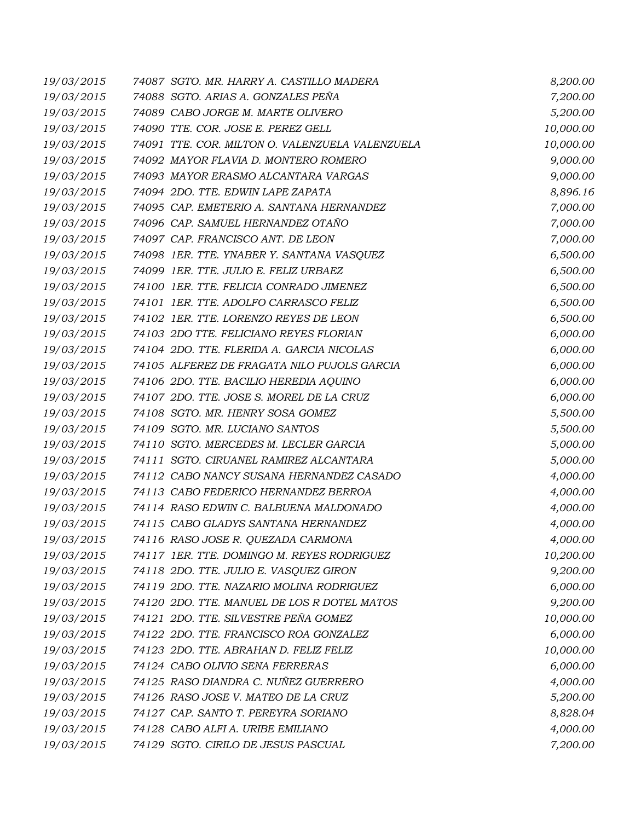| 19/03/2015 | 74087 SGTO. MR. HARRY A. CASTILLO MADERA        | 8,200.00  |
|------------|-------------------------------------------------|-----------|
| 19/03/2015 | 74088 SGTO. ARIAS A. GONZALES PEÑA              | 7,200.00  |
| 19/03/2015 | 74089 CABO JORGE M. MARTE OLIVERO               | 5,200.00  |
| 19/03/2015 | 74090 TTE. COR. JOSE E. PEREZ GELL              | 10,000.00 |
| 19/03/2015 | 74091 TTE. COR. MILTON O. VALENZUELA VALENZUELA | 10,000.00 |
| 19/03/2015 | 74092 MAYOR FLAVIA D. MONTERO ROMERO            | 9,000.00  |
| 19/03/2015 | 74093 MAYOR ERASMO ALCANTARA VARGAS             | 9,000.00  |
| 19/03/2015 | 74094 2DO. TTE. EDWIN LAPE ZAPATA               | 8,896.16  |
| 19/03/2015 | 74095 CAP. EMETERIO A. SANTANA HERNANDEZ        | 7,000.00  |
| 19/03/2015 | 74096 CAP. SAMUEL HERNANDEZ OTAÑO               | 7,000.00  |
| 19/03/2015 | 74097 CAP. FRANCISCO ANT. DE LEON               | 7,000.00  |
| 19/03/2015 | 74098 IER. TTE. YNABER Y. SANTANA VASQUEZ       | 6,500.00  |
| 19/03/2015 | 74099 1ER. TTE. JULIO E. FELIZ URBAEZ           | 6,500.00  |
| 19/03/2015 | 74100 1ER. TTE. FELICIA CONRADO JIMENEZ         | 6,500.00  |
| 19/03/2015 | 74101 1ER. TTE. ADOLFO CARRASCO FELIZ           | 6,500.00  |
| 19/03/2015 | 74102 1ER. TTE. LORENZO REYES DE LEON           | 6,500.00  |
| 19/03/2015 | 74103 2DO TTE. FELICIANO REYES FLORIAN          | 6,000.00  |
| 19/03/2015 | 74104 2DO. TTE. FLERIDA A. GARCIA NICOLAS       | 6,000.00  |
| 19/03/2015 | 74105 ALFEREZ DE FRAGATA NILO PUJOLS GARCIA     | 6,000.00  |
| 19/03/2015 | 74106 2DO. TTE. BACILIO HEREDIA AQUINO          | 6,000.00  |
| 19/03/2015 | 74107 2DO. TTE. JOSE S. MOREL DE LA CRUZ        | 6,000.00  |
| 19/03/2015 | 74108 SGTO. MR. HENRY SOSA GOMEZ                | 5,500.00  |
| 19/03/2015 | 74109 SGTO. MR. LUCIANO SANTOS                  | 5,500.00  |
| 19/03/2015 | 74110 SGTO. MERCEDES M. LECLER GARCIA           | 5,000.00  |
| 19/03/2015 | 74111 SGTO. CIRUANEL RAMIREZ ALCANTARA          | 5,000.00  |
| 19/03/2015 | 74112 CABO NANCY SUSANA HERNANDEZ CASADO        | 4,000.00  |
| 19/03/2015 | 74113 CABO FEDERICO HERNANDEZ BERROA            | 4,000.00  |
| 19/03/2015 | 74114 RASO EDWIN C. BALBUENA MALDONADO          | 4,000.00  |
| 19/03/2015 | 74115 CABO GLADYS SANTANA HERNANDEZ             | 4,000.00  |
| 19/03/2015 | 74116 RASO JOSE R. QUEZADA CARMONA              | 4,000.00  |
| 19/03/2015 | 74117 1ER. TTE. DOMINGO M. REYES RODRIGUEZ      | 10,200.00 |
| 19/03/2015 | 74118 2DO. TTE. JULIO E. VASQUEZ GIRON          | 9,200.00  |
| 19/03/2015 | 74119 2DO. TTE. NAZARIO MOLINA RODRIGUEZ        | 6,000.00  |
| 19/03/2015 | 74120 2DO. TTE. MANUEL DE LOS R DOTEL MATOS     | 9,200.00  |
| 19/03/2015 | 74121 2DO. TTE. SILVESTRE PEÑA GOMEZ            | 10,000.00 |
| 19/03/2015 | 74122 2DO. TTE. FRANCISCO ROA GONZALEZ          | 6,000.00  |
| 19/03/2015 | 74123 2DO. TTE. ABRAHAN D. FELIZ FELIZ          | 10,000.00 |
| 19/03/2015 | 74124 CABO OLIVIO SENA FERRERAS                 | 6,000.00  |
| 19/03/2015 | 74125 RASO DIANDRA C. NUÑEZ GUERRERO            | 4,000.00  |
| 19/03/2015 | 74126 RASO JOSE V. MATEO DE LA CRUZ             | 5,200.00  |
| 19/03/2015 | 74127 CAP. SANTO T. PEREYRA SORIANO             | 8,828.04  |
| 19/03/2015 | 74128 CABO ALFI A. URIBE EMILIANO               | 4,000.00  |
| 19/03/2015 | 74129 SGTO. CIRILO DE JESUS PASCUAL             | 7,200.00  |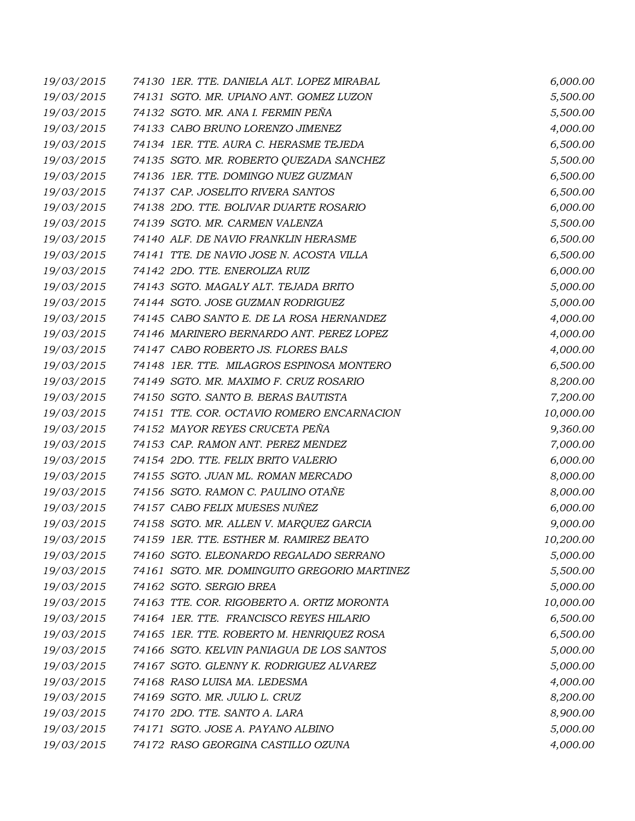| 19/03/2015 | 74130 IER. TTE. DANIELA ALT. LOPEZ MIRABAL   | 6,000.00  |
|------------|----------------------------------------------|-----------|
| 19/03/2015 | 74131 SGTO. MR. UPIANO ANT. GOMEZ LUZON      | 5,500.00  |
| 19/03/2015 | 74132 SGTO. MR. ANA I. FERMIN PEÑA           | 5,500.00  |
| 19/03/2015 | 74133 CABO BRUNO LORENZO JIMENEZ             | 4,000.00  |
| 19/03/2015 | 74134 1ER. TTE. AURA C. HERASME TEJEDA       | 6,500.00  |
| 19/03/2015 | 74135 SGTO. MR. ROBERTO QUEZADA SANCHEZ      | 5,500.00  |
| 19/03/2015 | 74136 1ER. TTE. DOMINGO NUEZ GUZMAN          | 6,500.00  |
| 19/03/2015 | 74137 CAP. JOSELITO RIVERA SANTOS            | 6,500.00  |
| 19/03/2015 | 74138 2DO. TTE. BOLIVAR DUARTE ROSARIO       | 6,000.00  |
| 19/03/2015 | 74139 SGTO. MR. CARMEN VALENZA               | 5,500.00  |
| 19/03/2015 | 74140 ALF. DE NAVIO FRANKLIN HERASME         | 6,500.00  |
| 19/03/2015 | 74141 TTE. DE NAVIO JOSE N. ACOSTA VILLA     | 6,500.00  |
| 19/03/2015 | 74142 2DO. TTE. ENEROLIZA RUIZ               | 6,000.00  |
| 19/03/2015 | 74143 SGTO. MAGALY ALT. TEJADA BRITO         | 5,000.00  |
| 19/03/2015 | 74144 SGTO. JOSE GUZMAN RODRIGUEZ            | 5,000.00  |
| 19/03/2015 | 74145 CABO SANTO E. DE LA ROSA HERNANDEZ     | 4,000.00  |
| 19/03/2015 | 74146 MARINERO BERNARDO ANT. PEREZ LOPEZ     | 4,000.00  |
| 19/03/2015 | 74147 CABO ROBERTO JS. FLORES BALS           | 4,000.00  |
| 19/03/2015 | 74148 1ER. TTE. MILAGROS ESPINOSA MONTERO    | 6,500.00  |
| 19/03/2015 | 74149 SGTO. MR. MAXIMO F. CRUZ ROSARIO       | 8,200.00  |
| 19/03/2015 | 74150 SGTO. SANTO B. BERAS BAUTISTA          | 7,200.00  |
| 19/03/2015 | 74151 TTE. COR. OCTAVIO ROMERO ENCARNACION   | 10,000.00 |
| 19/03/2015 | 74152 MAYOR REYES CRUCETA PEÑA               | 9,360.00  |
| 19/03/2015 | 74153 CAP. RAMON ANT. PEREZ MENDEZ           | 7,000.00  |
| 19/03/2015 | 74154 2DO. TTE. FELIX BRITO VALERIO          | 6,000.00  |
| 19/03/2015 | 74155 SGTO. JUAN ML. ROMAN MERCADO           | 8,000.00  |
| 19/03/2015 | 74156 SGTO. RAMON C. PAULINO OTAÑE           | 8,000.00  |
| 19/03/2015 | 74157 CABO FELIX MUESES NUÑEZ                | 6,000.00  |
| 19/03/2015 | 74158 SGTO. MR. ALLEN V. MARQUEZ GARCIA      | 9,000.00  |
| 19/03/2015 | 74159 IER. TTE. ESTHER M. RAMIREZ BEATO      | 10,200.00 |
| 19/03/2015 | 74160 SGTO. ELEONARDO REGALADO SERRANO       | 5,000.00  |
| 19/03/2015 | 74161 SGTO. MR. DOMINGUITO GREGORIO MARTINEZ | 5,500.00  |
| 19/03/2015 | 74162 SGTO. SERGIO BREA                      | 5,000.00  |
| 19/03/2015 | 74163 TTE. COR. RIGOBERTO A. ORTIZ MORONTA   | 10,000.00 |
| 19/03/2015 | 74164 1ER. TTE. FRANCISCO REYES HILARIO      | 6,500.00  |
| 19/03/2015 | 74165 IER. TTE. ROBERTO M. HENRIQUEZ ROSA    | 6,500.00  |
| 19/03/2015 | 74166 SGTO. KELVIN PANIAGUA DE LOS SANTOS    | 5,000.00  |
| 19/03/2015 | 74167 SGTO. GLENNY K. RODRIGUEZ ALVAREZ      | 5,000.00  |
| 19/03/2015 | 74168 RASO LUISA MA. LEDESMA                 | 4,000.00  |
| 19/03/2015 | 74169 SGTO. MR. JULIO L. CRUZ                | 8,200.00  |
| 19/03/2015 | 74170 2DO. TTE. SANTO A. LARA                | 8,900.00  |
| 19/03/2015 | 74171 SGTO. JOSE A. PAYANO ALBINO            | 5,000.00  |
| 19/03/2015 | 74172 RASO GEORGINA CASTILLO OZUNA           | 4,000.00  |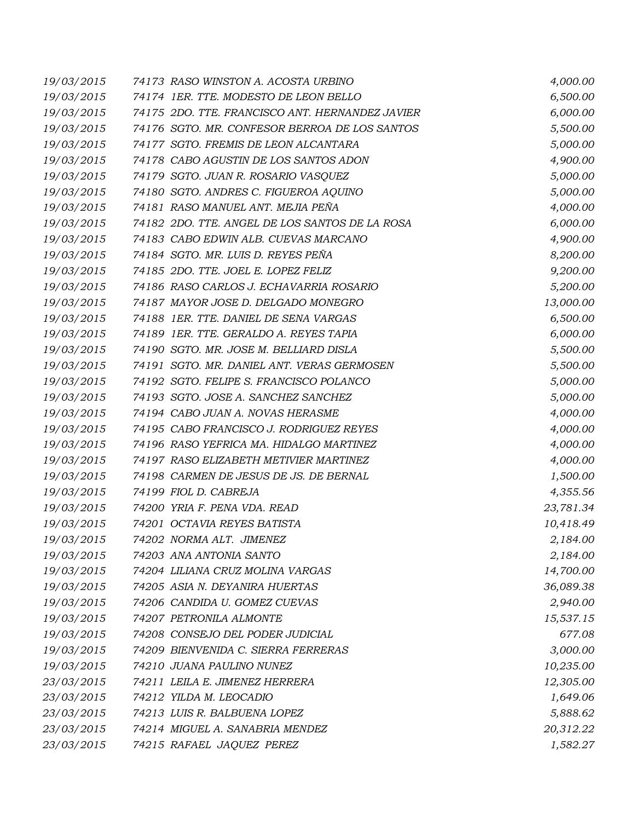| 19/03/2015 | 74173 RASO WINSTON A. ACOSTA URBINO             | 4,000.00  |
|------------|-------------------------------------------------|-----------|
| 19/03/2015 | 74174 1ER. TTE. MODESTO DE LEON BELLO           | 6,500.00  |
| 19/03/2015 | 74175 2DO. TTE. FRANCISCO ANT. HERNANDEZ JAVIER | 6,000.00  |
| 19/03/2015 | 74176 SGTO. MR. CONFESOR BERROA DE LOS SANTOS   | 5,500.00  |
| 19/03/2015 | 74177 SGTO. FREMIS DE LEON ALCANTARA            | 5,000.00  |
| 19/03/2015 | 74178 CABO AGUSTIN DE LOS SANTOS ADON           | 4,900.00  |
| 19/03/2015 | 74179 SGTO. JUAN R. ROSARIO VASQUEZ             | 5,000.00  |
| 19/03/2015 | 74180 SGTO. ANDRES C. FIGUEROA AQUINO           | 5,000.00  |
| 19/03/2015 | 74181 RASO MANUEL ANT. MEJIA PEÑA               | 4,000.00  |
| 19/03/2015 | 74182 2DO. TTE. ANGEL DE LOS SANTOS DE LA ROSA  | 6,000.00  |
| 19/03/2015 | 74183 CABO EDWIN ALB. CUEVAS MARCANO            | 4,900.00  |
| 19/03/2015 | 74184 SGTO. MR. LUIS D. REYES PEÑA              | 8,200.00  |
| 19/03/2015 | 74185 2DO. TTE. JOEL E. LOPEZ FELIZ             | 9,200.00  |
| 19/03/2015 | 74186 RASO CARLOS J. ECHAVARRIA ROSARIO         | 5,200.00  |
| 19/03/2015 | 74187 MAYOR JOSE D. DELGADO MONEGRO             | 13,000.00 |
| 19/03/2015 | 74188 1ER. TTE. DANIEL DE SENA VARGAS           | 6,500.00  |
| 19/03/2015 | 74189 1ER. TTE. GERALDO A. REYES TAPIA          | 6,000.00  |
| 19/03/2015 | 74190 SGTO. MR. JOSE M. BELLIARD DISLA          | 5,500.00  |
| 19/03/2015 | 74191 SGTO. MR. DANIEL ANT. VERAS GERMOSEN      | 5,500.00  |
| 19/03/2015 | 74192 SGTO. FELIPE S. FRANCISCO POLANCO         | 5,000.00  |
| 19/03/2015 | 74193 SGTO. JOSE A. SANCHEZ SANCHEZ             | 5,000.00  |
| 19/03/2015 | 74194 CABO JUAN A. NOVAS HERASME                | 4,000.00  |
| 19/03/2015 | 74195 CABO FRANCISCO J. RODRIGUEZ REYES         | 4,000.00  |
| 19/03/2015 | 74196 RASO YEFRICA MA. HIDALGO MARTINEZ         | 4,000.00  |
| 19/03/2015 | 74197 RASO ELIZABETH METIVIER MARTINEZ          | 4,000.00  |
| 19/03/2015 | 74198 CARMEN DE JESUS DE JS. DE BERNAL          | 1,500.00  |
| 19/03/2015 | 74199 FIOL D. CABREJA                           | 4,355.56  |
| 19/03/2015 | 74200 YRIA F. PENA VDA. READ                    | 23,781.34 |
| 19/03/2015 | 74201 OCTAVIA REYES BATISTA                     | 10,418.49 |
| 19/03/2015 | 74202 NORMA ALT. JIMENEZ                        | 2,184.00  |
| 19/03/2015 | 74203 ANA ANTONIA SANTO                         | 2,184.00  |
| 19/03/2015 | 74204 LILIANA CRUZ MOLINA VARGAS                | 14,700.00 |
| 19/03/2015 | 74205 ASIA N. DEYANIRA HUERTAS                  | 36,089.38 |
| 19/03/2015 | 74206 CANDIDA U. GOMEZ CUEVAS                   | 2,940.00  |
| 19/03/2015 | 74207 PETRONILA ALMONTE                         | 15,537.15 |
| 19/03/2015 | 74208 CONSEJO DEL PODER JUDICIAL                | 677.08    |
| 19/03/2015 | 74209 BIENVENIDA C. SIERRA FERRERAS             | 3,000.00  |
| 19/03/2015 | 74210 JUANA PAULINO NUNEZ                       | 10,235.00 |
| 23/03/2015 | 74211 LEILA E. JIMENEZ HERRERA                  | 12,305.00 |
| 23/03/2015 | 74212 YILDA M. LEOCADIO                         | 1,649.06  |
| 23/03/2015 | 74213 LUIS R. BALBUENA LOPEZ                    | 5,888.62  |
| 23/03/2015 | 74214 MIGUEL A. SANABRIA MENDEZ                 | 20,312.22 |
| 23/03/2015 | 74215 RAFAEL JAQUEZ PEREZ                       | 1,582.27  |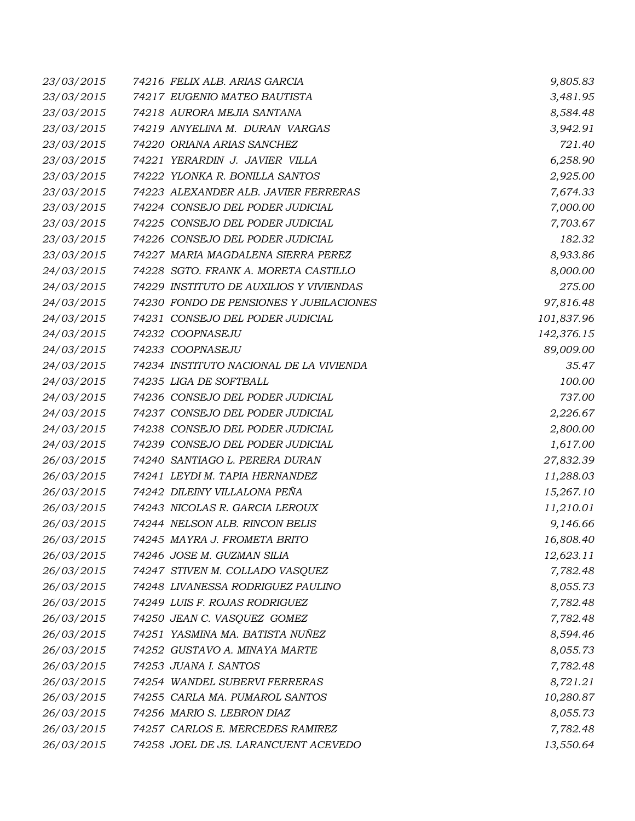| 23/03/2015 | 74216 FELIX ALB. ARIAS GARCIA           | 9,805.83   |
|------------|-----------------------------------------|------------|
| 23/03/2015 | 74217 EUGENIO MATEO BAUTISTA            | 3,481.95   |
| 23/03/2015 | 74218 AURORA MEJIA SANTANA              | 8,584.48   |
| 23/03/2015 | 74219 ANYELINA M. DURAN VARGAS          | 3,942.91   |
| 23/03/2015 | 74220 ORIANA ARIAS SANCHEZ              | 721.40     |
| 23/03/2015 | 74221 YERARDIN J. JAVIER VILLA          | 6,258.90   |
| 23/03/2015 | 74222 YLONKA R. BONILLA SANTOS          | 2,925.00   |
| 23/03/2015 | 74223 ALEXANDER ALB. JAVIER FERRERAS    | 7,674.33   |
| 23/03/2015 | 74224 CONSEJO DEL PODER JUDICIAL        | 7,000.00   |
| 23/03/2015 | 74225 CONSEJO DEL PODER JUDICIAL        | 7,703.67   |
| 23/03/2015 | 74226 CONSEJO DEL PODER JUDICIAL        | 182.32     |
| 23/03/2015 | 74227 MARIA MAGDALENA SIERRA PEREZ      | 8,933.86   |
| 24/03/2015 | 74228 SGTO. FRANK A. MORETA CASTILLO    | 8,000.00   |
| 24/03/2015 | 74229 INSTITUTO DE AUXILIOS Y VIVIENDAS | 275.00     |
| 24/03/2015 | 74230 FONDO DE PENSIONES Y JUBILACIONES | 97,816.48  |
| 24/03/2015 | 74231 CONSEJO DEL PODER JUDICIAL        | 101,837.96 |
| 24/03/2015 | 74232 COOPNASEJU                        | 142,376.15 |
| 24/03/2015 | 74233 COOPNASEJU                        | 89,009.00  |
| 24/03/2015 | 74234 INSTITUTO NACIONAL DE LA VIVIENDA | 35.47      |
| 24/03/2015 | 74235 LIGA DE SOFTBALL                  | 100.00     |
| 24/03/2015 | 74236 CONSEJO DEL PODER JUDICIAL        | 737.00     |
| 24/03/2015 | 74237 CONSEJO DEL PODER JUDICIAL        | 2,226.67   |
| 24/03/2015 | 74238 CONSEJO DEL PODER JUDICIAL        | 2,800.00   |
| 24/03/2015 | 74239 CONSEJO DEL PODER JUDICIAL        | 1,617.00   |
| 26/03/2015 | 74240 SANTIAGO L. PERERA DURAN          | 27,832.39  |
| 26/03/2015 | 74241 LEYDI M. TAPIA HERNANDEZ          | 11,288.03  |
| 26/03/2015 | 74242 DILEINY VILLALONA PEÑA            | 15,267.10  |
| 26/03/2015 | 74243 NICOLAS R. GARCIA LEROUX          | 11,210.01  |
| 26/03/2015 | 74244 NELSON ALB. RINCON BELIS          | 9,146.66   |
| 26/03/2015 | 74245 MAYRA J. FROMETA BRITO            | 16,808.40  |
| 26/03/2015 | 74246 JOSE M. GUZMAN SILIA              | 12,623.11  |
| 26/03/2015 | 74247 STIVEN M. COLLADO VASQUEZ         | 7,782.48   |
| 26/03/2015 | 74248 LIVANESSA RODRIGUEZ PAULINO       | 8,055.73   |
| 26/03/2015 | 74249 LUIS F. ROJAS RODRIGUEZ           | 7,782.48   |
| 26/03/2015 | 74250 JEAN C. VASQUEZ GOMEZ             | 7,782.48   |
| 26/03/2015 | 74251 YASMINA MA. BATISTA NUÑEZ         | 8,594.46   |
| 26/03/2015 | 74252 GUSTAVO A. MINAYA MARTE           | 8,055.73   |
| 26/03/2015 | 74253 JUANA I. SANTOS                   | 7,782.48   |
| 26/03/2015 | 74254 WANDEL SUBERVI FERRERAS           | 8,721.21   |
| 26/03/2015 | 74255 CARLA MA. PUMAROL SANTOS          | 10,280.87  |
| 26/03/2015 | 74256 MARIO S. LEBRON DIAZ              | 8,055.73   |
| 26/03/2015 | 74257 CARLOS E. MERCEDES RAMIREZ        | 7,782.48   |
| 26/03/2015 | 74258 JOEL DE JS. LARANCUENT ACEVEDO    | 13,550.64  |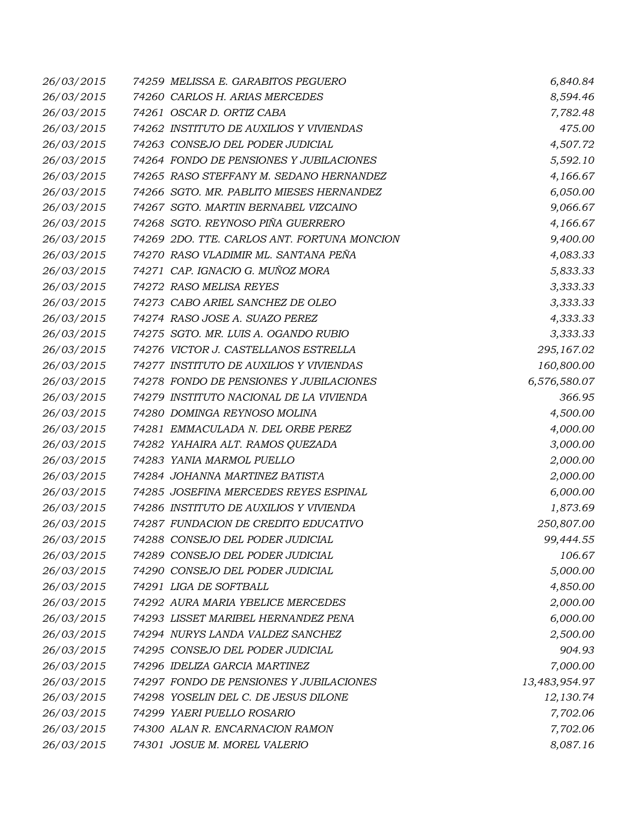| 26/03/2015 | 74259 MELISSA E. GARABITOS PEGUERO          | 6,840.84      |
|------------|---------------------------------------------|---------------|
| 26/03/2015 | 74260 CARLOS H. ARIAS MERCEDES              | 8,594.46      |
| 26/03/2015 | 74261 OSCAR D. ORTIZ CABA                   | 7,782.48      |
| 26/03/2015 | 74262 INSTITUTO DE AUXILIOS Y VIVIENDAS     | 475.00        |
| 26/03/2015 | 74263 CONSEJO DEL PODER JUDICIAL            | 4,507.72      |
| 26/03/2015 | 74264 FONDO DE PENSIONES Y JUBILACIONES     | 5,592.10      |
| 26/03/2015 | 74265 RASO STEFFANY M. SEDANO HERNANDEZ     | 4,166.67      |
| 26/03/2015 | 74266 SGTO. MR. PABLITO MIESES HERNANDEZ    | 6,050.00      |
| 26/03/2015 | 74267 SGTO. MARTIN BERNABEL VIZCAINO        | 9,066.67      |
| 26/03/2015 | 74268 SGTO. REYNOSO PIÑA GUERRERO           | 4,166.67      |
| 26/03/2015 | 74269 2DO. TTE. CARLOS ANT. FORTUNA MONCION | 9,400.00      |
| 26/03/2015 | 74270 RASO VLADIMIR ML. SANTANA PEÑA        | 4,083.33      |
| 26/03/2015 | 74271 CAP. IGNACIO G. MUÑOZ MORA            | 5,833.33      |
| 26/03/2015 | 74272 RASO MELISA REYES                     | 3,333.33      |
| 26/03/2015 | 74273 CABO ARIEL SANCHEZ DE OLEO            | 3,333.33      |
| 26/03/2015 | 74274 RASO JOSE A. SUAZO PEREZ              | 4,333.33      |
| 26/03/2015 | 74275 SGTO. MR. LUIS A. OGANDO RUBIO        | 3,333.33      |
| 26/03/2015 | 74276 VICTOR J. CASTELLANOS ESTRELLA        | 295,167.02    |
| 26/03/2015 | 74277 INSTITUTO DE AUXILIOS Y VIVIENDAS     | 160,800.00    |
| 26/03/2015 | 74278 FONDO DE PENSIONES Y JUBILACIONES     | 6,576,580.07  |
| 26/03/2015 | 74279 INSTITUTO NACIONAL DE LA VIVIENDA     | 366.95        |
| 26/03/2015 | 74280 DOMINGA REYNOSO MOLINA                | 4,500.00      |
| 26/03/2015 | 74281 EMMACULADA N. DEL ORBE PEREZ          | 4,000.00      |
| 26/03/2015 | 74282 YAHAIRA ALT. RAMOS QUEZADA            | 3,000.00      |
| 26/03/2015 | 74283 YANIA MARMOL PUELLO                   | 2,000.00      |
| 26/03/2015 | 74284 JOHANNA MARTINEZ BATISTA              | 2,000.00      |
| 26/03/2015 | 74285 JOSEFINA MERCEDES REYES ESPINAL       | 6,000.00      |
| 26/03/2015 | 74286 INSTITUTO DE AUXILIOS Y VIVIENDA      | 1,873.69      |
| 26/03/2015 | 74287 FUNDACION DE CREDITO EDUCATIVO        | 250,807.00    |
| 26/03/2015 | 74288 CONSEJO DEL PODER JUDICIAL            | 99,444.55     |
| 26/03/2015 | 74289 CONSEJO DEL PODER JUDICIAL            | 106.67        |
| 26/03/2015 | 74290 CONSEJO DEL PODER JUDICIAL            | 5,000.00      |
| 26/03/2015 | 74291 LIGA DE SOFTBALL                      | 4,850.00      |
| 26/03/2015 | 74292 AURA MARIA YBELICE MERCEDES           | 2,000.00      |
| 26/03/2015 | 74293 LISSET MARIBEL HERNANDEZ PENA         | 6,000.00      |
| 26/03/2015 | 74294 NURYS LANDA VALDEZ SANCHEZ            | 2,500.00      |
| 26/03/2015 | 74295 CONSEJO DEL PODER JUDICIAL            | 904.93        |
| 26/03/2015 | 74296 IDELIZA GARCIA MARTINEZ               | 7,000.00      |
| 26/03/2015 | 74297 FONDO DE PENSIONES Y JUBILACIONES     | 13,483,954.97 |
| 26/03/2015 | 74298 YOSELIN DEL C. DE JESUS DILONE        | 12,130.74     |
| 26/03/2015 | 74299 YAERI PUELLO ROSARIO                  | 7,702.06      |
| 26/03/2015 | 74300 ALAN R. ENCARNACION RAMON             | 7,702.06      |
| 26/03/2015 | 74301 JOSUE M. MOREL VALERIO                | 8,087.16      |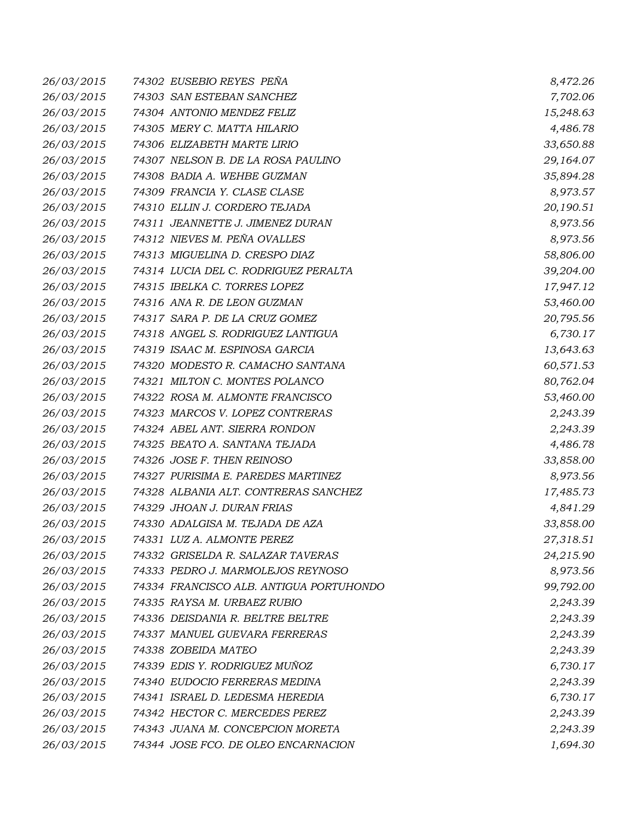| 26/03/2015 | 74302 EUSEBIO REYES PEÑA                | 8,472.26  |
|------------|-----------------------------------------|-----------|
| 26/03/2015 | 74303 SAN ESTEBAN SANCHEZ               | 7,702.06  |
| 26/03/2015 | 74304 ANTONIO MENDEZ FELIZ              | 15,248.63 |
| 26/03/2015 | 74305 MERY C. MATTA HILARIO             | 4,486.78  |
| 26/03/2015 | 74306 ELIZABETH MARTE LIRIO             | 33,650.88 |
| 26/03/2015 | 74307 NELSON B. DE LA ROSA PAULINO      | 29,164.07 |
| 26/03/2015 | 74308 BADIA A. WEHBE GUZMAN             | 35,894.28 |
| 26/03/2015 | 74309 FRANCIA Y. CLASE CLASE            | 8,973.57  |
| 26/03/2015 | 74310 ELLIN J. CORDERO TEJADA           | 20,190.51 |
| 26/03/2015 | 74311 JEANNETTE J. JIMENEZ DURAN        | 8,973.56  |
| 26/03/2015 | 74312 NIEVES M. PEÑA OVALLES            | 8,973.56  |
| 26/03/2015 | 74313 MIGUELINA D. CRESPO DIAZ          | 58,806.00 |
| 26/03/2015 | 74314 LUCIA DEL C. RODRIGUEZ PERALTA    | 39,204.00 |
| 26/03/2015 | 74315 IBELKA C. TORRES LOPEZ            | 17,947.12 |
| 26/03/2015 | 74316 ANA R. DE LEON GUZMAN             | 53,460.00 |
| 26/03/2015 | 74317 SARA P. DE LA CRUZ GOMEZ          | 20,795.56 |
| 26/03/2015 | 74318 ANGEL S. RODRIGUEZ LANTIGUA       | 6,730.17  |
| 26/03/2015 | 74319 ISAAC M. ESPINOSA GARCIA          | 13,643.63 |
| 26/03/2015 | 74320 MODESTO R. CAMACHO SANTANA        | 60,571.53 |
| 26/03/2015 | 74321 MILTON C. MONTES POLANCO          | 80,762.04 |
| 26/03/2015 | 74322 ROSA M. ALMONTE FRANCISCO         | 53,460.00 |
| 26/03/2015 | 74323 MARCOS V. LOPEZ CONTRERAS         | 2,243.39  |
| 26/03/2015 | 74324 ABEL ANT. SIERRA RONDON           | 2,243.39  |
| 26/03/2015 | 74325 BEATO A. SANTANA TEJADA           | 4,486.78  |
| 26/03/2015 | 74326 JOSE F. THEN REINOSO              | 33,858.00 |
| 26/03/2015 | 74327 PURISIMA E. PAREDES MARTINEZ      | 8,973.56  |
| 26/03/2015 | 74328 ALBANIA ALT. CONTRERAS SANCHEZ    | 17,485.73 |
| 26/03/2015 | 74329 JHOAN J. DURAN FRIAS              | 4,841.29  |
| 26/03/2015 | 74330 ADALGISA M. TEJADA DE AZA         | 33,858.00 |
| 26/03/2015 | 74331 LUZ A. ALMONTE PEREZ              | 27,318.51 |
| 26/03/2015 | 74332 GRISELDA R. SALAZAR TAVERAS       | 24,215.90 |
| 26/03/2015 | 74333 PEDRO J. MARMOLEJOS REYNOSO       | 8,973.56  |
| 26/03/2015 | 74334 FRANCISCO ALB. ANTIGUA PORTUHONDO | 99,792.00 |
| 26/03/2015 | 74335 RAYSA M. URBAEZ RUBIO             | 2,243.39  |
| 26/03/2015 | 74336 DEISDANIA R. BELTRE BELTRE        | 2,243.39  |
| 26/03/2015 | 74337 MANUEL GUEVARA FERRERAS           | 2,243.39  |
| 26/03/2015 | 74338 ZOBEIDA MATEO                     | 2,243.39  |
| 26/03/2015 | 74339 EDIS Y. RODRIGUEZ MUÑOZ           | 6,730.17  |
| 26/03/2015 | 74340 EUDOCIO FERRERAS MEDINA           | 2,243.39  |
| 26/03/2015 | 74341 ISRAEL D. LEDESMA HEREDIA         | 6,730.17  |
| 26/03/2015 | 74342 HECTOR C. MERCEDES PEREZ          | 2,243.39  |
| 26/03/2015 | 74343 JUANA M. CONCEPCION MORETA        | 2,243.39  |
| 26/03/2015 | 74344 JOSE FCO. DE OLEO ENCARNACION     | 1,694.30  |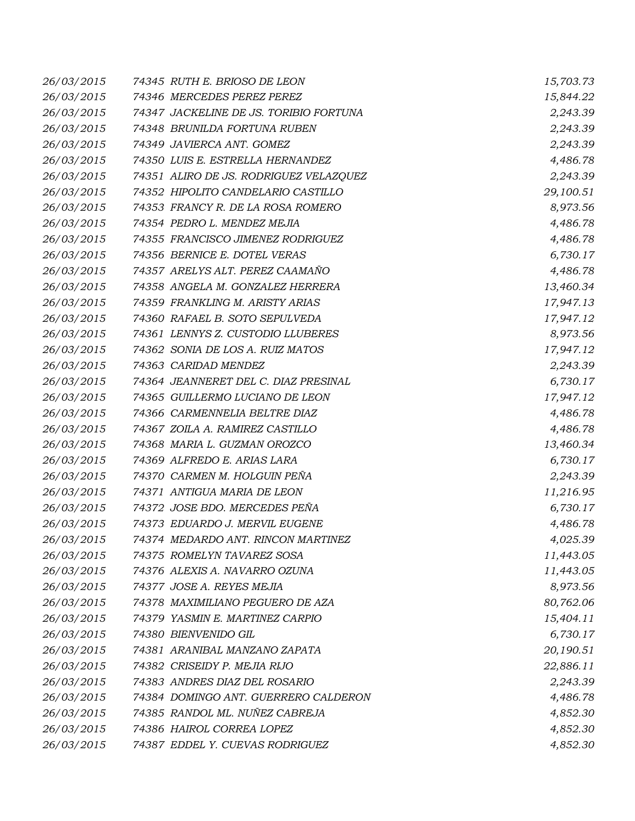| 26/03/2015 | 74345 RUTH E. BRIOSO DE LEON           | 15,703.73 |
|------------|----------------------------------------|-----------|
| 26/03/2015 | 74346 MERCEDES PEREZ PEREZ             | 15,844.22 |
| 26/03/2015 | 74347 JACKELINE DE JS. TORIBIO FORTUNA | 2,243.39  |
| 26/03/2015 | 74348 BRUNILDA FORTUNA RUBEN           | 2,243.39  |
| 26/03/2015 | 74349 JAVIERCA ANT. GOMEZ              | 2,243.39  |
| 26/03/2015 | 74350 LUIS E. ESTRELLA HERNANDEZ       | 4,486.78  |
| 26/03/2015 | 74351 ALIRO DE JS. RODRIGUEZ VELAZQUEZ | 2,243.39  |
| 26/03/2015 | 74352 HIPOLITO CANDELARIO CASTILLO     | 29,100.51 |
| 26/03/2015 | 74353 FRANCY R. DE LA ROSA ROMERO      | 8,973.56  |
| 26/03/2015 | 74354 PEDRO L. MENDEZ MEJIA            | 4,486.78  |
| 26/03/2015 | 74355 FRANCISCO JIMENEZ RODRIGUEZ      | 4,486.78  |
| 26/03/2015 | 74356 BERNICE E. DOTEL VERAS           | 6,730.17  |
| 26/03/2015 | 74357 ARELYS ALT. PEREZ CAAMAÑO        | 4,486.78  |
| 26/03/2015 | 74358 ANGELA M. GONZALEZ HERRERA       | 13,460.34 |
| 26/03/2015 | 74359 FRANKLING M. ARISTY ARIAS        | 17,947.13 |
| 26/03/2015 | 74360 RAFAEL B. SOTO SEPULVEDA         | 17,947.12 |
| 26/03/2015 | 74361 LENNYS Z. CUSTODIO LLUBERES      | 8,973.56  |
| 26/03/2015 | 74362 SONIA DE LOS A. RUIZ MATOS       | 17,947.12 |
| 26/03/2015 | 74363 CARIDAD MENDEZ                   | 2,243.39  |
| 26/03/2015 | 74364 JEANNERET DEL C. DIAZ PRESINAL   | 6,730.17  |
| 26/03/2015 | 74365 GUILLERMO LUCIANO DE LEON        | 17,947.12 |
| 26/03/2015 | 74366 CARMENNELIA BELTRE DIAZ          | 4,486.78  |
| 26/03/2015 | 74367 ZOILA A. RAMIREZ CASTILLO        | 4,486.78  |
| 26/03/2015 | 74368 MARIA L. GUZMAN OROZCO           | 13,460.34 |
| 26/03/2015 | 74369 ALFREDO E. ARIAS LARA            | 6,730.17  |
| 26/03/2015 | 74370 CARMEN M. HOLGUIN PEÑA           | 2,243.39  |
| 26/03/2015 | 74371 ANTIGUA MARIA DE LEON            | 11,216.95 |
| 26/03/2015 | 74372 JOSE BDO. MERCEDES PEÑA          | 6,730.17  |
| 26/03/2015 | 74373 EDUARDO J. MERVIL EUGENE         | 4,486.78  |
| 26/03/2015 | 74374 MEDARDO ANT. RINCON MARTINEZ     | 4,025.39  |
| 26/03/2015 | 74375 ROMELYN TAVAREZ SOSA             | 11,443.05 |
| 26/03/2015 | 74376 ALEXIS A. NAVARRO OZUNA          | 11,443.05 |
| 26/03/2015 | 74377 JOSE A. REYES MEJIA              | 8,973.56  |
| 26/03/2015 | 74378 MAXIMILIANO PEGUERO DE AZA       | 80,762.06 |
| 26/03/2015 | 74379 YASMIN E. MARTINEZ CARPIO        | 15,404.11 |
| 26/03/2015 | 74380 BIENVENIDO GIL                   | 6,730.17  |
| 26/03/2015 | 74381 ARANIBAL MANZANO ZAPATA          | 20,190.51 |
| 26/03/2015 | 74382 CRISEIDY P. MEJIA RIJO           | 22,886.11 |
| 26/03/2015 | 74383 ANDRES DIAZ DEL ROSARIO          | 2,243.39  |
| 26/03/2015 | 74384 DOMINGO ANT. GUERRERO CALDERON   | 4,486.78  |
| 26/03/2015 | 74385 RANDOL ML. NUÑEZ CABREJA         | 4,852.30  |
| 26/03/2015 | 74386 HAIROL CORREA LOPEZ              | 4,852.30  |
| 26/03/2015 | 74387 EDDEL Y. CUEVAS RODRIGUEZ        | 4,852.30  |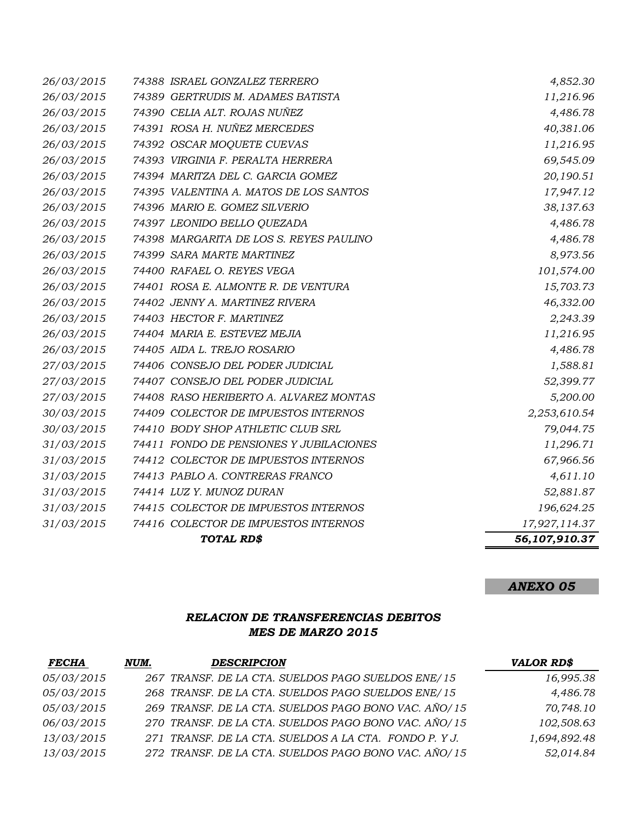|                          | TOTAL RD\$                              | 56,107,910.37         |
|--------------------------|-----------------------------------------|-----------------------|
| 31/03/2015               | 74416 COLECTOR DE IMPUESTOS INTERNOS    | 17,927,114.37         |
| 31/03/2015               | 74415 COLECTOR DE IMPUESTOS INTERNOS    | 196,624.25            |
| 31/03/2015               | 74414 LUZ Y. MUNOZ DURAN                | 52,881.87             |
| 31/03/2015               | 74413 PABLO A. CONTRERAS FRANCO         | 4,611.10              |
| 31/03/2015               | 74412 COLECTOR DE IMPUESTOS INTERNOS    | 67,966.56             |
| 31/03/2015               | 74411 FONDO DE PENSIONES Y JUBILACIONES | 11,296.71             |
| 30/03/2015               | 74410 BODY SHOP ATHLETIC CLUB SRL       | 79,044.75             |
| 30/03/2015               | 74409 COLECTOR DE IMPUESTOS INTERNOS    | 2,253,610.54          |
| 27/03/2015               | 74408 RASO HERIBERTO A. ALVAREZ MONTAS  | 5,200.00              |
| 27/03/2015               | 74407 CONSEJO DEL PODER JUDICIAL        | 52,399.77             |
| 27/03/2015               | 74406 CONSEJO DEL PODER JUDICIAL        | 1,588.81              |
| 26/03/2015               | 74405 AIDA L. TREJO ROSARIO             | 4,486.78              |
| 26/03/2015               | 74404 MARIA E. ESTEVEZ MEJIA            | 11,216.95             |
| 26/03/2015               | 74403 HECTOR F. MARTINEZ                | 2,243.39              |
| 26/03/2015               | 74402 JENNY A. MARTINEZ RIVERA          | 46,332.00             |
| 26/03/2015               | 74401 ROSA E. ALMONTE R. DE VENTURA     | 15,703.73             |
| 26/03/2015               | 74400 RAFAEL O. REYES VEGA              | 101,574.00            |
| 26/03/2015               | 74399 SARA MARTE MARTINEZ               | 8,973.56              |
| 26/03/2015               | 74398 MARGARITA DE LOS S. REYES PAULINO | 4,486.78              |
| 26/03/2015               | 74397 LEONIDO BELLO QUEZADA             | 4,486.78              |
| 26/03/2015               | 74396 MARIO E. GOMEZ SILVERIO           | 38,137.63             |
| 26/03/2015               | 74395 VALENTINA A. MATOS DE LOS SANTOS  | 17,947.12             |
| 26/03/2015               | 74394 MARITZA DEL C. GARCIA GOMEZ       | 20,190.51             |
| 26/03/2015               | 74393 VIRGINIA F. PERALTA HERRERA       | 69,545.09             |
| 26/03/2015               | 74392 OSCAR MOQUETE CUEVAS              | 11,216.95             |
| 26/03/2015               | 74391 ROSA H. NUÑEZ MERCEDES            | 40,381.06             |
| 26/03/2015               | 74390 CELIA ALT. ROJAS NUÑEZ            | 11,216.96<br>4,486.78 |
| 26/03/2015<br>26/03/2015 | 74389 GERTRUDIS M. ADAMES BATISTA       | 4,852.30              |
|                          | 74388 ISRAEL GONZALEZ TERRERO           |                       |

## *ANEXO 05*

### *RELACION DE TRANSFERENCIAS DEBITOS MES DE MARZO 2015*

| <b>FECHA</b> | NUM. | <b>DESCRIPCION</b>                                   | <b>VALOR RD\$</b> |
|--------------|------|------------------------------------------------------|-------------------|
| 05/03/2015   |      | 267 TRANSF. DE LA CTA. SUELDOS PAGO SUELDOS ENE/15   | 16,995.38         |
| 05/03/2015   |      | 268 TRANSF. DE LA CTA. SUELDOS PAGO SUELDOS ENE/15   | 4,486.78          |
| 05/03/2015   |      | 269 TRANSF. DE LA CTA. SUELDOS PAGO BONO VAC. AÑO/15 | 70,748.10         |
| 06/03/2015   |      | 270 TRANSF. DE LA CTA. SUELDOS PAGO BONO VAC. AÑO/15 | 102,508.63        |
| 13/03/2015   |      | 271 TRANSF. DE LA CTA. SUELDOS A LA CTA. FONDO P.YJ. | 1,694,892.48      |
| 13/03/2015   |      | 272 TRANSF. DE LA CTA. SUELDOS PAGO BONO VAC. AÑO/15 | 52,014.84         |